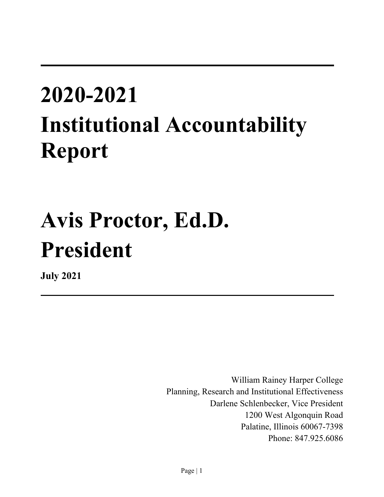# **2020-2021 Institutional Accountability Report**

# **Avis Proctor, Ed.D. President**

**July 2021** 

William Rainey Harper College Planning, Research and Institutional Effectiveness Darlene Schlenbecker, Vice President 1200 West Algonquin Road Palatine, Illinois 60067-7398 Phone: 847.925.6086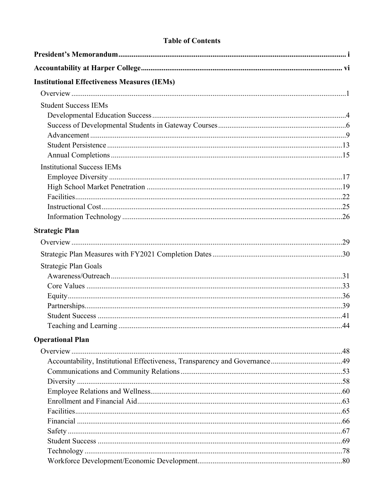#### **Table of Contents**

| <b>Institutional Effectiveness Measures (IEMs)</b> |  |
|----------------------------------------------------|--|
|                                                    |  |
| <b>Student Success IEMs</b>                        |  |
|                                                    |  |
|                                                    |  |
|                                                    |  |
|                                                    |  |
|                                                    |  |
| <b>Institutional Success IEMs</b>                  |  |
|                                                    |  |
|                                                    |  |
|                                                    |  |
|                                                    |  |
|                                                    |  |
| <b>Strategic Plan</b>                              |  |
|                                                    |  |
|                                                    |  |
| Strategic Plan Goals                               |  |
|                                                    |  |
|                                                    |  |
|                                                    |  |
|                                                    |  |
|                                                    |  |
|                                                    |  |
| <b>Operational Plan</b>                            |  |
|                                                    |  |
|                                                    |  |
|                                                    |  |
|                                                    |  |
|                                                    |  |
|                                                    |  |
|                                                    |  |
|                                                    |  |
|                                                    |  |
|                                                    |  |
|                                                    |  |
|                                                    |  |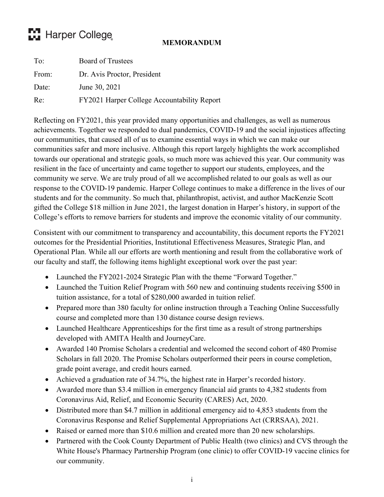## **Press Marper College**

#### **MEMORANDUM**

<span id="page-2-0"></span>

| To:   | <b>Board of Trustees</b>                    |
|-------|---------------------------------------------|
| From: | Dr. Avis Proctor, President                 |
| Date: | June 30, 2021                               |
| Re:   | FY2021 Harper College Accountability Report |

Reflecting on FY2021, this year provided many opportunities and challenges, as well as numerous achievements. Together we responded to dual pandemics, COVID-19 and the social injustices affecting our communities, that caused all of us to examine essential ways in which we can make our communities safer and more inclusive. Although this report largely highlights the work accomplished towards our operational and strategic goals, so much more was achieved this year. Our community was resilient in the face of uncertainty and came together to support our students, employees, and the community we serve. We are truly proud of all we accomplished related to our goals as well as our response to the COVID-19 pandemic. Harper College continues to make a difference in the lives of our students and for the community. So much that, philanthropist, activist, and author MacKenzie Scott gifted the College \$18 million in June 2021, the largest donation in Harper's history, in support of the College's efforts to remove barriers for students and improve the economic vitality of our community.

Consistent with our commitment to transparency and accountability, this document reports the FY2021 outcomes for the Presidential Priorities, Institutional Effectiveness Measures, Strategic Plan, and Operational Plan. While all our efforts are worth mentioning and result from the collaborative work of our faculty and staff, the following items highlight exceptional work over the past year:

- Launched the FY2021-2024 Strategic Plan with the theme "Forward Together."
- Launched the Tuition Relief Program with 560 new and continuing students receiving \$500 in tuition assistance, for a total of \$280,000 awarded in tuition relief.
- Prepared more than 380 faculty for online instruction through a Teaching Online Successfully course and completed more than 130 distance course design reviews.
- Launched Healthcare Apprenticeships for the first time as a result of strong partnerships developed with AMITA Health and JourneyCare.
- Awarded 140 Promise Scholars a credential and welcomed the second cohort of 480 Promise Scholars in fall 2020. The Promise Scholars outperformed their peers in course completion, grade point average, and credit hours earned.
- Achieved a graduation rate of 34.7%, the highest rate in Harper's recorded history.
- Awarded more than \$3.4 million in emergency financial aid grants to 4,382 students from Coronavirus Aid, Relief, and Economic Security (CARES) Act, 2020.
- Distributed more than \$4.7 million in additional emergency aid to 4,853 students from the Coronavirus Response and Relief Supplemental Appropriations Act (CRRSAA), 2021.
- Raised or earned more than \$10.6 million and created more than 20 new scholarships.
- Partnered with the Cook County Department of Public Health (two clinics) and CVS through the White House's Pharmacy Partnership Program (one clinic) to offer COVID-19 vaccine clinics for our community.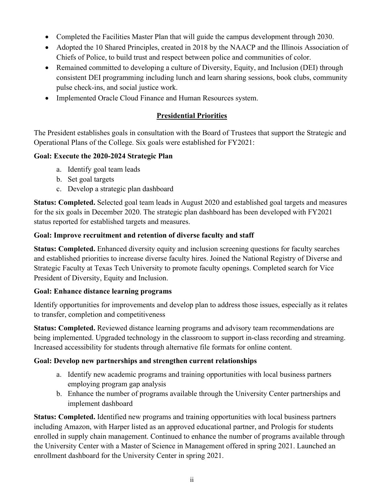- Completed the Facilities Master Plan that will guide the campus development through 2030.
- Adopted the 10 Shared Principles, created in 2018 by the NAACP and the Illinois Association of Chiefs of Police, to build trust and respect between police and communities of color.
- Remained committed to developing a culture of Diversity, Equity, and Inclusion (DEI) through consistent DEI programming including lunch and learn sharing sessions, book clubs, community pulse check-ins, and social justice work.
- Implemented Oracle Cloud Finance and Human Resources system.

#### **Presidential Priorities**

The President establishes goals in consultation with the Board of Trustees that support the Strategic and Operational Plans of the College. Six goals were established for FY2021:

#### **Goal: Execute the 2020-2024 Strategic Plan**

- a. Identify goal team leads
- b. Set goal targets
- c. Develop a strategic plan dashboard

**Status: Completed.** Selected goal team leads in August 2020 and established goal targets and measures for the six goals in December 2020. The strategic plan dashboard has been developed with FY2021 status reported for established targets and measures.

#### **Goal: Improve recruitment and retention of diverse faculty and staff**

**Status: Completed.** Enhanced diversity equity and inclusion screening questions for faculty searches and established priorities to increase diverse faculty hires. Joined the National Registry of Diverse and Strategic Faculty at Texas Tech University to promote faculty openings. Completed search for Vice President of Diversity, Equity and Inclusion.

#### **Goal: Enhance distance learning programs**

Identify opportunities for improvements and develop plan to address those issues, especially as it relates to transfer, completion and competitiveness

**Status: Completed.** Reviewed distance learning programs and advisory team recommendations are being implemented. Upgraded technology in the classroom to support in-class recording and streaming. Increased accessibility for students through alternative file formats for online content.

#### **Goal: Develop new partnerships and strengthen current relationships**

- a. Identify new academic programs and training opportunities with local business partners employing program gap analysis
- b. Enhance the number of programs available through the University Center partnerships and implement dashboard

**Status: Completed.** Identified new programs and training opportunities with local business partners including Amazon, with Harper listed as an approved educational partner, and Prologis for students enrolled in supply chain management. Continued to enhance the number of programs available through the University Center with a Master of Science in Management offered in spring 2021. Launched an enrollment dashboard for the University Center in spring 2021.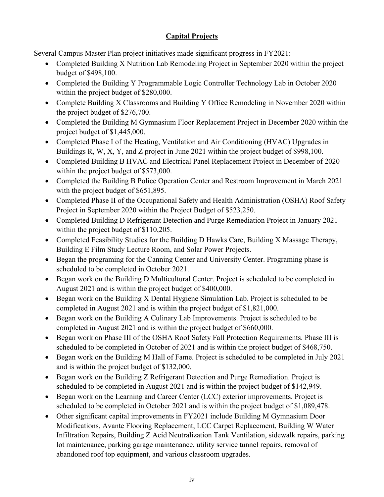### **Capital Projects**

Several Campus Master Plan project initiatives made significant progress in FY2021:

- Completed Building X Nutrition Lab Remodeling Project in September 2020 within the project budget of \$498,100.
- Completed the Building Y Programmable Logic Controller Technology Lab in October 2020 within the project budget of \$280,000.
- Complete Building X Classrooms and Building Y Office Remodeling in November 2020 within the project budget of \$276,700.
- Completed the Building M Gymnasium Floor Replacement Project in December 2020 within the project budget of \$1,445,000.
- Completed Phase I of the Heating, Ventilation and Air Conditioning (HVAC) Upgrades in Buildings R, W, X, Y, and Z project in June 2021 within the project budget of \$998,100.
- Completed Building B HVAC and Electrical Panel Replacement Project in December of 2020 within the project budget of \$573,000.
- Completed the Building B Police Operation Center and Restroom Improvement in March 2021 with the project budget of \$651,895.
- Completed Phase II of the Occupational Safety and Health Administration (OSHA) Roof Safety Project in September 2020 within the Project Budget of \$523,250.
- Completed Building D Refrigerant Detection and Purge Remediation Project in January 2021 within the project budget of \$110,205.
- Completed Feasibility Studies for the Building D Hawks Care, Building X Massage Therapy, Building E Film Study Lecture Room, and Solar Power Projects.
- Began the programing for the Canning Center and University Center. Programing phase is scheduled to be completed in October 2021.
- Began work on the Building D Multicultural Center. Project is scheduled to be completed in August 2021 and is within the project budget of \$400,000.
- Began work on the Building X Dental Hygiene Simulation Lab. Project is scheduled to be completed in August 2021 and is within the project budget of \$1,821,000.
- Began work on the Building A Culinary Lab Improvements. Project is scheduled to be completed in August 2021 and is within the project budget of \$660,000.
- Began work on Phase III of the OSHA Roof Safety Fall Protection Requirements. Phase III is scheduled to be completed in October of 2021 and is within the project budget of \$468,750.
- Began work on the Building M Hall of Fame. Project is scheduled to be completed in July 2021 and is within the project budget of \$132,000.
- Began work on the Building Z Refrigerant Detection and Purge Remediation. Project is scheduled to be completed in August 2021 and is within the project budget of \$142,949.
- Began work on the Learning and Career Center (LCC) exterior improvements. Project is scheduled to be completed in October 2021 and is within the project budget of \$1,089,478.
- Other significant capital improvements in FY2021 include Building M Gymnasium Door Modifications, Avante Flooring Replacement, LCC Carpet Replacement, Building W Water Infiltration Repairs, Building Z Acid Neutralization Tank Ventilation, sidewalk repairs, parking lot maintenance, parking garage maintenance, utility service tunnel repairs, removal of abandoned roof top equipment, and various classroom upgrades.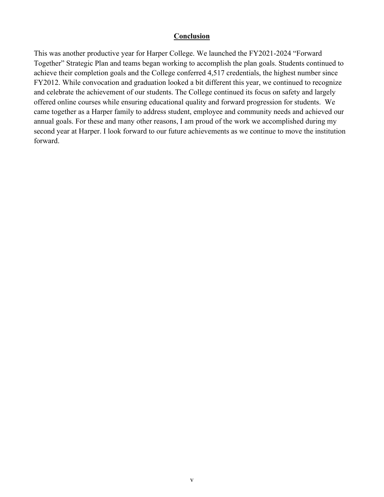#### **Conclusion**

This was another productive year for Harper College. We launched the FY2021-2024 "Forward Together" Strategic Plan and teams began working to accomplish the plan goals. Students continued to achieve their completion goals and the College conferred 4,517 credentials, the highest number since FY2012. While convocation and graduation looked a bit different this year, we continued to recognize and celebrate the achievements of our students. The College continued its focus on safety and largely offered online courses while ensuring educational quality and forward progression for students. We came together as a Harper family to address student, employee and community needs and achieved our annual goals. For these and many other reasons, I am proud of the work we accomplished during my second year at Harper. I look forward to our future achievements as we continue to move the institution forward.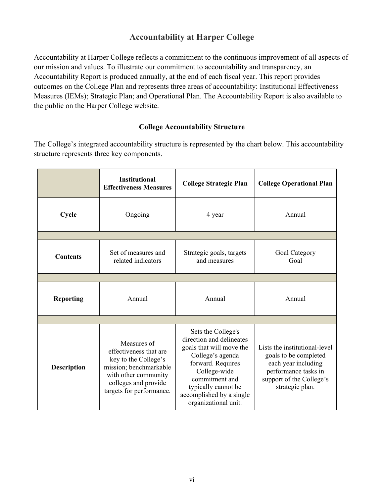## **Accountability at Harper College**

<span id="page-7-0"></span>Accountability at Harper College reflects a commitment to the continuous improvement of all aspects of our mission and values. To illustrate our commitment to accountability and transparency, an Accountability Report is produced annually, at the end of each fiscal year. This report provides outcomes on the College Plan and represents three areas of accountability: Institutional Effectiveness Measures (IEMs); Strategic Plan; and Operational Plan. The Accountability Report is also available to the public on the Harper College website.

#### **College Accountability Structure**

The College's integrated accountability structure is represented by the chart below. This accountability structure represents three key components.

|                    | <b>Institutional</b><br><b>Effectiveness Measures</b>                                                                                                               | <b>College Strategic Plan</b>                                                                                                                                                                                                    | <b>College Operational Plan</b>                                                                                                                      |
|--------------------|---------------------------------------------------------------------------------------------------------------------------------------------------------------------|----------------------------------------------------------------------------------------------------------------------------------------------------------------------------------------------------------------------------------|------------------------------------------------------------------------------------------------------------------------------------------------------|
| Cycle              | Ongoing                                                                                                                                                             | 4 year                                                                                                                                                                                                                           | Annual                                                                                                                                               |
|                    |                                                                                                                                                                     |                                                                                                                                                                                                                                  |                                                                                                                                                      |
| <b>Contents</b>    | Set of measures and<br>related indicators                                                                                                                           | Strategic goals, targets<br>and measures                                                                                                                                                                                         | Goal Category<br>Goal                                                                                                                                |
|                    |                                                                                                                                                                     |                                                                                                                                                                                                                                  |                                                                                                                                                      |
| <b>Reporting</b>   | Annual                                                                                                                                                              | Annual                                                                                                                                                                                                                           | Annual                                                                                                                                               |
|                    |                                                                                                                                                                     |                                                                                                                                                                                                                                  |                                                                                                                                                      |
| <b>Description</b> | Measures of<br>effectiveness that are<br>key to the College's<br>mission; benchmarkable<br>with other community<br>colleges and provide<br>targets for performance. | Sets the College's<br>direction and delineates<br>goals that will move the<br>College's agenda<br>forward. Requires<br>College-wide<br>commitment and<br>typically cannot be<br>accomplished by a single<br>organizational unit. | Lists the institutional-level<br>goals to be completed<br>each year including<br>performance tasks in<br>support of the College's<br>strategic plan. |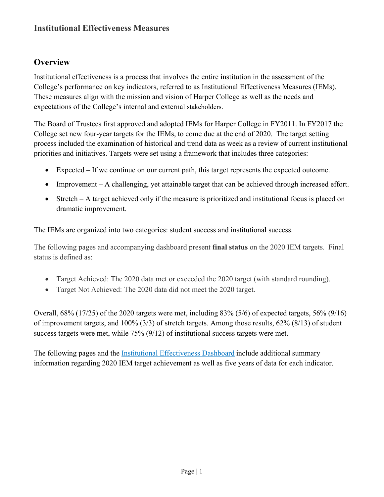## **Institutional Effectiveness Measures**

## <span id="page-8-0"></span>**Overview**

Institutional effectiveness is a process that involves the entire institution in the assessment of the College's performance on key indicators, referred to as Institutional Effectiveness Measures (IEMs). These measures align with the mission and vision of Harper College as well as the needs and expectations of the College's internal and external stakeholders.

The Board of Trustees first approved and adopted IEMs for Harper College in FY2011. In FY2017, the College set new four-year targets for the IEMs, to come due at the end of 2020. The target setting process included the examination of historical and trend data as well as a review of current institutional priorities and initiatives. Targets were set using a framework that includes three categories:

- Expected If we continue on our current path, this target represents the expected outcome.
- Improvement A challenging, yet attainable target that can be achieved through increased effort.
- Stretch A target achieved only if the measure is prioritized and institutional focus is placed on dramatic improvement.

The IEMs are organized into two categories: student success and institutional success.

The following pages and accompanying dashboard present **final status** on the 2020 IEM targets. Final status is defined as:

- Target Achieved: The 2020 data met or exceeded the 2020 target (with standard rounding).
- Target Not Achieved: The 2020 data did not meet the 2020 target.

Overall, 68% (17/25) of the 2020 targets were met, including 83% (5/6) of expected targets, 56% (9/16) of improvement targets, and 100% (3/3) of stretch targets. Among those results, 62% (8/13) of student success targets were met, while 75% (9/12) of institutional success targets were met.

The following pages and the [Institutional Effectiveness Dashboard](https://www.harpercollege.edu/about/leadership/accountability/iem/index.php) include additional summary information regarding 2020 IEM target achievement as well as five years of data for each indicator.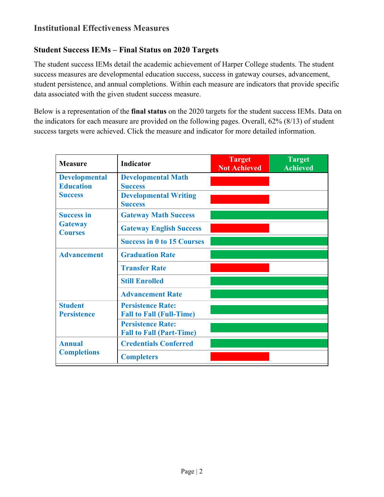## **Student Success IEMs – Final Status on 2020 Targets**

The student success IEMs detail the academic achievement of Harper College students. The student success measures are developmental education success, success in gateway courses, advancement, student persistence, and annual completions. Within each measure are indicators that provide specific data associated with the given student success measure.

Below is a representation of the **final status** on the 2020 targets for the student success IEMs. Data on the indicators for each measure are provided on the following pages. Overall, 62% (8/13) of student success targets were achieved. Click the measure and indicator for more detailed information.

| <b>Measure</b>                                             | <b>Indicator</b>                                            | <b>Target</b><br><b>Not Achieved</b> | <b>Target</b><br><b>Achieved</b> |
|------------------------------------------------------------|-------------------------------------------------------------|--------------------------------------|----------------------------------|
| <b>Developmental</b><br><b>Education</b><br><b>Success</b> | <b>Developmental Math</b><br><b>Success</b>                 |                                      |                                  |
|                                                            | <b>Developmental Writing</b><br><b>Success</b>              |                                      |                                  |
| <b>Success in</b>                                          | <b>Gateway Math Success</b>                                 |                                      |                                  |
| <b>Gateway</b><br><b>Courses</b>                           | <b>Gateway English Success</b>                              |                                      |                                  |
|                                                            | <b>Success in 0 to 15 Courses</b>                           |                                      |                                  |
| <b>Advancement</b>                                         | <b>Graduation Rate</b>                                      |                                      |                                  |
|                                                            | <b>Transfer Rate</b>                                        |                                      |                                  |
|                                                            | <b>Still Enrolled</b>                                       |                                      |                                  |
|                                                            | <b>Advancement Rate</b>                                     |                                      |                                  |
| <b>Student</b><br><b>Persistence</b>                       | <b>Persistence Rate:</b><br><b>Fall to Fall (Full-Time)</b> |                                      |                                  |
|                                                            | <b>Persistence Rate:</b><br><b>Fall to Fall (Part-Time)</b> |                                      |                                  |
| <b>Annual</b><br><b>Completions</b>                        | <b>Credentials Conferred</b>                                |                                      |                                  |
|                                                            | <b>Completers</b>                                           |                                      |                                  |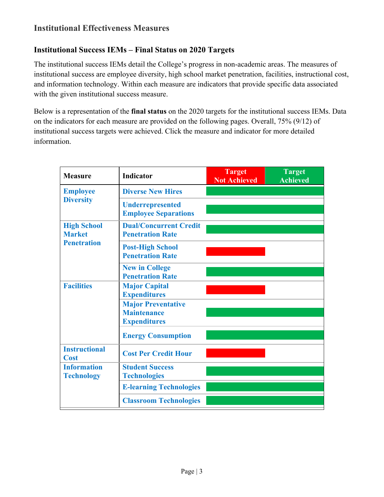## **Institutional Effectiveness Measures**

#### **Institutional Success IEMs – Final Status on 2020 Targets**

The institutional success IEMs detail the College's progress in non-academic areas. The measures of institutional success are employee diversity, high school market penetration, facilities, instructional cost, and information technology. Within each measure are indicators that provide specific data associated with the given institutional success measure.

Below is a representation of the **final status** on the 2020 targets for the institutional success IEMs. Data on the indicators for each measure are provided on the following pages. Overall, 75% (9/12) of institutional success targets were achieved. Click the measure and indicator for more detailed information.

| <b>Measure</b>                                            | <b>Indicator</b>                                                       | <b>Target</b><br><b>Not Achieved</b> | <b>Target</b><br><b>Achieved</b> |
|-----------------------------------------------------------|------------------------------------------------------------------------|--------------------------------------|----------------------------------|
| <b>Employee</b><br><b>Diversity</b>                       | <b>Diverse New Hires</b>                                               |                                      |                                  |
|                                                           | <b>Underrepresented</b><br><b>Employee Separations</b>                 |                                      |                                  |
| <b>High School</b><br><b>Market</b><br><b>Penetration</b> | <b>Dual/Concurrent Credit</b><br><b>Penetration Rate</b>               |                                      |                                  |
|                                                           | <b>Post-High School</b><br><b>Penetration Rate</b>                     |                                      |                                  |
|                                                           | <b>New in College</b><br><b>Penetration Rate</b>                       |                                      |                                  |
| <b>Facilities</b>                                         | <b>Major Capital</b><br><b>Expenditures</b>                            |                                      |                                  |
|                                                           | <b>Major Preventative</b><br><b>Maintenance</b><br><b>Expenditures</b> |                                      |                                  |
|                                                           | <b>Energy Consumption</b>                                              |                                      |                                  |
| <b>Instructional</b><br><b>Cost</b>                       | <b>Cost Per Credit Hour</b>                                            |                                      |                                  |
| <b>Information</b><br><b>Technology</b>                   | <b>Student Success</b><br><b>Technologies</b>                          |                                      |                                  |
|                                                           | <b>E-learning Technologies</b>                                         |                                      |                                  |
|                                                           | <b>Classroom Technologies</b>                                          |                                      |                                  |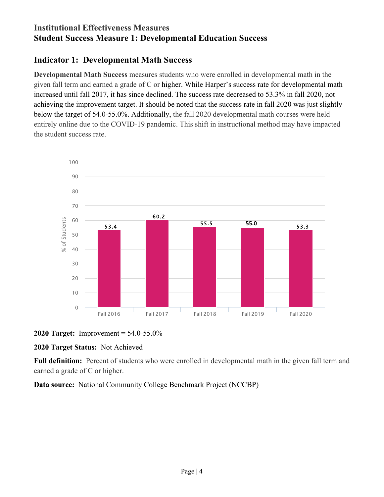## **Institutional Effectiveness Measures Student Success Measure 1: Developmental Education Success**

## <span id="page-11-0"></span>**Indicator 1: Developmental Math Success**

**Developmental Math Success** measures students who were enrolled in developmental math in the given fall term and earned a grade of C or higher. While Harper's success rate for developmental math increased until fall 2017, it has since declined. The success rate decreased to 53.3% in fall 2020, not achieving the improvement target. It should be noted that the success rate in fall 2020 was just slightly below the target of 54.0-55.0%. Additionally, the fall 2020 developmental math courses were held entirely online due to the COVID-19 pandemic. This shift in instructional method may have impacted the student success rate.





#### **2020 Target Status:** Not Achieved

**Full definition:** Percent of students who were enrolled in developmental math in the given fall term and earned a grade of C or higher.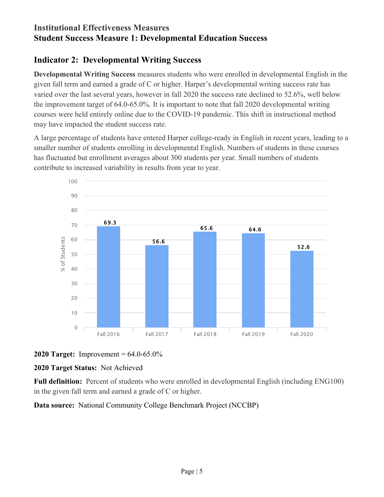## **Institutional Effectiveness Measures Student Success Measure 1: Developmental Education Success**

## <span id="page-12-0"></span>**Indicator 2: Developmental Writing Success**

**Developmental Writing Success** measures students who were enrolled in developmental English in the given fall term and earned a grade of C or higher. Harper's developmental writing success rate has varied over the last several years, however in fall 2020 the success rate declined to 52.6%, well below the improvement target of 64.0-65.0%. It is important to note that fall 2020 developmental writing courses were held entirely online due to the COVID-19 pandemic. This shift in instructional method may have impacted the student success rate.

A large percentage of students have entered Harper college-ready in English in recent years, leading to a smaller number of students enrolling in developmental English. Numbers of students in these courses has fluctuated but enrollment averages about 300 students per year. Small numbers of students contribute to increased variability in results from year to year.





#### **2020 Target Status:** Not Achieved

**Full definition:** Percent of students who were enrolled in developmental English (including ENG100) in the given fall term and earned a grade of C or higher.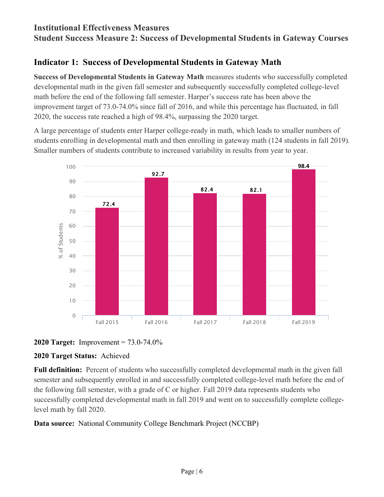### **Institutional Effectiveness Measures Student Success Measure 2: Success of Developmental Students in Gateway Courses**

## <span id="page-13-0"></span>**Indicator 1: Success of Developmental Students in Gateway Math**

**Success of Developmental Students in Gateway Math** measures students who successfully completed developmental math in the given fall semester and subsequently successfully completed college-level math before the end of the following fall semester. Harper's success rate has been above the improvement target of 73.0-74.0% since fall of 2016, and while this percentage has fluctuated, in fall 2020, the success rate reached a high of 98.4%, surpassing the 2020 target.

A large percentage of students enter Harper college-ready in math, which leads to smaller numbers of students enrolling in developmental math and then enrolling in gateway math (124 students in fall 2019). Smaller numbers of students contribute to increased variability in results from year to year.





#### **2020 Target Status:** Achieved

**Full definition:** Percent of students who successfully completed developmental math in the given fall semester and subsequently enrolled in and successfully completed college-level math before the end of the following fall semester, with a grade of C or higher. Fall 2019 data represents students who successfully completed developmental math in fall 2019 and went on to successfully complete collegelevel math by fall 2020.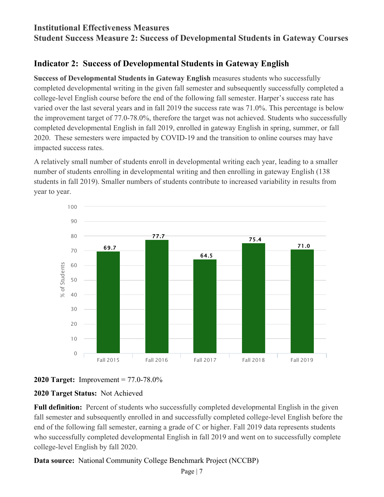## **Institutional Effectiveness Measures**

<span id="page-14-0"></span>**Student Success Measure 2: Success of Developmental Students in Gateway Courses**

## **Indicator 2: Success of Developmental Students in Gateway English**

**Success of Developmental Students in Gateway English** measures students who successfully completed developmental writing in the given fall semester and subsequently successfully completed a college-level English course before the end of the following fall semester. Harper's success rate has varied over the last several years and in fall 2019 the success rate was 71.0%. This percentage is below the improvement target of 77.0-78.0%, therefore the target was not achieved. Students who successfully completed developmental English in fall 2019, enrolled in gateway English in spring, summer, or fall 2020. These semesters were impacted by COVID-19 and the transition to online courses may have impacted success rates.

A relatively small number of students enroll in developmental writing each year, leading to a smaller number of students enrolling in developmental writing and then enrolling in gateway English (138 students in fall 2019). Smaller numbers of students contribute to increased variability in results from year to year.



#### **2020 Target:** Improvement = 77.0-78.0%

### **2020 Target Status:** Not Achieved

**Full definition:** Percent of students who successfully completed developmental English in the given fall semester and subsequently enrolled in and successfully completed college-level English before the end of the following fall semester, earning a grade of C or higher. Fall 2019 data represents students who successfully completed developmental English in fall 2019 and went on to successfully complete college-level English by fall 2020.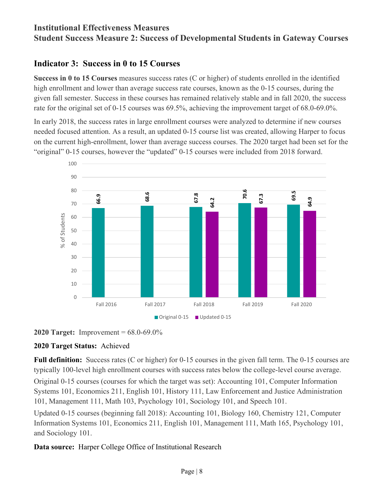## **Institutional Effectiveness Measures Student Success Measure 2: Success of Developmental Students in Gateway Courses**

## <span id="page-15-0"></span>**Indicator 3: Success in 0 to 15 Courses**

**Success in 0 to 15 Courses** measures success rates (C or higher) of students enrolled in the identified high enrollment and lower than average success rate courses, known as the 0-15 courses, during the given fall semester. Success in these courses has remained relatively stable and in fall 2020, the success rate for the original set of 0-15 courses was 69.5%, achieving the improvement target of 68.0-69.0%.

In early 2018, the success rates in large enrollment courses were analyzed to determine if new courses needed focused attention. As a result, an updated 0-15 course list was created, allowing Harper to focus on the current high-enrollment, lower than average success courses. The 2020 target had been set for the "original" 0-15 courses, however the "updated" 0-15 courses were included from 2018 forward.





#### **2020 Target Status:** Achieved

**Full definition:** Success rates (C or higher) for 0-15 courses in the given fall term. The 0-15 courses are typically 100-level high enrollment courses with success rates below the college-level course average.

Original 0-15 courses (courses for which the target was set): Accounting 101, Computer Information Systems 101, Economics 211, English 101, History 111, Law Enforcement and Justice Administration 101, Management 111, Math 103, Psychology 101, Sociology 101, and Speech 101.

Updated 0-15 courses (beginning fall 2018): Accounting 101, Biology 160, Chemistry 121, Computer Information Systems 101, Economics 211, English 101, Management 111, Math 165, Psychology 101, and Sociology 101.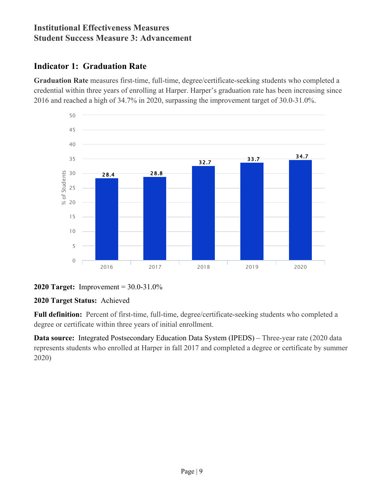## <span id="page-16-0"></span>**Indicator 1: Graduation Rate**

**Graduation Rate** measures first-time, full-time, degree/certificate-seeking students who completed a credential within three years of enrolling at Harper. Harper's graduation rate has been increasing since 2016 and reached a high of 34.7% in 2020, surpassing the improvement target of 30.0-31.0%.



**<sup>2020</sup> Target:** Improvement = 30.0-31.0%

#### **2020 Target Status:** Achieved

**Full definition:** Percent of first-time, full-time, degree/certificate-seeking students who completed a degree or certificate within three years of initial enrollment.

**Data source:** Integrated Postsecondary Education Data System (IPEDS) – Three-year rate (2020 data represents students who enrolled at Harper in fall 2017 and completed a degree or certificate by summer 2020)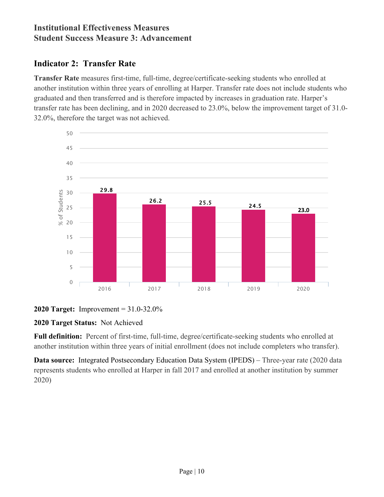## <span id="page-17-0"></span>**Indicator 2: Transfer Rate**

**Transfer Rate** measures first-time, full-time, degree/certificate-seeking students who enrolled at another institution within three years of enrolling at Harper. Transfer rate does not include students who graduated and then transferred and is therefore impacted by increases in graduation rate. Harper's transfer rate has been declining, and in 2020 decreased to 23.0%, below the improvement target of 31.0- 32.0%, therefore the target was not achieved.





### **2020 Target Status:** Not Achieved

**Full definition:** Percent of first-time, full-time, degree/certificate-seeking students who enrolled at another institution within three years of initial enrollment (does not include completers who transfer).

**Data source:** Integrated Postsecondary Education Data System [\(IPEDS\)](http://www.harpercollege.edu/accountability/iem/datadescriptions.html#IPEDS) – Three-year rate (2020 data represents students who enrolled at Harper in fall 2017 and enrolled at another institution by summer 2020)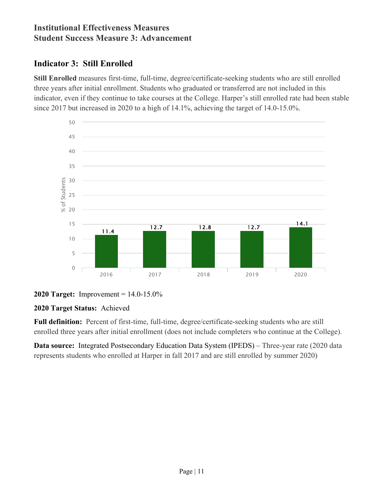## <span id="page-18-0"></span>**Indicator 3: Still Enrolled**

**Still Enrolled** measures first-time, full-time, degree/certificate-seeking students who are still enrolled three years after initial enrollment. Students who graduated or transferred are not included in this indicator, even if they continue to take courses at the College. Harper's still enrolled rate had been stable since 2017 but increased in 2020 to a high of 14.1%, achieving the target of 14.0-15.0%.



#### **2020 Target:** Improvement = 14.0-15.0%

#### **2020 Target Status:** Achieved

**Full definition:** Percent of first-time, full-time, degree/certificate-seeking students who are still enrolled three years after initial enrollment (does not include completers who continue at the College).

**Data source:** Integrated Postsecondary Education Data System (IPEDS) – Three-year rate (2020 data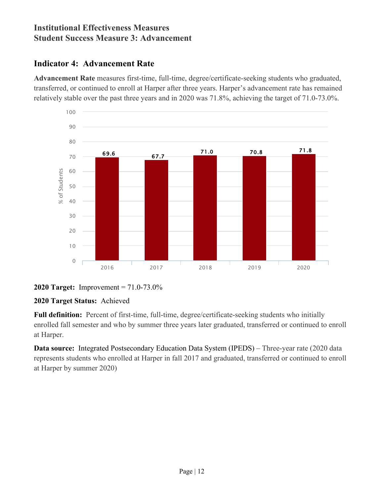## <span id="page-19-0"></span>**Indicator 4: Advancement Rate**

**Advancement Rate** measures first-time, full-time, degree/certificate-seeking students who graduated, transferred, or continued to enroll at Harper after three years. Harper's advancement rate has remained relatively stable over the past three years and in 2020 was 71.8%, achieving the target of 71.0-73.0%.



**<sup>2020</sup> Target:** Improvement = 71.0-73.0%

### **2020 Target Status:** Achieved

**Full definition:** Percent of first-time, full-time, degree/certificate-seeking students who initially enrolled fall semester and who by summer three years later graduated, transferred or continued to enroll at Harper.

**Data source:** Integrated Postsecondary Education Data System (IPEDS) – Three-year rate (2020 data represents students who enrolled at Harper in fall 2017 and graduated, transferred or continued to enroll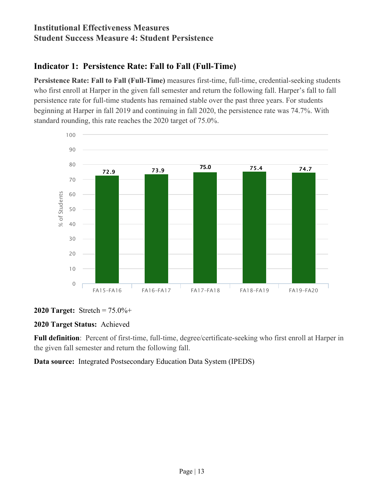## **Institutional Effectiveness Measures Student Success Measure 4: Student Persistence**

## <span id="page-20-0"></span>**Indicator 1: Persistence Rate: Fall to Fall (Full-Time)**

**Persistence Rate: Fall to Fall (Full-Time)** measures first-time, full-time, credential-seeking students who first enroll at Harper in the given fall semester and return the following fall. Harper's fall to fall persistence rate for full-time students has remained stable over the past three years. For students beginning at Harper in fall 2019 and continuing in fall 2020, the persistence rate was 74.7%. With standard rounding, this rate reaches the 2020 target of 75.0%.



#### **2020 Target:** Stretch = 75.0%+

#### **2020 Target Status:** Achieved

**Full definition**: Percent of first-time, full-time, degree/certificate-seeking who first enroll at Harper in the given fall semester and return the following fall.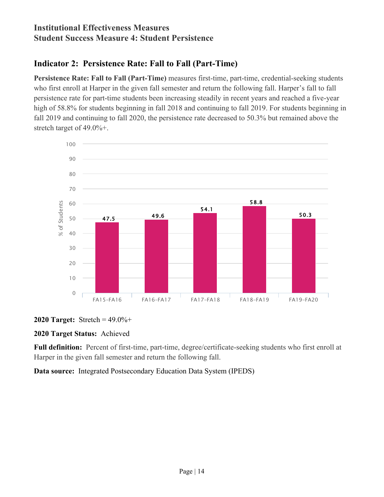## **Institutional Effectiveness Measures Student Success Measure 4: Student Persistence**

## <span id="page-21-0"></span>**Indicator 2: Persistence Rate: Fall to Fall (Part-Time)**

**Persistence Rate: Fall to Fall (Part-Time)** measures first-time, part-time, credential-seeking students who first enroll at Harper in the given fall semester and return the following fall. Harper's fall to fall persistence rate for part-time students been increasing steadily in recent years and reached a five-year high of 58.8% for students beginning in fall 2018 and continuing to fall 2019. For students beginning in fall 2019 and continuing to fall 2020, the persistence rate decreased to 50.3% but remained above the stretch target of 49.0%+.



#### **2020 Target:** Stretch = 49.0%+

#### **2020 Target Status:** Achieved

**Full definition:** Percent of first-time, part-time, degree/certificate-seeking students who first enroll at Harper in the given fall semester and return the following fall.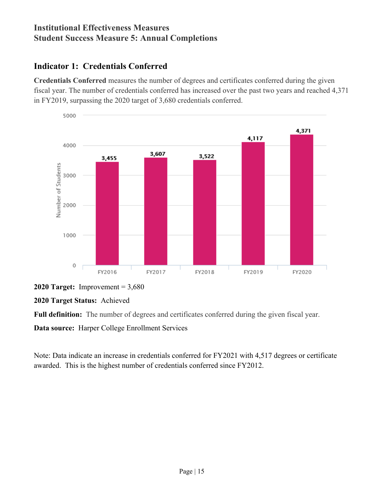## **Institutional Effectiveness Measures Student Success Measure 5: Annual Completions**

## <span id="page-22-0"></span>**Indicator 1: Credentials Conferred**

**Credentials Conferred** measures the number of degrees and certificates conferred during the given fiscal year. The number of credentials conferred has increased over the past two years and reached 4,371 in FY2019, surpassing the 2020 target of 3,680 credentials conferred.



**<sup>2020</sup> Target:** Improvement = 3,680

**2020 Target Status:** Achieved

**Full definition:** The number of degrees and certificates conferred during the given fiscal year.

**Data source:** Harper College Enrollment Services

Note: Data indicate an increase in credentials conferred for FY2021 with 4,517 degrees or certificates awarded. This is the highest number of credentials conferred since FY2012.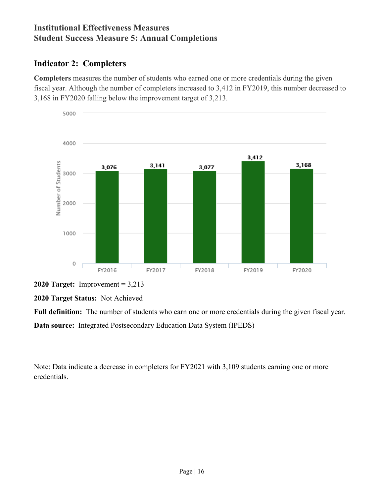## **Institutional Effectiveness Measures Student Success Measure 5: Annual Completions**

## <span id="page-23-0"></span>**Indicator 2: Completers**

**Completers** measures the number of students who earned one or more credentials during the given fiscal year. Although the number of completers increased to 3,412 in FY2019, this number decreased to 3,168 in FY2020 falling below the improvement target of 3,213.



**<sup>2020</sup> Target:** Improvement = 3,213

**2020 Target Status:** Not Achieved

**Full definition:** The number of students who earn one or more credentials during the given fiscal year.

**Data source:** Integrated Postsecondary Education Data System (IPEDS)

Note: Data indicate a decrease in completers for FY2021 with 3,109 students earning one or more credentials.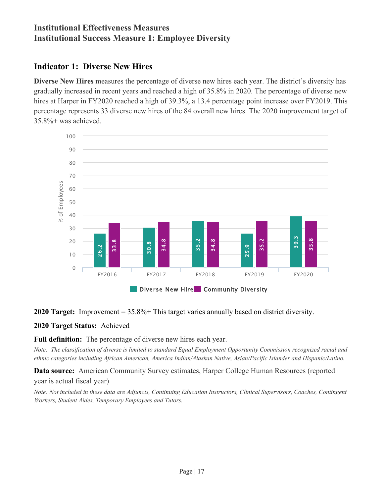## **Institutional Effectiveness Measures Institutional Success Measure 1: Employee Diversity**

## <span id="page-24-0"></span>**Indicator 1: Diverse New Hires**

**Diverse New Hires** measures the percentage of diverse new hires each year. The district's diversity has gradually increased in recent years and reached a high of 35.8% in 2020. The percentage of diverse new hires at Harper in FY2020 reached a high of 39.3%, a 13.4 percentage point increase over FY2019. This percentage represents 33 diverse new hires of the 84 overall new hires. The 2020 improvement target of 35.8%+ was achieved.



**2020 Target:** Improvement = 35.8%+ This target varies annually based on district diversity.

#### **2020 Target Status:** Achieved

**Full definition:** The percentage of diverse new hires each year.

*Note: The classification of diverse is limited to standard Equal Employment Opportunity Commission recognized racial and ethnic categories including African American, America Indian/Alaskan Native, Asian/Pacific Islander and Hispanic/Latino.*

**Data source:** American Community Survey estimates, Harper College Human Resources (reported year is actual fiscal year)

*Note: Not included in these data are Adjuncts, Continuing Education Instructors, Clinical Supervisors, Coaches, Contingent*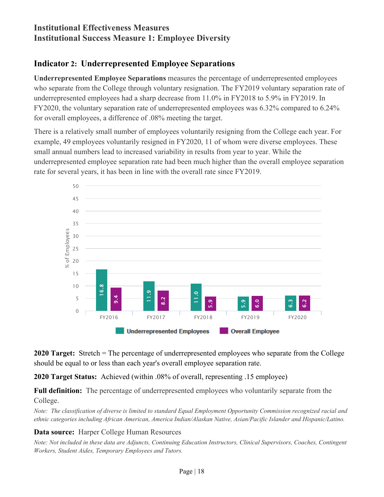## **Institutional Effectiveness Measures Institutional Success Measure 1: Employee Diversity**

## <span id="page-25-0"></span>**Indicator 2: Underrepresented Employee Separations**

**Underrepresented Employee Separations** measures the percentage of underrepresented employees who separate from the College through voluntary resignation. The FY2019 voluntary separation rate of underrepresented employees had a sharp decrease from 11.0% in FY2018 to 5.9% in FY2019. In FY2020, the voluntary separation rate of underrepresented employees was 6.32% compared to 6.24% for overall employees, a difference of .08% meeting the target.

There is a relatively small number of employees voluntarily resigning from the College each year. For example, 49 employees voluntarily resigned in FY2020, 11 of whom were diverse employees. These small annual numbers lead to increased variability in results from year to year. While the underrepresented employee separation rate had been much higher than the overall employee separation rate for several years, it has been in line with the overall rate since FY2019.



**2020 Target:** Stretch = The percentage of underrepresented employees who separate from the College should be equal to or less than each year's overall employee separation rate.

**2020 Target Status:** Achieved (within .08% of overall, representing .15 employee)

**Full definition:** The percentage of underrepresented employees who voluntarily separate from the College.

*Note: The classification of diverse is limited to standard Equal Employment Opportunity Commission recognized racial and ethnic categories including African American, America Indian/Alaskan Native, Asian/Pacific Islander and Hispanic/Latino.*

#### **Data source:** Harper College Human Resources

*Note: Not included in these data are Adjuncts, Continuing Education Instructors, Clinical Supervisors, Coaches, Contingent*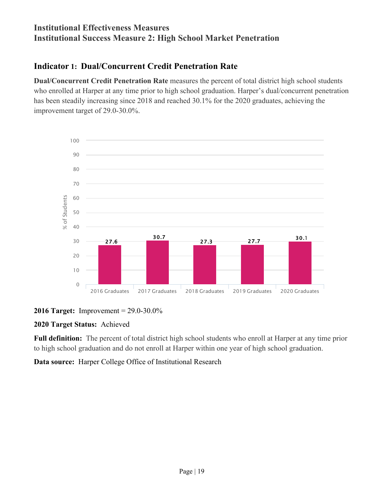## **Institutional Effectiveness Measures Institutional Success Measure 2: High School Market Penetration**

## <span id="page-26-0"></span>**Indicator 1: Dual/Concurrent Credit Penetration Rate**

**Dual/Concurrent Credit Penetration Rate** measures the percent of total district high school students who enrolled at Harper at any time prior to high school graduation. Harper's dual/concurrent penetration has been steadily increasing since 2018 and reached 30.1% for the 2020 graduates, achieving the improvement target of 29.0-30.0%.





### **2020 Target Status:** Achieved

**Full definition:** The percent of total district high school students who enroll at Harper at any time prior to high school graduation and do not enroll at Harper within one year of high school graduation.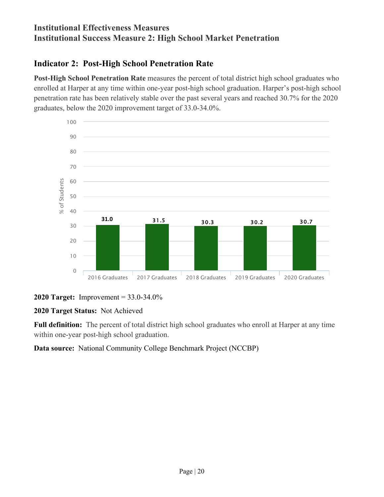## **Institutional Effectiveness Measures Institutional Success Measure 2: High School Market Penetration**

## <span id="page-27-0"></span>**Indicator 2: Post-High School Penetration Rate**

**Post-High School Penetration Rate** measures the percent of total district high school graduates who enrolled at Harper at any time within one-year post-high school graduation. Harper's post-high school penetration rate has been relatively stable over the past several years and reached 30.7% for the 2020 graduates, below the 2020 improvement target of 33.0-34.0%.



#### **2020 Target:** Improvement = 33.0-34.0%

#### **2020 Target Status:** Not Achieved

**Full definition:** The percent of total district high school graduates who enroll at Harper at any time within one-year post-high school graduation.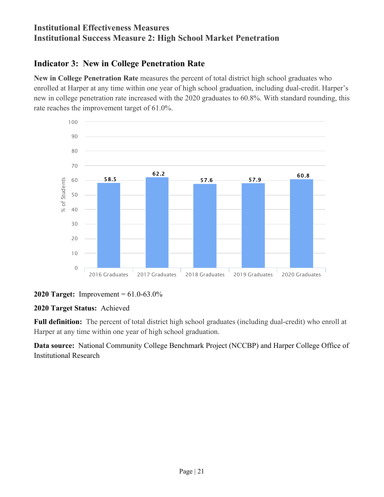## **Institutional Effectiveness Measures Institutional Success Measure 2: High School Market Penetration**

## <span id="page-28-0"></span>**Indicator 3: New in College Penetration Rate**

**New in College Penetration Rate** measures the percent of total district high school graduates who enrolled at Harper at any time within one year of high school graduation, including dual-credit. Harper's new in college penetration rate increased with the 2020 graduates to 60.8%. With standard rounding, this rate reaches the improvement target of 61.0%.



#### **2020 Target:** Improvement = 61.0-63.0%

#### **2020 Target Status:** Achieved

**Full definition:** The percent of total district high school graduates (including dual-credit) who enroll at Harper at any time within one year of high school graduation.

**Data source:** National Community College Benchmark Project (NCCBP) and Harper College Office of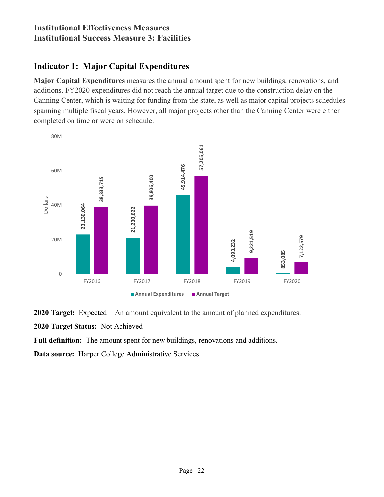## **Institutional Effectiveness Measures Institutional Success Measure 3: Facilities**

## <span id="page-29-0"></span>**Indicator 1: Major Capital Expenditures**

**Major Capital Expenditures** measures the annual amount spent for new buildings, renovations, and additions. FY2020 expenditures did not reach the annual target due to the construction delay on the Canning Center, which is waiting for funding from the state, as well as major capital projects schedules spanning multiple fiscal years. However, all major projects other than the Canning Center were either completed on time or were on schedule.



**2020 Target:** Expected = An amount equivalent to the amount of planned expenditures.

**2020 Target Status:** Not Achieved

**Full definition:** The amount spent for new buildings, renovations and additions.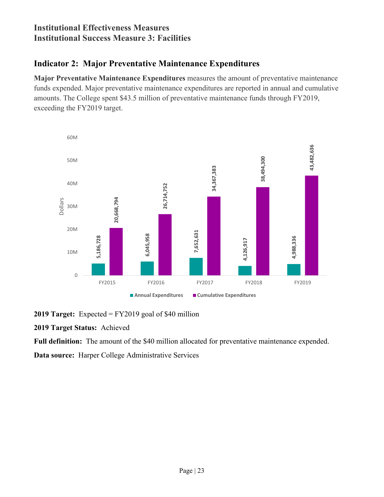## **Institutional Effectiveness Measures Institutional Success Measure 3: Facilities**

## <span id="page-30-0"></span>**Indicator 2: Major Preventative Maintenance Expenditures**

**Major Preventative Maintenance Expenditures** measures the amount of preventative maintenance funds expended. Major preventative maintenance expenditures are reported in annual and cumulative amounts. The College spent \$43.5 million of preventative maintenance funds through FY2019, exceeding the FY2019 target.



**2019 Target:** Expected = FY2019 goal of \$40 million

#### **2019 Target Status:** Achieved

**Full definition:** The amount of the \$40 million allocated for preventative maintenance expended.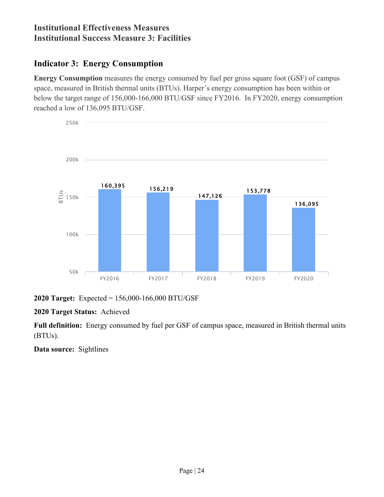## **Institutional Effectiveness Measures Institutional Success Measure 3: Facilities**

## <span id="page-31-0"></span>**Indicator 3: Energy Consumption**

**Energy Consumption** measures the energy consumed by fuel per gross square foot (GSF) of campus space, measured in British thermal units (BTUs). Harper's energy consumption has been within or below the target range of 156,000-166,000 BTU/GSF since FY2016. In FY2020, energy consumption reached a low of 136,095 BTU/GSF.



**2020 Target:** Expected = 156,000-166,000 BTU/GSF

#### **2020 Target Status:** Achieved

**Full definition:** Energy consumed by fuel per GSF of campus space, measured in British thermal units (BTUs).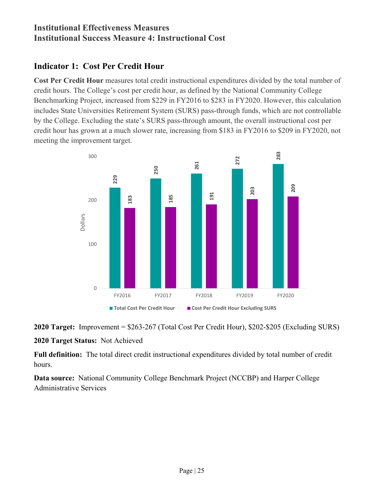## **Institutional Effectiveness Measures Institutional Success Measure 4: Instructional Cost**

## <span id="page-32-0"></span>**Indicator 1: Cost Per Credit Hour**

**Cost Per Credit Hour** measures total credit instructional expenditures divided by the total number of credit hours. The College's cost per credit hour, as defined by the National Community College Benchmarking Project, increased from \$229 in FY2016 to \$283 in FY2020. However, this calculation includes State Universities Retirement System (SURS) pass-through funds, which are not controllable by the College. Excluding the state's SURS pass-through amount, the overall instructional cost per credit hour has grown at a much slower rate, increasing from \$183 in FY2016 to \$209 in FY2020, not meeting the improvement target.



**2020 Target:** Improvement = \$263-267 (Total Cost Per Credit Hour), \$202-\$205 (Excluding SURS)

#### **2020 Target Status:** Not Achieved

**Full definition:** The total direct credit instructional expenditures divided by total number of credit hours.

**Data source:** National Community College Benchmark Project (NCCBP) and Harper College Administrative Services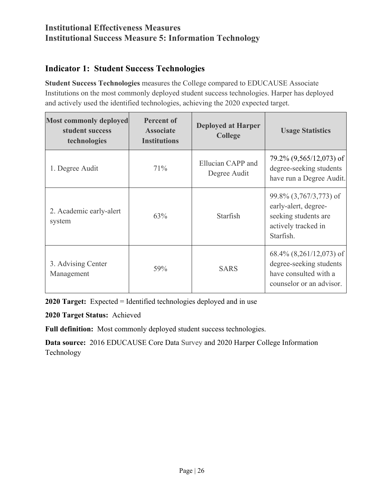## **Institutional Effectiveness Measures Institutional Success Measure 5: Information Technology**

## <span id="page-33-0"></span>**Indicator 1: Student Success Technologies**

**Student Success Technologies** measures the College compared to EDUCAUSE Associate Institutions on the most commonly deployed student success technologies. Harper has deployed and actively used the identified technologies, achieving the 2020 expected target.

| <b>Most commonly deployed</b><br>student success<br>technologies | <b>Percent of</b><br><b>Associate</b><br><b>Institutions</b> | <b>Deployed at Harper</b><br><b>College</b> | <b>Usage Statistics</b>                                                                                      |
|------------------------------------------------------------------|--------------------------------------------------------------|---------------------------------------------|--------------------------------------------------------------------------------------------------------------|
| 1. Degree Audit                                                  | 71%                                                          | Ellucian CAPP and<br>Degree Audit           | $79.2\%$ $(9,565/12,073)$ of<br>degree-seeking students<br>have run a Degree Audit.                          |
| 2. Academic early-alert<br>system                                | 63%                                                          | Starfish                                    | 99.8% (3,767/3,773) of<br>early-alert, degree-<br>seeking students are<br>actively tracked in<br>Starfish.   |
| 3. Advising Center<br>Management                                 | 59%                                                          | <b>SARS</b>                                 | $68.4\%$ $(8,261/12,073)$ of<br>degree-seeking students<br>have consulted with a<br>counselor or an advisor. |

**2020 Target:** Expected = Identified technologies deployed and in use

**2020 Target Status:** Achieved

**Full definition:** Most commonly deployed student success technologies.

**Data source:** 2016 EDUCAUSE Core Data Survey and 2020 Harper College Information Technology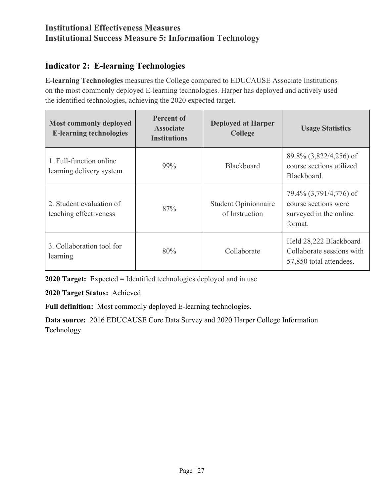## **Institutional Effectiveness Measures Institutional Success Measure 5: Information Technology**

## <span id="page-34-0"></span>**Indicator 2: E-learning Technologies**

**E-learning Technologies** measures the College compared to EDUCAUSE Associate Institutions on the most commonly deployed E-learning technologies. Harper has deployed and actively used the identified technologies, achieving the 2020 expected target.

| <b>Most commonly deployed</b><br><b>E-learning technologies</b> | Percent of<br><b>Associate</b><br><b>Institutions</b> | <b>Deployed at Harper</b><br><b>College</b>   | <b>Usage Statistics</b>                                                             |
|-----------------------------------------------------------------|-------------------------------------------------------|-----------------------------------------------|-------------------------------------------------------------------------------------|
| 1. Full-function online<br>learning delivery system             | 99%                                                   | <b>Blackboard</b>                             | 89.8% (3,822/4,256) of<br>course sections utilized<br>Blackboard.                   |
| 2. Student evaluation of<br>teaching effectiveness              | 87%                                                   | <b>Student Opinionnaire</b><br>of Instruction | 79.4% (3,791/4,776) of<br>course sections were<br>surveyed in the online<br>format. |
| 3. Collaboration tool for<br>learning                           | 80%                                                   | Collaborate                                   | Held 28,222 Blackboard<br>Collaborate sessions with<br>57,850 total attendees.      |

**2020 Target:** Expected = Identified technologies deployed and in use

**2020 Target Status:** Achieved

**Full definition:** Most commonly deployed E-learning technologies.

**Data source:** 2016 EDUCAUSE Core Data Survey and 2020 Harper College Information Technology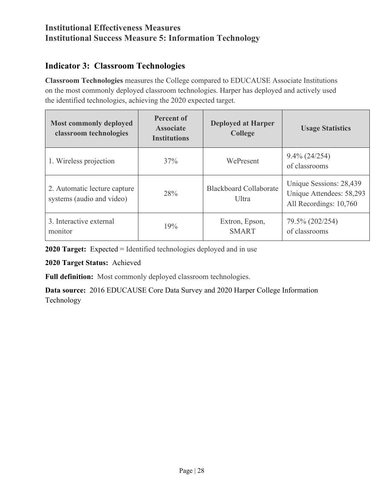## **Institutional Effectiveness Measures Institutional Success Measure 5: Information Technology**

## <span id="page-35-0"></span>**Indicator 3: Classroom Technologies**

**Classroom Technologies** measures the College compared to EDUCAUSE Associate Institutions on the most commonly deployed classroom technologies. Harper has deployed and actively used the identified technologies, achieving the 2020 expected target.

| <b>Most commonly deployed</b><br>classroom technologies   | <b>Percent of</b><br><b>Associate</b><br><b>Institutions</b> | <b>Deployed at Harper</b><br><b>College</b>    | <b>Usage Statistics</b>                                                       |
|-----------------------------------------------------------|--------------------------------------------------------------|------------------------------------------------|-------------------------------------------------------------------------------|
| 1. Wireless projection                                    | 37%                                                          | WePresent                                      | $9.4\%$ (24/254)<br>of classrooms                                             |
| 2. Automatic lecture capture<br>systems (audio and video) | 28%                                                          | <b>Blackboard Collaborate</b><br><b>U</b> ltra | Unique Sessions: 28,439<br>Unique Attendees: 58,293<br>All Recordings: 10,760 |
| 3. Interactive external<br>monitor                        | 19%                                                          | Extron, Epson,<br><b>SMART</b>                 | 79.5% (202/254)<br>of classrooms                                              |

**2020 Target:** Expected = Identified technologies deployed and in use

**2020 Target Status:** Achieved

**Full definition:** Most commonly deployed classroom technologies.

**Data source:** 2016 EDUCAUSE Core Data Survey and 2020 Harper College Information Technology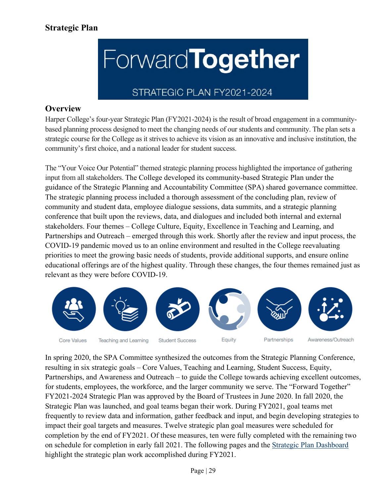# **ForwardTogether**

### STRATEGIC PLAN FY2021-2024

### **Overview**

Harper College's four-year Strategic Plan (FY2021-2024) is the result of broad engagement in a communitybased planning process designed to meet the changing needs of our students and community. The plan sets a strategic course for the College as it strives to achieve its vision as an innovative and inclusive institution, the community's first choice, and a national leader for student success.

The "Your Voice Our Potential" themed strategic planning process highlighted the importance of gathering input from all stakeholders. The College developed its community-based Strategic Plan under the guidance of the Strategic Planning and Accountability Committee (SPA) shared governance committee. The strategic planning process included a thorough assessment of the concluding plan, review of community and student data, employee dialogue sessions, data summits, and a strategic planning conference that built upon the reviews, data, and dialogues and included both internal and external stakeholders. Four themes – College Culture, Equity, Excellence in Teaching and Learning, and Partnerships and Outreach – emerged through this work. Shortly after the review and input process, the COVID-19 pandemic moved us to an online environment and resulted in the College reevaluating priorities to meet the growing basic needs of students, provide additional supports, and ensure online educational offerings are of the highest quality. Through these changes, the four themes remained just as relevant as they were before COVID-19.



In spring 2020, the SPA Committee synthesized the outcomes from the Strategic Planning Conference, resulting in six strategic goals – Core Values, Teaching and Learning, Student Success, Equity, Partnerships, and Awareness and Outreach – to guide the College towards achieving excellent outcomes, for students, employees, the workforce, and the larger community we serve. The "Forward Together" FY2021-2024 Strategic Plan was approved by the Board of Trustees in June 2020. In fall 2020, the Strategic Plan was launched, and goal teams began their work. During FY2021, goal teams met frequently to review data and information, gather feedback and input, and begin developing strategies to impact their goal targets and measures. Twelve strategic plan goal measures were scheduled for completion by the end of FY2021. Of these measures, ten were fully completed with the remaining two on schedule for completion in early fall 2021. The following pages and the [Strategic Plan Dashboard](https://app.powerbi.com/view?r=eyJrIjoiZDVjN2NmOWUtYjE0Yi00OWU4LTljMjItOTY4NDBjNTk2ZTViIiwidCI6IjE0N2ZmMmFhLTk1OGQtNDg5OS04YTEwLWY0NWEzNTY4NzNjMiIsImMiOjF9) highlight the strategic plan work accomplished during FY2021.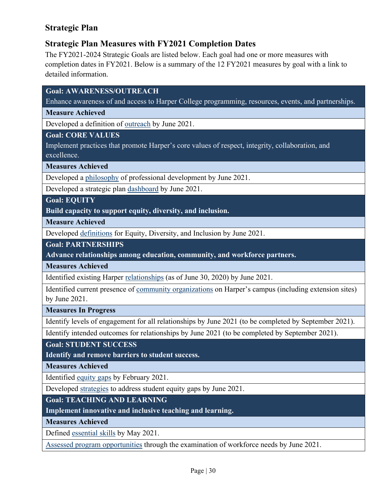### **Strategic Plan Measures with FY2021 Completion Dates**

The FY2021-2024 Strategic Goals are listed below. Each goal had one or more measures with completion dates in FY2021. Below is a summary of the 12 FY2021 measures by goal with a link to detailed information.

**Goal: AWARENESS/OUTREACH**

Enhance awareness of and access to Harper College programming, resources, events, and partnerships.

**Measure Achieved**

Developed a definition of [outreach](#page-38-0) by June 2021.

**Goal: CORE VALUES**

Implement practices that promote Harper's core values of respect, integrity, collaboration, and excellence.

**Measures Achieved** 

Developed a [philosophy](#page-40-0) of professional development by June 2021.

Developed a strategic plan [dashboard](#page-42-0) by June 2021.

**Goal: EQUITY**

**Build capacity to support equity, diversity, and inclusion.**

**Measure Achieved**

Developed [definitions](#page-43-0) for Equity, Diversity, and Inclusion by June 2021.

**Goal: PARTNERSHIPS**

**Advance relationships among education, community, and workforce partners.**

**Measures Achieved**

Identified existing Harper [relationships](#page-46-0) (as of June 30, 2020) by June 2021.

Identified current presence of [community organizations](#page-46-1) on Harper's campus (including extension sites) by June 2021.

**Measures In Progress**

Identify levels of engagement for all relationships by June 2021 (to be completed by September 2021).

Identify intended outcomes for relationships by June 2021 (to be completed by September 2021).

**Goal: STUDENT SUCCESS**

**Identify and remove barriers to student success.**

**Measures Achieved**

Identified [equity gaps](#page-48-0) by February 2021.

Developed [strategies](#page-49-0) to address student equity gaps by June 2021.

**Goal: TEACHING AND LEARNING**

**Implement innovative and inclusive teaching and learning.**

**Measures Achieved** 

Defined [essential skills](#page-51-0) by May 2021.

[Assessed program opportunities](#page-51-1) through the examination of workforce needs by June 2021.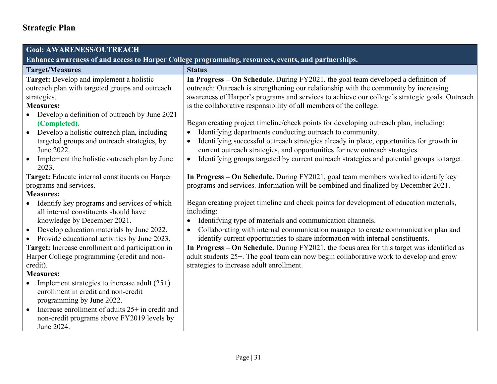<span id="page-38-0"></span>

| <b>Goal: AWARENESS/OUTREACH</b>                                                                     |                                                                                                                                                                         |
|-----------------------------------------------------------------------------------------------------|-------------------------------------------------------------------------------------------------------------------------------------------------------------------------|
| Enhance awareness of and access to Harper College programming, resources, events, and partnerships. |                                                                                                                                                                         |
| <b>Target/Measures</b>                                                                              | <b>Status</b>                                                                                                                                                           |
| Target: Develop and implement a holistic                                                            | In Progress - On Schedule. During FY2021, the goal team developed a definition of                                                                                       |
| outreach plan with targeted groups and outreach                                                     | outreach: Outreach is strengthening our relationship with the community by increasing                                                                                   |
| strategies.                                                                                         | awareness of Harper's programs and services to achieve our college's strategic goals. Outreach                                                                          |
| <b>Measures:</b>                                                                                    | is the collaborative responsibility of all members of the college.                                                                                                      |
| Develop a definition of outreach by June 2021                                                       |                                                                                                                                                                         |
| (Completed).                                                                                        | Began creating project timeline/check points for developing outreach plan, including:                                                                                   |
| Develop a holistic outreach plan, including                                                         | Identifying departments conducting outreach to community.<br>$\bullet$                                                                                                  |
| targeted groups and outreach strategies, by<br>June 2022.                                           | Identifying successful outreach strategies already in place, opportunities for growth in<br>current outreach strategies, and opportunities for new outreach strategies. |
| Implement the holistic outreach plan by June<br>$\bullet$                                           | Identifying groups targeted by current outreach strategies and potential groups to target.<br>$\bullet$                                                                 |
| 2023.                                                                                               |                                                                                                                                                                         |
| Target: Educate internal constituents on Harper                                                     | In Progress - On Schedule. During FY2021, goal team members worked to identify key                                                                                      |
| programs and services.                                                                              | programs and services. Information will be combined and finalized by December 2021.                                                                                     |
| <b>Measures:</b>                                                                                    |                                                                                                                                                                         |
| Identify key programs and services of which                                                         | Began creating project timeline and check points for development of education materials,                                                                                |
| all internal constituents should have                                                               | including:                                                                                                                                                              |
| knowledge by December 2021.                                                                         | Identifying type of materials and communication channels.<br>$\bullet$                                                                                                  |
| Develop education materials by June 2022.                                                           | Collaborating with internal communication manager to create communication plan and                                                                                      |
| Provide educational activities by June 2023.<br>$\bullet$                                           | identify current opportunities to share information with internal constituents.                                                                                         |
| Target: Increase enrollment and participation in                                                    | In Progress – On Schedule. During FY2021, the focus area for this target was identified as                                                                              |
| Harper College programming (credit and non-                                                         | adult students 25+. The goal team can now begin collaborative work to develop and grow                                                                                  |
| credit).                                                                                            | strategies to increase adult enrollment.                                                                                                                                |
| <b>Measures:</b>                                                                                    |                                                                                                                                                                         |
| Implement strategies to increase adult $(25+)$<br>enrollment in credit and non-credit               |                                                                                                                                                                         |
| programming by June 2022.                                                                           |                                                                                                                                                                         |
| Increase enrollment of adults 25+ in credit and                                                     |                                                                                                                                                                         |
| non-credit programs above FY2019 levels by                                                          |                                                                                                                                                                         |
| June 2024.                                                                                          |                                                                                                                                                                         |
|                                                                                                     |                                                                                                                                                                         |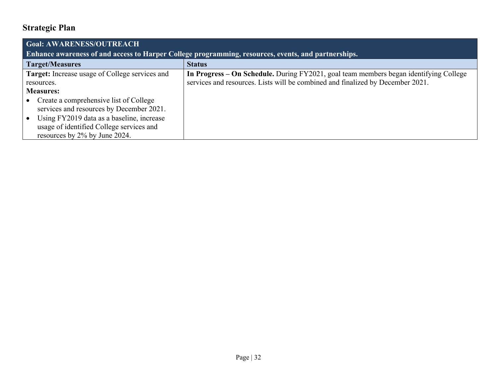| <b>Goal: AWARENESS/OUTREACH</b>                                                                     |                                                                                       |
|-----------------------------------------------------------------------------------------------------|---------------------------------------------------------------------------------------|
| Enhance awareness of and access to Harper College programming, resources, events, and partnerships. |                                                                                       |
| <b>Target/Measures</b>                                                                              | <b>Status</b>                                                                         |
| <b>Target:</b> Increase usage of College services and                                               | In Progress - On Schedule. During FY2021, goal team members began identifying College |
| resources.                                                                                          | services and resources. Lists will be combined and finalized by December 2021.        |
| <b>Measures:</b>                                                                                    |                                                                                       |
| Create a comprehensive list of College                                                              |                                                                                       |
| services and resources by December 2021.                                                            |                                                                                       |
| Using FY2019 data as a baseline, increase                                                           |                                                                                       |
| usage of identified College services and                                                            |                                                                                       |
| resources by 2% by June 2024.                                                                       |                                                                                       |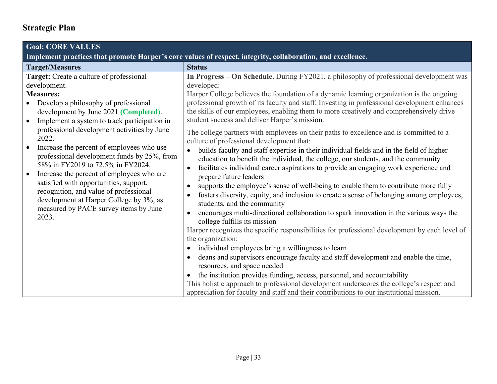<span id="page-40-0"></span>

| <b>Goal: CORE VALUES</b>                                                                                                                                                                                                                                                                                                                                                              |                                                                                                                                                                                                                                                                                                                                                                                                                                                                                                                                                                                                                                                                                                                                                                                                                                                                                                                                                                                                                                                                                                                                                                                                                                          |
|---------------------------------------------------------------------------------------------------------------------------------------------------------------------------------------------------------------------------------------------------------------------------------------------------------------------------------------------------------------------------------------|------------------------------------------------------------------------------------------------------------------------------------------------------------------------------------------------------------------------------------------------------------------------------------------------------------------------------------------------------------------------------------------------------------------------------------------------------------------------------------------------------------------------------------------------------------------------------------------------------------------------------------------------------------------------------------------------------------------------------------------------------------------------------------------------------------------------------------------------------------------------------------------------------------------------------------------------------------------------------------------------------------------------------------------------------------------------------------------------------------------------------------------------------------------------------------------------------------------------------------------|
| Implement practices that promote Harper's core values of respect, integrity, collaboration, and excellence.                                                                                                                                                                                                                                                                           |                                                                                                                                                                                                                                                                                                                                                                                                                                                                                                                                                                                                                                                                                                                                                                                                                                                                                                                                                                                                                                                                                                                                                                                                                                          |
| <b>Target/Measures</b>                                                                                                                                                                                                                                                                                                                                                                | <b>Status</b>                                                                                                                                                                                                                                                                                                                                                                                                                                                                                                                                                                                                                                                                                                                                                                                                                                                                                                                                                                                                                                                                                                                                                                                                                            |
| Target: Create a culture of professional<br>development.                                                                                                                                                                                                                                                                                                                              | In Progress - On Schedule. During FY2021, a philosophy of professional development was<br>developed:                                                                                                                                                                                                                                                                                                                                                                                                                                                                                                                                                                                                                                                                                                                                                                                                                                                                                                                                                                                                                                                                                                                                     |
| <b>Measures:</b><br>Develop a philosophy of professional<br>development by June 2021 (Completed).<br>Implement a system to track participation in<br>$\bullet$<br>professional development activities by June<br>2022.                                                                                                                                                                | Harper College believes the foundation of a dynamic learning organization is the ongoing<br>professional growth of its faculty and staff. Investing in professional development enhances<br>the skills of our employees, enabling them to more creatively and comprehensively drive<br>student success and deliver Harper's mission.<br>The college partners with employees on their paths to excellence and is committed to a<br>culture of professional development that:                                                                                                                                                                                                                                                                                                                                                                                                                                                                                                                                                                                                                                                                                                                                                              |
| Increase the percent of employees who use<br>$\bullet$<br>professional development funds by 25%, from<br>58% in FY2019 to 72.5% in FY2024.<br>Increase the percent of employees who are<br>$\bullet$<br>satisfied with opportunities, support,<br>recognition, and value of professional<br>development at Harper College by 3%, as<br>measured by PACE survey items by June<br>2023. | builds faculty and staff expertise in their individual fields and in the field of higher<br>education to benefit the individual, the college, our students, and the community<br>facilitates individual career aspirations to provide an engaging work experience and<br>prepare future leaders<br>supports the employee's sense of well-being to enable them to contribute more fully<br>fosters diversity, equity, and inclusion to create a sense of belonging among employees,<br>students, and the community<br>encourages multi-directional collaboration to spark innovation in the various ways the<br>college fulfills its mission<br>Harper recognizes the specific responsibilities for professional development by each level of<br>the organization:<br>individual employees bring a willingness to learn<br>$\bullet$<br>deans and supervisors encourage faculty and staff development and enable the time,<br>resources, and space needed<br>the institution provides funding, access, personnel, and accountability<br>$\bullet$<br>This holistic approach to professional development underscores the college's respect and<br>appreciation for faculty and staff and their contributions to our institutional mission. |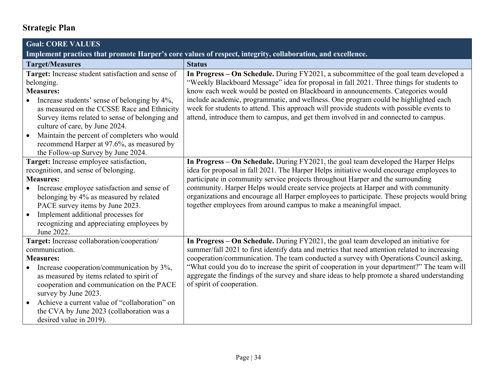| <b>Goal: CORE VALUES</b>                                                                                    |                                                                                                                                                                                            |
|-------------------------------------------------------------------------------------------------------------|--------------------------------------------------------------------------------------------------------------------------------------------------------------------------------------------|
| Implement practices that promote Harper's core values of respect, integrity, collaboration, and excellence. |                                                                                                                                                                                            |
| <b>Target/Measures</b>                                                                                      | <b>Status</b>                                                                                                                                                                              |
| Target: Increase student satisfaction and sense of                                                          | In Progress - On Schedule. During FY2021, a subcommittee of the goal team developed a                                                                                                      |
| belonging.                                                                                                  | "Weekly Blackboard Message" idea for proposal in fall 2021. Three things for students to                                                                                                   |
| <b>Measures:</b>                                                                                            | know each week would be posted on Blackboard in announcements. Categories would                                                                                                            |
| Increase students' sense of belonging by 4%,                                                                | include academic, programmatic, and wellness. One program could be highlighted each                                                                                                        |
| as measured on the CCSSE Race and Ethnicity                                                                 | week for students to attend. This approach will provide students with possible events to                                                                                                   |
| Survey items related to sense of belonging and<br>culture of care, by June 2024.                            | attend, introduce them to campus, and get them involved in and connected to campus.                                                                                                        |
| Maintain the percent of completers who would<br>$\bullet$                                                   |                                                                                                                                                                                            |
| recommend Harper at 97.6%, as measured by                                                                   |                                                                                                                                                                                            |
| the Follow-up Survey by June 2024.                                                                          |                                                                                                                                                                                            |
| Target: Increase employee satisfaction,                                                                     | In Progress - On Schedule. During FY2021, the goal team developed the Harper Helps                                                                                                         |
| recognition, and sense of belonging.                                                                        | idea for proposal in fall 2021. The Harper Helps initiative would encourage employees to                                                                                                   |
| <b>Measures:</b>                                                                                            | participate in community service projects throughout Harper and the surrounding                                                                                                            |
| Increase employee satisfaction and sense of                                                                 | community. Harper Helps would create service projects at Harper and with community                                                                                                         |
| belonging by 4% as measured by related                                                                      | organizations and encourage all Harper employees to participate. These projects would bring                                                                                                |
| PACE survey items by June 2023.                                                                             | together employees from around campus to make a meaningful impact.                                                                                                                         |
| Implement additional processes for                                                                          |                                                                                                                                                                                            |
| recognizing and appreciating employees by                                                                   |                                                                                                                                                                                            |
| June 2022.                                                                                                  |                                                                                                                                                                                            |
| Target: Increase collaboration/cooperation/                                                                 | In Progress – On Schedule. During FY2021, the goal team developed an initiative for                                                                                                        |
| communication.                                                                                              | summer/fall 2021 to first identify data and metrics that need attention related to increasing                                                                                              |
| <b>Measures:</b>                                                                                            | cooperation/communication. The team conducted a survey with Operations Council asking,                                                                                                     |
| Increase cooperation/communication by 3%,<br>$\bullet$                                                      | "What could you do to increase the spirit of cooperation in your department?" The team will<br>aggregate the findings of the survey and share ideas to help promote a shared understanding |
| as measured by items related to spirit of                                                                   | of spirit of cooperation.                                                                                                                                                                  |
| cooperation and communication on the PACE<br>survey by June 2023.                                           |                                                                                                                                                                                            |
| Achieve a current value of "collaboration" on<br>$\bullet$                                                  |                                                                                                                                                                                            |
| the CVA by June 2023 (collaboration was a                                                                   |                                                                                                                                                                                            |
| desired value in 2019).                                                                                     |                                                                                                                                                                                            |
|                                                                                                             |                                                                                                                                                                                            |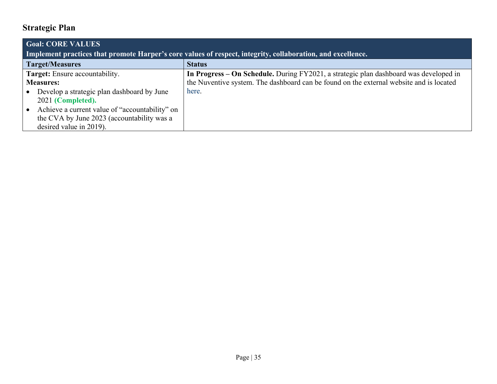<span id="page-42-0"></span>

| <b>Goal: CORE VALUES</b>                                                                                    |                                                                                         |
|-------------------------------------------------------------------------------------------------------------|-----------------------------------------------------------------------------------------|
| Implement practices that promote Harper's core values of respect, integrity, collaboration, and excellence. |                                                                                         |
| <b>Target/Measures</b>                                                                                      | <b>Status</b>                                                                           |
| Target: Ensure accountability.                                                                              | In Progress – On Schedule. During FY2021, a strategic plan dashboard was developed in   |
| <b>Measures:</b>                                                                                            | the Nuventive system. The dashboard can be found on the external website and is located |
| Develop a strategic plan dashboard by June                                                                  | here.                                                                                   |
| 2021 (Completed).                                                                                           |                                                                                         |
| Achieve a current value of "accountability" on                                                              |                                                                                         |
| the CVA by June 2023 (accountability was a                                                                  |                                                                                         |
| desired value in 2019).                                                                                     |                                                                                         |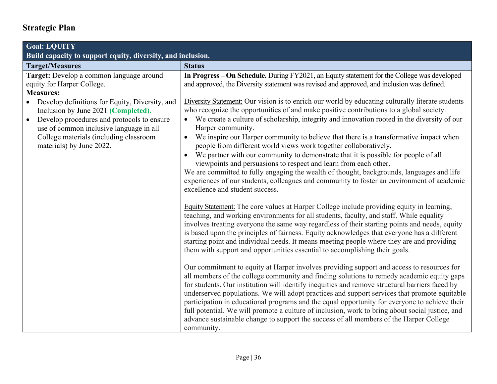<span id="page-43-0"></span>

| <b>Goal: EQUITY</b>                                                                                                                                                                                                                                               |                                                                                                                                                                                                                                                                                                                                                                                                                                                                                                                                                                                                                                                                                                                                                                                                                                                                                                                                                                                                                                                                                                                                                                                                                                                                                                                                                                                                                                                                                                                                                                                                                                                                                                                                                                                                                                                                                                                                                                                                                                                                                                                                                                            |
|-------------------------------------------------------------------------------------------------------------------------------------------------------------------------------------------------------------------------------------------------------------------|----------------------------------------------------------------------------------------------------------------------------------------------------------------------------------------------------------------------------------------------------------------------------------------------------------------------------------------------------------------------------------------------------------------------------------------------------------------------------------------------------------------------------------------------------------------------------------------------------------------------------------------------------------------------------------------------------------------------------------------------------------------------------------------------------------------------------------------------------------------------------------------------------------------------------------------------------------------------------------------------------------------------------------------------------------------------------------------------------------------------------------------------------------------------------------------------------------------------------------------------------------------------------------------------------------------------------------------------------------------------------------------------------------------------------------------------------------------------------------------------------------------------------------------------------------------------------------------------------------------------------------------------------------------------------------------------------------------------------------------------------------------------------------------------------------------------------------------------------------------------------------------------------------------------------------------------------------------------------------------------------------------------------------------------------------------------------------------------------------------------------------------------------------------------------|
| Build capacity to support equity, diversity, and inclusion.                                                                                                                                                                                                       |                                                                                                                                                                                                                                                                                                                                                                                                                                                                                                                                                                                                                                                                                                                                                                                                                                                                                                                                                                                                                                                                                                                                                                                                                                                                                                                                                                                                                                                                                                                                                                                                                                                                                                                                                                                                                                                                                                                                                                                                                                                                                                                                                                            |
| <b>Target/Measures</b>                                                                                                                                                                                                                                            | <b>Status</b>                                                                                                                                                                                                                                                                                                                                                                                                                                                                                                                                                                                                                                                                                                                                                                                                                                                                                                                                                                                                                                                                                                                                                                                                                                                                                                                                                                                                                                                                                                                                                                                                                                                                                                                                                                                                                                                                                                                                                                                                                                                                                                                                                              |
| Target: Develop a common language around<br>equity for Harper College.<br><b>Measures:</b>                                                                                                                                                                        | In Progress - On Schedule. During FY2021, an Equity statement for the College was developed<br>and approved, the Diversity statement was revised and approved, and inclusion was defined.                                                                                                                                                                                                                                                                                                                                                                                                                                                                                                                                                                                                                                                                                                                                                                                                                                                                                                                                                                                                                                                                                                                                                                                                                                                                                                                                                                                                                                                                                                                                                                                                                                                                                                                                                                                                                                                                                                                                                                                  |
| Develop definitions for Equity, Diversity, and<br>Inclusion by June 2021 (Completed).<br>Develop procedures and protocols to ensure<br>$\bullet$<br>use of common inclusive language in all<br>College materials (including classroom<br>materials) by June 2022. | Diversity Statement: Our vision is to enrich our world by educating culturally literate students<br>who recognize the opportunities of and make positive contributions to a global society.<br>We create a culture of scholarship, integrity and innovation rooted in the diversity of our<br>Harper community.<br>We inspire our Harper community to believe that there is a transformative impact when<br>$\bullet$<br>people from different world views work together collaboratively.<br>We partner with our community to demonstrate that it is possible for people of all<br>$\bullet$<br>viewpoints and persuasions to respect and learn from each other.<br>We are committed to fully engaging the wealth of thought, backgrounds, languages and life<br>experiences of our students, colleagues and community to foster an environment of academic<br>excellence and student success.<br>Equity Statement: The core values at Harper College include providing equity in learning,<br>teaching, and working environments for all students, faculty, and staff. While equality<br>involves treating everyone the same way regardless of their starting points and needs, equity<br>is based upon the principles of fairness. Equity acknowledges that everyone has a different<br>starting point and individual needs. It means meeting people where they are and providing<br>them with support and opportunities essential to accomplishing their goals.<br>Our commitment to equity at Harper involves providing support and access to resources for<br>all members of the college community and finding solutions to remedy academic equity gaps<br>for students. Our institution will identify inequities and remove structural barriers faced by<br>underserved populations. We will adopt practices and support services that promote equitable<br>participation in educational programs and the equal opportunity for everyone to achieve their<br>full potential. We will promote a culture of inclusion, work to bring about social justice, and<br>advance sustainable change to support the success of all members of the Harper College<br>community. |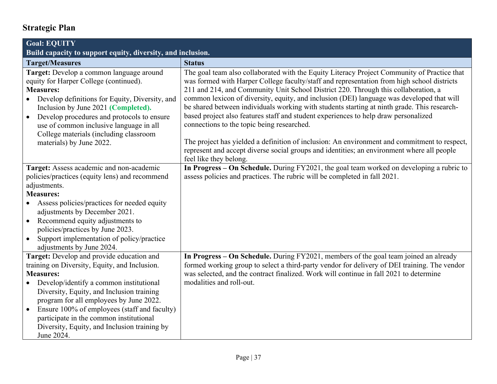| <b>Goal: EQUITY</b>                                                                                                                                                                                                                                                                                                                                                                                                     |                                                                                                                                                                                                                                                                                                                                                                                                                                                                                                                                                                                                                                                                                                                                                                                                                                          |
|-------------------------------------------------------------------------------------------------------------------------------------------------------------------------------------------------------------------------------------------------------------------------------------------------------------------------------------------------------------------------------------------------------------------------|------------------------------------------------------------------------------------------------------------------------------------------------------------------------------------------------------------------------------------------------------------------------------------------------------------------------------------------------------------------------------------------------------------------------------------------------------------------------------------------------------------------------------------------------------------------------------------------------------------------------------------------------------------------------------------------------------------------------------------------------------------------------------------------------------------------------------------------|
| Build capacity to support equity, diversity, and inclusion.                                                                                                                                                                                                                                                                                                                                                             |                                                                                                                                                                                                                                                                                                                                                                                                                                                                                                                                                                                                                                                                                                                                                                                                                                          |
| <b>Target/Measures</b>                                                                                                                                                                                                                                                                                                                                                                                                  | <b>Status</b>                                                                                                                                                                                                                                                                                                                                                                                                                                                                                                                                                                                                                                                                                                                                                                                                                            |
| Target: Develop a common language around<br>equity for Harper College (continued).<br><b>Measures:</b><br>Develop definitions for Equity, Diversity, and<br>Inclusion by June 2021 (Completed).<br>Develop procedures and protocols to ensure<br>$\bullet$<br>use of common inclusive language in all<br>College materials (including classroom<br>materials) by June 2022.                                             | The goal team also collaborated with the Equity Literacy Project Community of Practice that<br>was formed with Harper College faculty/staff and representation from high school districts<br>211 and 214, and Community Unit School District 220. Through this collaboration, a<br>common lexicon of diversity, equity, and inclusion (DEI) language was developed that will<br>be shared between individuals working with students starting at ninth grade. This research-<br>based project also features staff and student experiences to help draw personalized<br>connections to the topic being researched.<br>The project has yielded a definition of inclusion: An environment and commitment to respect,<br>represent and accept diverse social groups and identities; an environment where all people<br>feel like they belong. |
| Target: Assess academic and non-academic<br>policies/practices (equity lens) and recommend<br>adjustments.<br><b>Measures:</b><br>Assess policies/practices for needed equity<br>adjustments by December 2021.<br>Recommend equity adjustments to<br>$\bullet$<br>policies/practices by June 2023.<br>Support implementation of policy/practice<br>$\bullet$<br>adjustments by June 2024.                               | In Progress – On Schedule. During FY2021, the goal team worked on developing a rubric to<br>assess policies and practices. The rubric will be completed in fall 2021.                                                                                                                                                                                                                                                                                                                                                                                                                                                                                                                                                                                                                                                                    |
| Target: Develop and provide education and<br>training on Diversity, Equity, and Inclusion.<br><b>Measures:</b><br>Develop/identify a common institutional<br>Diversity, Equity, and Inclusion training<br>program for all employees by June 2022.<br>Ensure 100% of employees (staff and faculty)<br>$\bullet$<br>participate in the common institutional<br>Diversity, Equity, and Inclusion training by<br>June 2024. | In Progress – On Schedule. During FY2021, members of the goal team joined an already<br>formed working group to select a third-party vendor for delivery of DEI training. The vendor<br>was selected, and the contract finalized. Work will continue in fall 2021 to determine<br>modalities and roll-out.                                                                                                                                                                                                                                                                                                                                                                                                                                                                                                                               |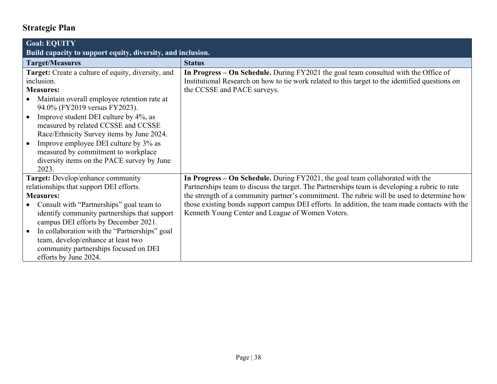| <b>Goal: EQUITY</b><br>Build capacity to support equity, diversity, and inclusion. |                                                                                                 |
|------------------------------------------------------------------------------------|-------------------------------------------------------------------------------------------------|
| <b>Target/Measures</b>                                                             | <b>Status</b>                                                                                   |
| Target: Create a culture of equity, diversity, and                                 | In Progress – On Schedule. During FY2021 the goal team consulted with the Office of             |
| inclusion.                                                                         | Institutional Research on how to tie work related to this target to the identified questions on |
| <b>Measures:</b>                                                                   | the CCSSE and PACE surveys.                                                                     |
| Maintain overall employee retention rate at                                        |                                                                                                 |
| 94.0% (FY2019 versus FY2023).                                                      |                                                                                                 |
| Improve student DEI culture by 4%, as                                              |                                                                                                 |
| measured by related CCSSE and CCSSE<br>Race/Ethnicity Survey items by June 2024.   |                                                                                                 |
| Improve employee DEI culture by 3% as                                              |                                                                                                 |
| measured by commitment to workplace                                                |                                                                                                 |
| diversity items on the PACE survey by June                                         |                                                                                                 |
| 2023.                                                                              |                                                                                                 |
| Target: Develop/enhance community                                                  | In Progress – On Schedule. During FY2021, the goal team collaborated with the                   |
| relationships that support DEI efforts.                                            | Partnerships team to discuss the target. The Partnerships team is developing a rubric to rate   |
| <b>Measures:</b>                                                                   | the strength of a community partner's commitment. The rubric will be used to determine how      |
| Consult with "Partnerships" goal team to                                           | those existing bonds support campus DEI efforts. In addition, the team made contacts with the   |
| identify community partnerships that support                                       | Kenneth Young Center and League of Women Voters.                                                |
| campus DEI efforts by December 2021.                                               |                                                                                                 |
| In collaboration with the "Partnerships" goal                                      |                                                                                                 |
| team, develop/enhance at least two                                                 |                                                                                                 |
| community partnerships focused on DEI                                              |                                                                                                 |
| efforts by June 2024.                                                              |                                                                                                 |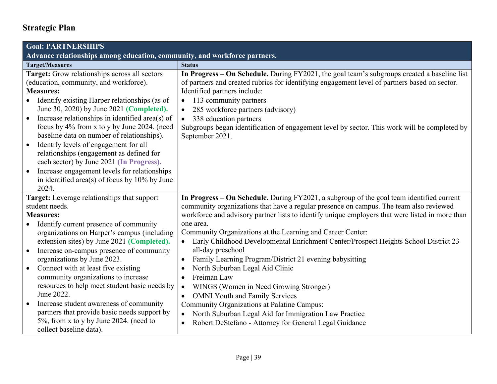<span id="page-46-1"></span><span id="page-46-0"></span>

| <b>Goal: PARTNERSHIPS</b>                                                                                                                                                                                                                                                                                                                                                                                                                                                                                                                                                                                                         |                                                                                                                                                                                                                                                                                                                                                                                                                                                                                 |  |
|-----------------------------------------------------------------------------------------------------------------------------------------------------------------------------------------------------------------------------------------------------------------------------------------------------------------------------------------------------------------------------------------------------------------------------------------------------------------------------------------------------------------------------------------------------------------------------------------------------------------------------------|---------------------------------------------------------------------------------------------------------------------------------------------------------------------------------------------------------------------------------------------------------------------------------------------------------------------------------------------------------------------------------------------------------------------------------------------------------------------------------|--|
| Advance relationships among education, community, and workforce partners.                                                                                                                                                                                                                                                                                                                                                                                                                                                                                                                                                         |                                                                                                                                                                                                                                                                                                                                                                                                                                                                                 |  |
| <b>Target/Measures</b>                                                                                                                                                                                                                                                                                                                                                                                                                                                                                                                                                                                                            | <b>Status</b>                                                                                                                                                                                                                                                                                                                                                                                                                                                                   |  |
| Target: Grow relationships across all sectors<br>(education, community, and workforce).<br><b>Measures:</b><br>Identify existing Harper relationships (as of<br>June 30, 2020) by June 2021 (Completed).<br>Increase relationships in identified area(s) of<br>$\bullet$<br>focus by 4% from x to y by June 2024. (need<br>baseline data on number of relationships).<br>Identify levels of engagement for all<br>$\bullet$<br>relationships (engagement as defined for<br>each sector) by June 2021 (In Progress).<br>Increase engagement levels for relationships<br>$\bullet$<br>in identified area(s) of focus by 10% by June | In Progress – On Schedule. During FY2021, the goal team's subgroups created a baseline list<br>of partners and created rubrics for identifying engagement level of partners based on sector.<br>Identified partners include:<br>113 community partners<br>$\bullet$<br>285 workforce partners (advisory)<br>$\bullet$<br>338 education partners<br>$\bullet$<br>Subgroups began identification of engagement level by sector. This work will be completed by<br>September 2021. |  |
| 2024.<br>Target: Leverage relationships that support<br>student needs.                                                                                                                                                                                                                                                                                                                                                                                                                                                                                                                                                            | In Progress - On Schedule. During FY2021, a subgroup of the goal team identified current<br>community organizations that have a regular presence on campus. The team also reviewed                                                                                                                                                                                                                                                                                              |  |
| <b>Measures:</b>                                                                                                                                                                                                                                                                                                                                                                                                                                                                                                                                                                                                                  | workforce and advisory partner lists to identify unique employers that were listed in more than                                                                                                                                                                                                                                                                                                                                                                                 |  |
| Identify current presence of community<br>organizations on Harper's campus (including<br>extension sites) by June 2021 (Completed).                                                                                                                                                                                                                                                                                                                                                                                                                                                                                               | one area.<br>Community Organizations at the Learning and Career Center:<br>Early Childhood Developmental Enrichment Center/Prospect Heights School District 23                                                                                                                                                                                                                                                                                                                  |  |
| Increase on-campus presence of community<br>$\bullet$<br>organizations by June 2023.                                                                                                                                                                                                                                                                                                                                                                                                                                                                                                                                              | all-day preschool<br>Family Learning Program/District 21 evening babysitting<br>$\bullet$                                                                                                                                                                                                                                                                                                                                                                                       |  |
| Connect with at least five existing<br>$\bullet$<br>community organizations to increase<br>resources to help meet student basic needs by<br>June 2022.                                                                                                                                                                                                                                                                                                                                                                                                                                                                            | North Suburban Legal Aid Clinic<br>$\bullet$<br>Freiman Law<br>$\bullet$<br>WINGS (Women in Need Growing Stronger)<br>$\bullet$<br><b>OMNI Youth and Family Services</b><br>$\bullet$                                                                                                                                                                                                                                                                                           |  |
| Increase student awareness of community<br>$\bullet$<br>partners that provide basic needs support by<br>5%, from x to y by June 2024. (need to<br>collect baseline data).                                                                                                                                                                                                                                                                                                                                                                                                                                                         | Community Organizations at Palatine Campus:<br>North Suburban Legal Aid for Immigration Law Practice<br>$\bullet$<br>Robert DeStefano - Attorney for General Legal Guidance<br>$\bullet$                                                                                                                                                                                                                                                                                        |  |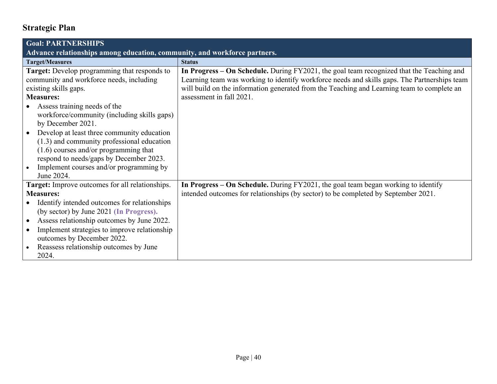| <b>Goal: PARTNERSHIPS</b>                                                 |                                                                                              |
|---------------------------------------------------------------------------|----------------------------------------------------------------------------------------------|
| Advance relationships among education, community, and workforce partners. |                                                                                              |
| <b>Target/Measures</b>                                                    | <b>Status</b>                                                                                |
| Target: Develop programming that responds to                              | In Progress – On Schedule. During FY2021, the goal team recognized that the Teaching and     |
| community and workforce needs, including                                  | Learning team was working to identify workforce needs and skills gaps. The Partnerships team |
| existing skills gaps.                                                     | will build on the information generated from the Teaching and Learning team to complete an   |
| <b>Measures:</b>                                                          | assessment in fall 2021.                                                                     |
| Assess training needs of the                                              |                                                                                              |
| workforce/community (including skills gaps)                               |                                                                                              |
| by December 2021.                                                         |                                                                                              |
| Develop at least three community education                                |                                                                                              |
| $(1.3)$ and community professional education                              |                                                                                              |
| $(1.6)$ courses and/or programming that                                   |                                                                                              |
| respond to needs/gaps by December 2023.                                   |                                                                                              |
| Implement courses and/or programming by                                   |                                                                                              |
| June 2024.                                                                |                                                                                              |
| Target: Improve outcomes for all relationships.                           | In Progress – On Schedule. During FY2021, the goal team began working to identify            |
| <b>Measures:</b>                                                          | intended outcomes for relationships (by sector) to be completed by September 2021.           |
| Identify intended outcomes for relationships                              |                                                                                              |
| (by sector) by June 2021 (In Progress).                                   |                                                                                              |
| Assess relationship outcomes by June 2022.<br>$\bullet$                   |                                                                                              |
| Implement strategies to improve relationship                              |                                                                                              |
| outcomes by December 2022.                                                |                                                                                              |
| Reassess relationship outcomes by June                                    |                                                                                              |
| 2024.                                                                     |                                                                                              |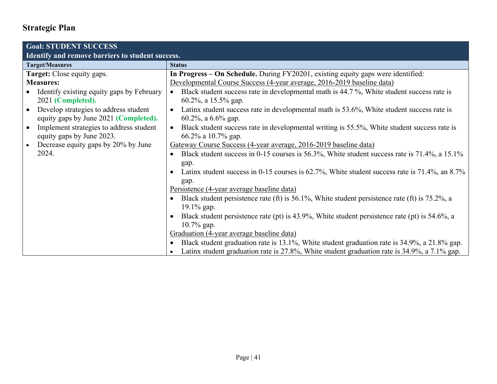<span id="page-48-0"></span>

| <b>Goal: STUDENT SUCCESS</b>                                                                |                                                                                                                                                                                              |
|---------------------------------------------------------------------------------------------|----------------------------------------------------------------------------------------------------------------------------------------------------------------------------------------------|
| Identify and remove barriers to student success.                                            |                                                                                                                                                                                              |
| <b>Target/Measures</b>                                                                      | <b>Status</b>                                                                                                                                                                                |
| Target: Close equity gaps.                                                                  | In Progress – On Schedule. During FY20201, existing equity gaps were identified:                                                                                                             |
| <b>Measures:</b>                                                                            | Developmental Course Success (4-year average, 2016-2019 baseline data)                                                                                                                       |
| Identify existing equity gaps by February<br>$\bullet$<br>2021 (Completed).                 | Black student success rate in developmental math is 44.7 %, White student success rate is<br>$60.2\%$ , a 15.5% gap.                                                                         |
| Develop strategies to address student<br>$\bullet$<br>equity gaps by June 2021 (Completed). | Latinx student success rate in developmental math is 53.6%, White student success rate is<br>$\bullet$<br>$60.2\%$ , a $6.6\%$ gap.                                                          |
| Implement strategies to address student<br>$\bullet$<br>equity gaps by June 2023.           | Black student success rate in developmental writing is 55.5%, White student success rate is<br>$\bullet$<br>66.2% a 10.7% gap.                                                               |
| Decrease equity gaps by 20% by June<br>$\bullet$                                            | Gateway Course Success (4-year average, 2016-2019 baseline data)                                                                                                                             |
| 2024.                                                                                       | Black student success in 0-15 courses is 56.3%, White student success rate is 71.4%, a 15.1%<br>gap.                                                                                         |
|                                                                                             | Latinx student success in 0-15 courses is 62.7%, White student success rate is 71.4%, an 8.7%<br>gap.                                                                                        |
|                                                                                             | Persistence (4-year average baseline data)                                                                                                                                                   |
|                                                                                             | Black student persistence rate (ft) is 56.1%, White student persistence rate (ft) is 75.2%, a<br>$19.1\%$ gap.                                                                               |
|                                                                                             | Black student persistence rate (pt) is 43.9%, White student persistence rate (pt) is 54.6%, a<br>$10.7\%$ gap.                                                                               |
|                                                                                             | Graduation (4-year average baseline data)                                                                                                                                                    |
|                                                                                             | Black student graduation rate is 13.1%, White student graduation rate is 34.9%, a 21.8% gap.<br>Latinx student graduation rate is 27.8%, White student graduation rate is 34.9%, a 7.1% gap. |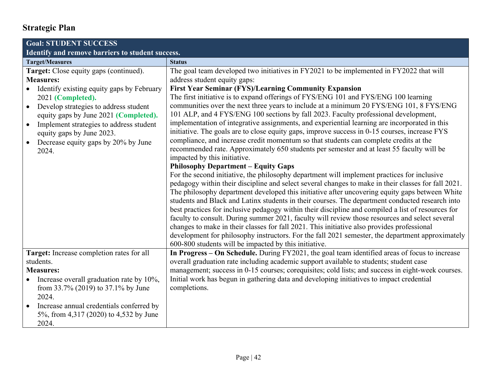<span id="page-49-0"></span>

| <b>Goal: STUDENT SUCCESS</b>                                                                                                                                                                                                                                                                                                                                     |                                                                                                                                                                                                                                                                                                                                                                                                                                                                                                                                                                                                                                                                                                                                                                                                                                                                                                                                                                                                                                                                                                                                                                                                                                                                                                                                                                                                                                                                                                                                                                                                                                                                                                                                                                                                                      |  |
|------------------------------------------------------------------------------------------------------------------------------------------------------------------------------------------------------------------------------------------------------------------------------------------------------------------------------------------------------------------|----------------------------------------------------------------------------------------------------------------------------------------------------------------------------------------------------------------------------------------------------------------------------------------------------------------------------------------------------------------------------------------------------------------------------------------------------------------------------------------------------------------------------------------------------------------------------------------------------------------------------------------------------------------------------------------------------------------------------------------------------------------------------------------------------------------------------------------------------------------------------------------------------------------------------------------------------------------------------------------------------------------------------------------------------------------------------------------------------------------------------------------------------------------------------------------------------------------------------------------------------------------------------------------------------------------------------------------------------------------------------------------------------------------------------------------------------------------------------------------------------------------------------------------------------------------------------------------------------------------------------------------------------------------------------------------------------------------------------------------------------------------------------------------------------------------------|--|
| Identify and remove barriers to student success.                                                                                                                                                                                                                                                                                                                 |                                                                                                                                                                                                                                                                                                                                                                                                                                                                                                                                                                                                                                                                                                                                                                                                                                                                                                                                                                                                                                                                                                                                                                                                                                                                                                                                                                                                                                                                                                                                                                                                                                                                                                                                                                                                                      |  |
| <b>Target/Measures</b>                                                                                                                                                                                                                                                                                                                                           | <b>Status</b>                                                                                                                                                                                                                                                                                                                                                                                                                                                                                                                                                                                                                                                                                                                                                                                                                                                                                                                                                                                                                                                                                                                                                                                                                                                                                                                                                                                                                                                                                                                                                                                                                                                                                                                                                                                                        |  |
| Target: Close equity gaps (continued).<br><b>Measures:</b><br>Identify existing equity gaps by February<br>2021 (Completed).<br>Develop strategies to address student<br>$\bullet$<br>equity gaps by June 2021 (Completed).<br>Implement strategies to address student<br>$\bullet$<br>equity gaps by June 2023.<br>Decrease equity gaps by 20% by June<br>2024. | The goal team developed two initiatives in FY2021 to be implemented in FY2022 that will<br>address student equity gaps:<br><b>First Year Seminar (FYS)/Learning Community Expansion</b><br>The first initiative is to expand offerings of FYS/ENG 101 and FYS/ENG 100 learning<br>communities over the next three years to include at a minimum 20 FYS/ENG 101, 8 FYS/ENG<br>101 ALP, and 4 FYS/ENG 100 sections by fall 2023. Faculty professional development,<br>implementation of integrative assignments, and experiential learning are incorporated in this<br>initiative. The goals are to close equity gaps, improve success in 0-15 courses, increase FYS<br>compliance, and increase credit momentum so that students can complete credits at the<br>recommended rate. Approximately 650 students per semester and at least 55 faculty will be<br>impacted by this initiative.<br><b>Philosophy Department - Equity Gaps</b><br>For the second initiative, the philosophy department will implement practices for inclusive<br>pedagogy within their discipline and select several changes to make in their classes for fall 2021.<br>The philosophy department developed this initiative after uncovering equity gaps between White<br>students and Black and Latinx students in their courses. The department conducted research into<br>best practices for inclusive pedagogy within their discipline and compiled a list of resources for<br>faculty to consult. During summer 2021, faculty will review those resources and select several<br>changes to make in their classes for fall 2021. This initiative also provides professional<br>development for philosophy instructors. For the fall 2021 semester, the department approximately<br>600-800 students will be impacted by this initiative. |  |
| Target: Increase completion rates for all<br>students.<br><b>Measures:</b><br>Increase overall graduation rate by 10%,                                                                                                                                                                                                                                           | In Progress – On Schedule. During FY2021, the goal team identified areas of focus to increase<br>overall graduation rate including academic support available to students; student case<br>management; success in 0-15 courses; corequisites; cold lists; and success in eight-week courses.<br>Initial work has begun in gathering data and developing initiatives to impact credential                                                                                                                                                                                                                                                                                                                                                                                                                                                                                                                                                                                                                                                                                                                                                                                                                                                                                                                                                                                                                                                                                                                                                                                                                                                                                                                                                                                                                             |  |
| from 33.7% (2019) to 37.1% by June<br>2024.<br>Increase annual credentials conferred by<br>5%, from 4,317 (2020) to 4,532 by June<br>2024.                                                                                                                                                                                                                       | completions.                                                                                                                                                                                                                                                                                                                                                                                                                                                                                                                                                                                                                                                                                                                                                                                                                                                                                                                                                                                                                                                                                                                                                                                                                                                                                                                                                                                                                                                                                                                                                                                                                                                                                                                                                                                                         |  |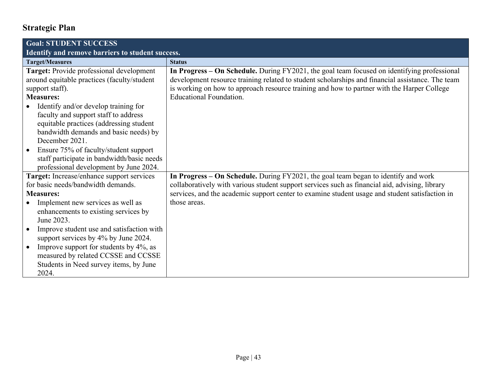| <b>Goal: STUDENT SUCCESS</b>                        |                                                                                                  |
|-----------------------------------------------------|--------------------------------------------------------------------------------------------------|
| Identify and remove barriers to student success.    |                                                                                                  |
| <b>Target/Measures</b>                              | <b>Status</b>                                                                                    |
| Target: Provide professional development            | In Progress – On Schedule. During FY2021, the goal team focused on identifying professional      |
| around equitable practices (faculty/student         | development resource training related to student scholarships and financial assistance. The team |
| support staff).                                     | is working on how to approach resource training and how to partner with the Harper College       |
| <b>Measures:</b>                                    | Educational Foundation.                                                                          |
| Identify and/or develop training for                |                                                                                                  |
| faculty and support staff to address                |                                                                                                  |
| equitable practices (addressing student             |                                                                                                  |
| bandwidth demands and basic needs) by               |                                                                                                  |
| December 2021.                                      |                                                                                                  |
| Ensure 75% of faculty/student support<br>$\bullet$  |                                                                                                  |
| staff participate in bandwidth/basic needs          |                                                                                                  |
| professional development by June 2024.              |                                                                                                  |
| Target: Increase/enhance support services           | In Progress – On Schedule. During FY2021, the goal team began to identify and work               |
| for basic needs/bandwidth demands.                  | collaboratively with various student support services such as financial aid, advising, library   |
| <b>Measures:</b>                                    | services, and the academic support center to examine student usage and student satisfaction in   |
| Implement new services as well as                   | those areas.                                                                                     |
| enhancements to existing services by                |                                                                                                  |
| June 2023.                                          |                                                                                                  |
| Improve student use and satisfaction with           |                                                                                                  |
| support services by 4% by June 2024.                |                                                                                                  |
| Improve support for students by 4%, as<br>$\bullet$ |                                                                                                  |
| measured by related CCSSE and CCSSE                 |                                                                                                  |
| Students in Need survey items, by June              |                                                                                                  |
| 2024.                                               |                                                                                                  |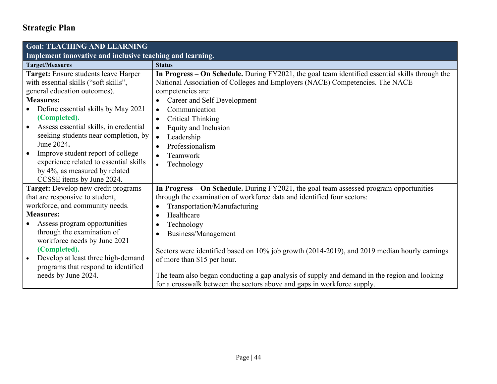<span id="page-51-1"></span><span id="page-51-0"></span>

| <b>Goal: TEACHING AND LEARNING</b>                                            |                                                                                                                                                                                 |
|-------------------------------------------------------------------------------|---------------------------------------------------------------------------------------------------------------------------------------------------------------------------------|
| Implement innovative and inclusive teaching and learning.                     |                                                                                                                                                                                 |
| <b>Target/Measures</b>                                                        | <b>Status</b>                                                                                                                                                                   |
| Target: Ensure students leave Harper<br>with essential skills ("soft skills", | In Progress – On Schedule. During FY2021, the goal team identified essential skills through the<br>National Association of Colleges and Employers (NACE) Competencies. The NACE |
| general education outcomes).                                                  | competencies are:                                                                                                                                                               |
| <b>Measures:</b>                                                              | Career and Self Development                                                                                                                                                     |
| Define essential skills by May 2021                                           | Communication<br>$\bullet$                                                                                                                                                      |
| (Completed).                                                                  | <b>Critical Thinking</b><br>$\bullet$                                                                                                                                           |
| Assess essential skills, in credential                                        | Equity and Inclusion<br>$\bullet$                                                                                                                                               |
| seeking students near completion, by                                          | Leadership<br>$\bullet$                                                                                                                                                         |
| June 2024.                                                                    | Professionalism                                                                                                                                                                 |
| Improve student report of college                                             | Teamwork                                                                                                                                                                        |
| experience related to essential skills                                        | Technology<br>$\bullet$                                                                                                                                                         |
| by 4%, as measured by related                                                 |                                                                                                                                                                                 |
| CCSSE items by June 2024.                                                     |                                                                                                                                                                                 |
| <b>Target:</b> Develop new credit programs<br>that are responsive to student, | In Progress - On Schedule. During FY2021, the goal team assessed program opportunities<br>through the examination of workforce data and identified four sectors:                |
| workforce, and community needs.                                               | Transportation/Manufacturing                                                                                                                                                    |
| <b>Measures:</b>                                                              | Healthcare                                                                                                                                                                      |
| Assess program opportunities                                                  | Technology<br>$\bullet$                                                                                                                                                         |
| through the examination of                                                    | Business/Management                                                                                                                                                             |
| workforce needs by June 2021                                                  |                                                                                                                                                                                 |
| (Completed).                                                                  | Sectors were identified based on 10% job growth (2014-2019), and 2019 median hourly earnings                                                                                    |
| Develop at least three high-demand<br>$\bullet$                               | of more than \$15 per hour.                                                                                                                                                     |
| programs that respond to identified                                           |                                                                                                                                                                                 |
| needs by June 2024.                                                           | The team also began conducting a gap analysis of supply and demand in the region and looking                                                                                    |
|                                                                               | for a crosswalk between the sectors above and gaps in workforce supply.                                                                                                         |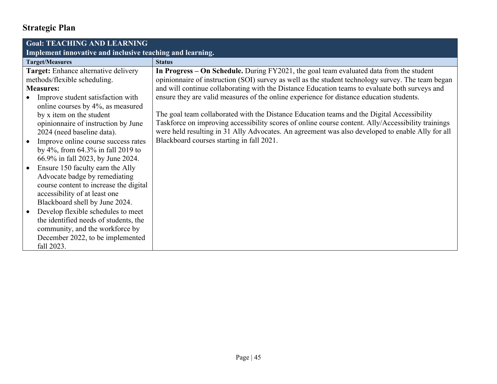| <b>Goal: TEACHING AND LEARNING</b>                        |                                                                                                    |
|-----------------------------------------------------------|----------------------------------------------------------------------------------------------------|
| Implement innovative and inclusive teaching and learning. |                                                                                                    |
| <b>Target/Measures</b>                                    | <b>Status</b>                                                                                      |
| Target: Enhance alternative delivery                      | In Progress – On Schedule. During FY2021, the goal team evaluated data from the student            |
| methods/flexible scheduling.                              | opinionnaire of instruction (SOI) survey as well as the student technology survey. The team began  |
| <b>Measures:</b>                                          | and will continue collaborating with the Distance Education teams to evaluate both surveys and     |
| Improve student satisfaction with                         | ensure they are valid measures of the online experience for distance education students.           |
| online courses by 4%, as measured                         |                                                                                                    |
| by x item on the student                                  | The goal team collaborated with the Distance Education teams and the Digital Accessibility         |
| opinionnaire of instruction by June                       | Taskforce on improving accessibility scores of online course content. Ally/Accessibility trainings |
| 2024 (need baseline data).                                | were held resulting in 31 Ally Advocates. An agreement was also developed to enable Ally for all   |
| Improve online course success rates                       | Blackboard courses starting in fall 2021.                                                          |
| by 4%, from $64.3\%$ in fall 2019 to                      |                                                                                                    |
| 66.9% in fall 2023, by June 2024.                         |                                                                                                    |
| Ensure 150 faculty earn the Ally                          |                                                                                                    |
| Advocate badge by remediating                             |                                                                                                    |
| course content to increase the digital                    |                                                                                                    |
| accessibility of at least one                             |                                                                                                    |
| Blackboard shell by June 2024.                            |                                                                                                    |
| Develop flexible schedules to meet                        |                                                                                                    |
| the identified needs of students, the                     |                                                                                                    |
| community, and the workforce by                           |                                                                                                    |
| December 2022, to be implemented                          |                                                                                                    |
| fall 2023.                                                |                                                                                                    |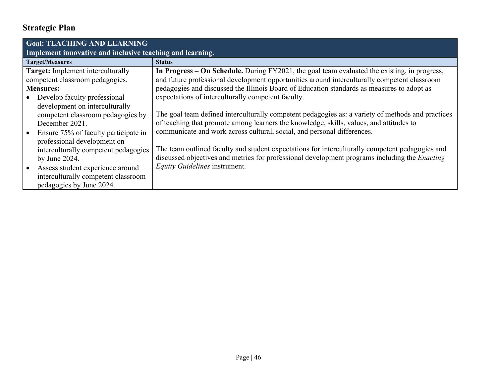| <b>Goal: TEACHING AND LEARNING</b>                        |                                                                                                      |  |  |  |  |
|-----------------------------------------------------------|------------------------------------------------------------------------------------------------------|--|--|--|--|
| Implement innovative and inclusive teaching and learning. |                                                                                                      |  |  |  |  |
| <b>Target/Measures</b>                                    | <b>Status</b>                                                                                        |  |  |  |  |
| Target: Implement interculturally                         | In Progress – On Schedule. During FY2021, the goal team evaluated the existing, in progress,         |  |  |  |  |
| competent classroom pedagogies.                           | and future professional development opportunities around interculturally competent classroom         |  |  |  |  |
| <b>Measures:</b>                                          | pedagogies and discussed the Illinois Board of Education standards as measures to adopt as           |  |  |  |  |
| Develop faculty professional                              | expectations of interculturally competent faculty.                                                   |  |  |  |  |
| development on interculturally                            |                                                                                                      |  |  |  |  |
| competent classroom pedagogies by                         | The goal team defined interculturally competent pedagogies as: a variety of methods and practices    |  |  |  |  |
| December 2021.                                            | of teaching that promote among learners the knowledge, skills, values, and attitudes to              |  |  |  |  |
| Ensure 75% of faculty participate in                      | communicate and work across cultural, social, and personal differences.                              |  |  |  |  |
| professional development on                               |                                                                                                      |  |  |  |  |
| interculturally competent pedagogies                      | The team outlined faculty and student expectations for interculturally competent pedagogies and      |  |  |  |  |
| by June $2024$ .                                          | discussed objectives and metrics for professional development programs including the <i>Enacting</i> |  |  |  |  |
| Assess student experience around                          | Equity Guidelines instrument.                                                                        |  |  |  |  |
| interculturally competent classroom                       |                                                                                                      |  |  |  |  |
| pedagogies by June 2024.                                  |                                                                                                      |  |  |  |  |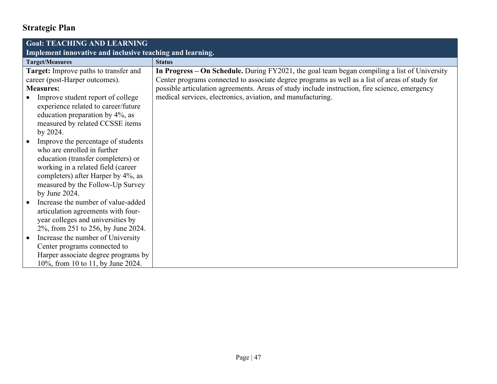| <b>Goal: TEACHING AND LEARNING</b>                        |                                                                                                |
|-----------------------------------------------------------|------------------------------------------------------------------------------------------------|
| Implement innovative and inclusive teaching and learning. |                                                                                                |
| <b>Target/Measures</b>                                    | <b>Status</b>                                                                                  |
| Target: Improve paths to transfer and                     | In Progress – On Schedule. During FY2021, the goal team began compiling a list of University   |
| career (post-Harper outcomes).                            | Center programs connected to associate degree programs as well as a list of areas of study for |
| <b>Measures:</b>                                          | possible articulation agreements. Areas of study include instruction, fire science, emergency  |
| Improve student report of college                         | medical services, electronics, aviation, and manufacturing.                                    |
| experience related to career/future                       |                                                                                                |
| education preparation by 4%, as                           |                                                                                                |
| measured by related CCSSE items                           |                                                                                                |
| by 2024.                                                  |                                                                                                |
| Improve the percentage of students                        |                                                                                                |
| who are enrolled in further                               |                                                                                                |
| education (transfer completers) or                        |                                                                                                |
| working in a related field (career                        |                                                                                                |
| completers) after Harper by 4%, as                        |                                                                                                |
| measured by the Follow-Up Survey                          |                                                                                                |
| by June 2024.                                             |                                                                                                |
| Increase the number of value-added                        |                                                                                                |
| articulation agreements with four-                        |                                                                                                |
| year colleges and universities by                         |                                                                                                |
| 2%, from 251 to 256, by June 2024.                        |                                                                                                |
| Increase the number of University                         |                                                                                                |
| Center programs connected to                              |                                                                                                |
| Harper associate degree programs by                       |                                                                                                |
| 10%, from 10 to 11, by June 2024.                         |                                                                                                |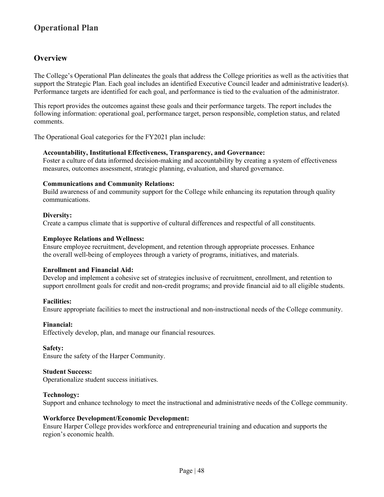### **Overview**

The College's Operational Plan delineates the goals that address the College priorities as well as the activities that support the Strategic Plan. Each goal includes an identified Executive Council leader and administrative leader(s). Performance targets are identified for each goal, and performance is tied to the evaluation of the administrator.

This report provides the outcomes against these goals and their performance targets. The report includes the following information: operational goal, performance target, person responsible, completion status, and related comments.

The Operational Goal categories for the FY2021 plan include:

#### **Accountability, Institutional Effectiveness, Transparency, and Governance:**

Foster a culture of data informed decision-making and accountability by creating a system of effectiveness measures, outcomes assessment, strategic planning, evaluation, and shared governance.

#### **Communications and Community Relations:**

Build awareness of and community support for the College while enhancing its reputation through quality communications.

#### **Diversity:**

Create a campus climate that is supportive of cultural differences and respectful of all constituents.

#### **Employee Relations and Wellness:**

Ensure employee recruitment, development, and retention through appropriate processes. Enhance the overall well-being of employees through a variety of programs, initiatives, and materials.

#### **Enrollment and Financial Aid:**

Develop and implement a cohesive set of strategies inclusive of recruitment, enrollment, and retention to support enrollment goals for credit and non-credit programs; and provide financial aid to all eligible students.

#### **Facilities:**

Ensure appropriate facilities to meet the instructional and non-instructional needs of the College community.

#### **Financial:**

Effectively develop, plan, and manage our financial resources.

#### **Safety:**

Ensure the safety of the Harper Community.

#### **Student Success:**

Operationalize student success initiatives.

#### **Technology:**

Support and enhance technology to meet the instructional and administrative needs of the College community.

#### **Workforce Development/Economic Development:**

Ensure Harper College provides workforce and entrepreneurial training and education and supports the region's economic health.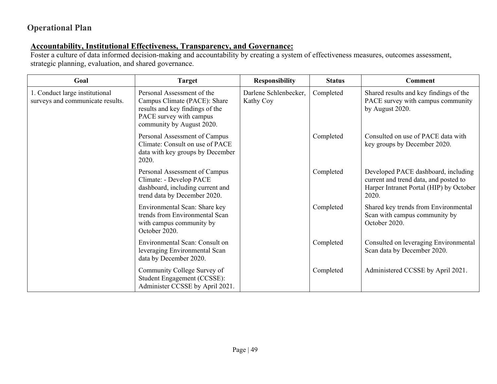### **Accountability, Institutional Effectiveness, Transparency, and Governance:**

Foster a culture of data informed decision-making and accountability by creating a system of effectiveness measures, outcomes assessment, strategic planning, evaluation, and shared governance.

| Goal                                                               | <b>Target</b>                                                                                                                                         | <b>Responsibility</b>              | <b>Status</b> | <b>Comment</b>                                                                                                                   |
|--------------------------------------------------------------------|-------------------------------------------------------------------------------------------------------------------------------------------------------|------------------------------------|---------------|----------------------------------------------------------------------------------------------------------------------------------|
| 1. Conduct large institutional<br>surveys and communicate results. | Personal Assessment of the<br>Campus Climate (PACE): Share<br>results and key findings of the<br>PACE survey with campus<br>community by August 2020. | Darlene Schlenbecker,<br>Kathy Coy | Completed     | Shared results and key findings of the<br>PACE survey with campus community<br>by August 2020.                                   |
|                                                                    | Personal Assessment of Campus<br>Climate: Consult on use of PACE<br>data with key groups by December<br>2020.                                         |                                    | Completed     | Consulted on use of PACE data with<br>key groups by December 2020.                                                               |
|                                                                    | Personal Assessment of Campus<br>Climate: - Develop PACE<br>dashboard, including current and<br>trend data by December 2020.                          |                                    | Completed     | Developed PACE dashboard, including<br>current and trend data, and posted to<br>Harper Intranet Portal (HIP) by October<br>2020. |
|                                                                    | Environmental Scan: Share key<br>trends from Environmental Scan<br>with campus community by<br>October 2020.                                          |                                    | Completed     | Shared key trends from Environmental<br>Scan with campus community by<br>October 2020.                                           |
|                                                                    | Environmental Scan: Consult on<br>leveraging Environmental Scan<br>data by December 2020.                                                             |                                    | Completed     | Consulted on leveraging Environmental<br>Scan data by December 2020.                                                             |
|                                                                    | Community College Survey of<br>Student Engagement (CCSSE):<br>Administer CCSSE by April 2021.                                                         |                                    | Completed     | Administered CCSSE by April 2021.                                                                                                |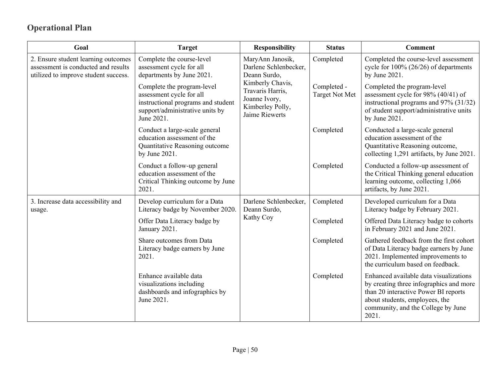| Goal                                                                                                               | <b>Target</b>                                                                                                                                 | <b>Responsibility</b>                                                                                                                                    | <b>Status</b>                        | <b>Comment</b>                                                                                                                                                                                             |
|--------------------------------------------------------------------------------------------------------------------|-----------------------------------------------------------------------------------------------------------------------------------------------|----------------------------------------------------------------------------------------------------------------------------------------------------------|--------------------------------------|------------------------------------------------------------------------------------------------------------------------------------------------------------------------------------------------------------|
| 2. Ensure student learning outcomes<br>assessment is conducted and results<br>utilized to improve student success. | Complete the course-level<br>assessment cycle for all<br>departments by June 2021.                                                            | MaryAnn Janosik,<br>Darlene Schlenbecker,<br>Deann Surdo,<br>Kimberly Chavis,<br>Travaris Harris,<br>Joanne Ivory,<br>Kimberley Polly,<br>Jaime Riewerts | Completed                            | Completed the course-level assessment<br>cycle for $100\%$ (26/26) of departments<br>by June 2021.                                                                                                         |
|                                                                                                                    | Complete the program-level<br>assessment cycle for all<br>instructional programs and student<br>support/administrative units by<br>June 2021. |                                                                                                                                                          | Completed -<br><b>Target Not Met</b> | Completed the program-level<br>assessment cycle for 98% (40/41) of<br>instructional programs and 97% (31/32)<br>of student support/administrative units<br>by June 2021.                                   |
|                                                                                                                    | Conduct a large-scale general<br>education assessment of the<br>Quantitative Reasoning outcome<br>by June 2021.                               |                                                                                                                                                          | Completed                            | Conducted a large-scale general<br>education assessment of the<br>Quantitative Reasoning outcome,<br>collecting 1,291 artifacts, by June 2021.                                                             |
|                                                                                                                    | Conduct a follow-up general<br>education assessment of the<br>Critical Thinking outcome by June<br>2021.                                      |                                                                                                                                                          | Completed                            | Conducted a follow-up assessment of<br>the Critical Thinking general education<br>learning outcome, collecting 1,066<br>artifacts, by June 2021.                                                           |
| 3. Increase data accessibility and<br>usage.                                                                       | Develop curriculum for a Data<br>Literacy badge by November 2020.                                                                             | Darlene Schlenbecker,<br>Deann Surdo,                                                                                                                    | Completed                            | Developed curriculum for a Data<br>Literacy badge by February 2021.                                                                                                                                        |
|                                                                                                                    | Offer Data Literacy badge by<br>January 2021.                                                                                                 | Kathy Coy                                                                                                                                                | Completed                            | Offered Data Literacy badge to cohorts<br>in February 2021 and June 2021.                                                                                                                                  |
|                                                                                                                    | Share outcomes from Data<br>Literacy badge earners by June<br>2021.                                                                           |                                                                                                                                                          | Completed                            | Gathered feedback from the first cohort<br>of Data Literacy badge earners by June<br>2021. Implemented improvements to<br>the curriculum based on feedback.                                                |
|                                                                                                                    | Enhance available data<br>visualizations including<br>dashboards and infographics by<br>June 2021.                                            |                                                                                                                                                          | Completed                            | Enhanced available data visualizations<br>by creating three infographics and more<br>than 20 interactive Power BI reports<br>about students, employees, the<br>community, and the College by June<br>2021. |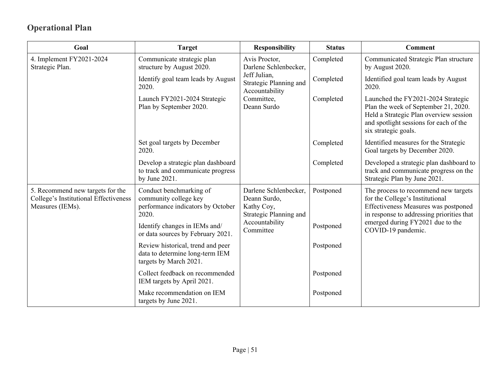| Goal                                                                                          | <b>Target</b>                                                                                  | <b>Responsibility</b>                                                         | <b>Status</b> | <b>Comment</b>                                                                                                                                                                         |
|-----------------------------------------------------------------------------------------------|------------------------------------------------------------------------------------------------|-------------------------------------------------------------------------------|---------------|----------------------------------------------------------------------------------------------------------------------------------------------------------------------------------------|
| 4. Implement FY2021-2024<br>Strategic Plan.                                                   | Communicate strategic plan<br>structure by August 2020.                                        | Avis Proctor,<br>Darlene Schlenbecker,                                        | Completed     | Communicated Strategic Plan structure<br>by August 2020.                                                                                                                               |
|                                                                                               | Identify goal team leads by August<br>2020.                                                    | Jeff Julian,<br>Strategic Planning and<br>Accountability                      | Completed     | Identified goal team leads by August<br>2020.                                                                                                                                          |
|                                                                                               | Launch FY2021-2024 Strategic<br>Plan by September 2020.                                        | Committee,<br>Deann Surdo                                                     | Completed     | Launched the FY2021-2024 Strategic<br>Plan the week of September 21, 2020.<br>Held a Strategic Plan overview session<br>and spotlight sessions for each of the<br>six strategic goals. |
|                                                                                               | Set goal targets by December<br>2020.                                                          |                                                                               | Completed     | Identified measures for the Strategic<br>Goal targets by December 2020.                                                                                                                |
|                                                                                               | Develop a strategic plan dashboard<br>to track and communicate progress<br>by June 2021.       |                                                                               | Completed     | Developed a strategic plan dashboard to<br>track and communicate progress on the<br>Strategic Plan by June 2021.                                                                       |
| 5. Recommend new targets for the<br>College's Institutional Effectiveness<br>Measures (IEMs). | Conduct benchmarking of<br>community college key<br>performance indicators by October<br>2020. | Darlene Schlenbecker,<br>Deann Surdo,<br>Kathy Coy,<br>Strategic Planning and | Postponed     | The process to recommend new targets<br>for the College's Institutional<br>Effectiveness Measures was postponed<br>in response to addressing priorities that                           |
|                                                                                               | Identify changes in IEMs and/<br>or data sources by February 2021.                             | Accountability<br>Committee                                                   | Postponed     | emerged during FY2021 due to the<br>COVID-19 pandemic.                                                                                                                                 |
|                                                                                               | Review historical, trend and peer<br>data to determine long-term IEM<br>targets by March 2021. |                                                                               | Postponed     |                                                                                                                                                                                        |
|                                                                                               | Collect feedback on recommended<br>IEM targets by April 2021.                                  |                                                                               | Postponed     |                                                                                                                                                                                        |
|                                                                                               | Make recommendation on IEM<br>targets by June 2021.                                            |                                                                               | Postponed     |                                                                                                                                                                                        |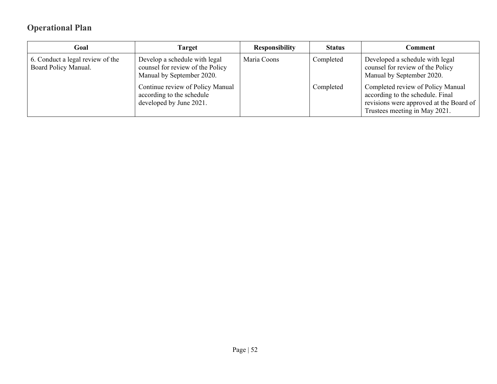| Goal                                                     | Target                                                                                         | <b>Responsibility</b> | <b>Status</b> | Comment                                                                                                                                             |
|----------------------------------------------------------|------------------------------------------------------------------------------------------------|-----------------------|---------------|-----------------------------------------------------------------------------------------------------------------------------------------------------|
| 6. Conduct a legal review of the<br>Board Policy Manual. | Develop a schedule with legal<br>counsel for review of the Policy<br>Manual by September 2020. | Maria Coons           | Completed     | Developed a schedule with legal<br>counsel for review of the Policy<br>Manual by September 2020.                                                    |
|                                                          | Continue review of Policy Manual<br>according to the schedule<br>developed by June 2021.       |                       | Completed     | Completed review of Policy Manual<br>according to the schedule. Final<br>revisions were approved at the Board of  <br>Trustees meeting in May 2021. |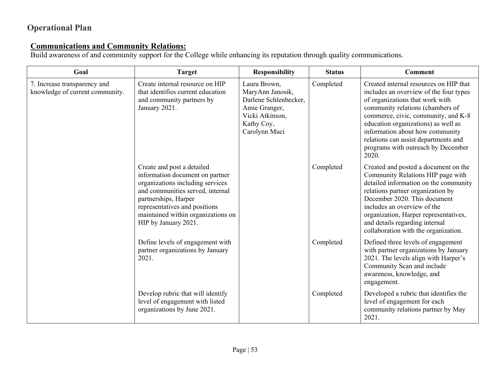### **Communications and Community Relations:**

Build awareness of and community support for the College while enhancing its reputation through quality communications.

| Goal                                                            | <b>Target</b>                                                                                                                                                                                                                                                | <b>Responsibility</b>                                                                                                        | <b>Status</b> | Comment                                                                                                                                                                                                                                                                                                                                                         |
|-----------------------------------------------------------------|--------------------------------------------------------------------------------------------------------------------------------------------------------------------------------------------------------------------------------------------------------------|------------------------------------------------------------------------------------------------------------------------------|---------------|-----------------------------------------------------------------------------------------------------------------------------------------------------------------------------------------------------------------------------------------------------------------------------------------------------------------------------------------------------------------|
| 7. Increase transparency and<br>knowledge of current community. | Create internal resource on HIP<br>that identifies current education<br>and community partners by<br>January 2021.                                                                                                                                           | Laura Brown,<br>MaryAnn Janosik,<br>Darlene Schlenbecker,<br>Amie Granger,<br>Vicki Atkinson,<br>Kathy Coy,<br>Carolynn Muci | Completed     | Created internal resources on HIP that<br>includes an overview of the four types<br>of organizations that work with<br>community relations (chambers of<br>commerce, civic, community, and K-8<br>education organizations) as well as<br>information about how community<br>relations can assist departments and<br>programs with outreach by December<br>2020. |
|                                                                 | Create and post a detailed<br>information document on partner<br>organizations including services<br>and communities served, internal<br>partnerships, Harper<br>representatives and positions<br>maintained within organizations on<br>HIP by January 2021. |                                                                                                                              | Completed     | Created and posted a document on the<br>Community Relations HIP page with<br>detailed information on the community<br>relations partner organization by<br>December 2020. This document<br>includes an overview of the<br>organization, Harper representatives,<br>and details regarding internal<br>collaboration with the organization.                       |
|                                                                 | Define levels of engagement with<br>partner organizations by January<br>2021.                                                                                                                                                                                |                                                                                                                              | Completed     | Defined three levels of engagement<br>with partner organizations by January<br>2021. The levels align with Harper's<br>Community Scan and include<br>awareness, knowledge, and<br>engagement.                                                                                                                                                                   |
|                                                                 | Develop rubric that will identify<br>level of engagement with listed<br>organizations by June 2021.                                                                                                                                                          |                                                                                                                              | Completed     | Developed a rubric that identifies the<br>level of engagement for each<br>community relations partner by May<br>2021.                                                                                                                                                                                                                                           |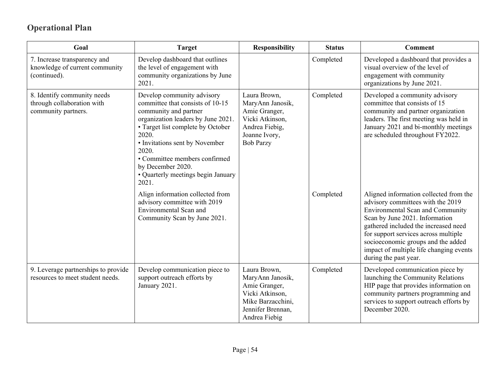| Goal                                                                             | <b>Target</b>                                                                                                                                                                                                                                                                                                               | <b>Responsibility</b>                                                                                                           | <b>Status</b> | <b>Comment</b>                                                                                                                                                                                                                                                                                                                                     |
|----------------------------------------------------------------------------------|-----------------------------------------------------------------------------------------------------------------------------------------------------------------------------------------------------------------------------------------------------------------------------------------------------------------------------|---------------------------------------------------------------------------------------------------------------------------------|---------------|----------------------------------------------------------------------------------------------------------------------------------------------------------------------------------------------------------------------------------------------------------------------------------------------------------------------------------------------------|
| 7. Increase transparency and<br>knowledge of current community<br>(continued).   | Develop dashboard that outlines<br>the level of engagement with<br>community organizations by June<br>2021.                                                                                                                                                                                                                 |                                                                                                                                 | Completed     | Developed a dashboard that provides a<br>visual overview of the level of<br>engagement with community<br>organizations by June 2021.                                                                                                                                                                                                               |
| 8. Identify community needs<br>through collaboration with<br>community partners. | Develop community advisory<br>committee that consists of 10-15<br>community and partner<br>organization leaders by June 2021.<br>• Target list complete by October<br>2020.<br>• Invitations sent by November<br>2020.<br>· Committee members confirmed<br>by December 2020.<br>• Quarterly meetings begin January<br>2021. | Laura Brown,<br>MaryAnn Janosik,<br>Amie Granger,<br>Vicki Atkinson,<br>Andrea Fiebig,<br>Joanne Ivory,<br><b>Bob Parzy</b>     | Completed     | Developed a community advisory<br>committee that consists of 15<br>community and partner organization<br>leaders. The first meeting was held in<br>January 2021 and bi-monthly meetings<br>are scheduled throughout FY2022.                                                                                                                        |
|                                                                                  | Align information collected from<br>advisory committee with 2019<br>Environmental Scan and<br>Community Scan by June 2021.                                                                                                                                                                                                  |                                                                                                                                 | Completed     | Aligned information collected from the<br>advisory committees with the 2019<br><b>Environmental Scan and Community</b><br>Scan by June 2021. Information<br>gathered included the increased need<br>for support services across multiple<br>socioeconomic groups and the added<br>impact of multiple life changing events<br>during the past year. |
| 9. Leverage partnerships to provide<br>resources to meet student needs.          | Develop communication piece to<br>support outreach efforts by<br>January 2021.                                                                                                                                                                                                                                              | Laura Brown,<br>MaryAnn Janosik,<br>Amie Granger,<br>Vicki Atkinson,<br>Mike Barzacchini,<br>Jennifer Brennan,<br>Andrea Fiebig | Completed     | Developed communication piece by<br>launching the Community Relations<br>HIP page that provides information on<br>community partners programming and<br>services to support outreach efforts by<br>December 2020.                                                                                                                                  |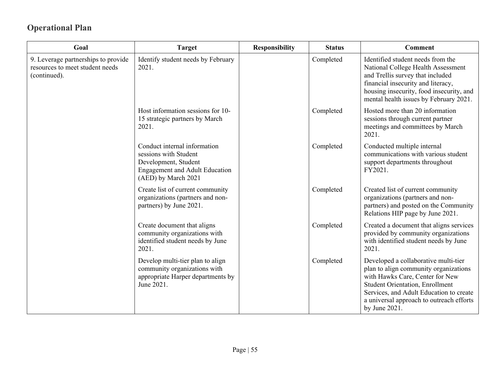| Goal                                                                                   | <b>Target</b>                                                                                                                                 | <b>Responsibility</b> | <b>Status</b> | <b>Comment</b>                                                                                                                                                                                                                                                     |
|----------------------------------------------------------------------------------------|-----------------------------------------------------------------------------------------------------------------------------------------------|-----------------------|---------------|--------------------------------------------------------------------------------------------------------------------------------------------------------------------------------------------------------------------------------------------------------------------|
| 9. Leverage partnerships to provide<br>resources to meet student needs<br>(continued). | Identify student needs by February<br>2021.                                                                                                   |                       | Completed     | Identified student needs from the<br>National College Health Assessment<br>and Trellis survey that included<br>financial insecurity and literacy,<br>housing insecurity, food insecurity, and<br>mental health issues by February 2021.                            |
|                                                                                        | Host information sessions for 10-<br>15 strategic partners by March<br>2021.                                                                  |                       | Completed     | Hosted more than 20 information<br>sessions through current partner<br>meetings and committees by March<br>2021.                                                                                                                                                   |
|                                                                                        | Conduct internal information<br>sessions with Student<br>Development, Student<br><b>Engagement and Adult Education</b><br>(AED) by March 2021 |                       | Completed     | Conducted multiple internal<br>communications with various student<br>support departments throughout<br>FY2021.                                                                                                                                                    |
|                                                                                        | Create list of current community<br>organizations (partners and non-<br>partners) by June 2021.                                               |                       | Completed     | Created list of current community<br>organizations (partners and non-<br>partners) and posted on the Community<br>Relations HIP page by June 2021.                                                                                                                 |
|                                                                                        | Create document that aligns<br>community organizations with<br>identified student needs by June<br>2021.                                      |                       | Completed     | Created a document that aligns services<br>provided by community organizations<br>with identified student needs by June<br>2021.                                                                                                                                   |
|                                                                                        | Develop multi-tier plan to align<br>community organizations with<br>appropriate Harper departments by<br>June 2021.                           |                       | Completed     | Developed a collaborative multi-tier<br>plan to align community organizations<br>with Hawks Care, Center for New<br><b>Student Orientation, Enrollment</b><br>Services, and Adult Education to create<br>a universal approach to outreach efforts<br>by June 2021. |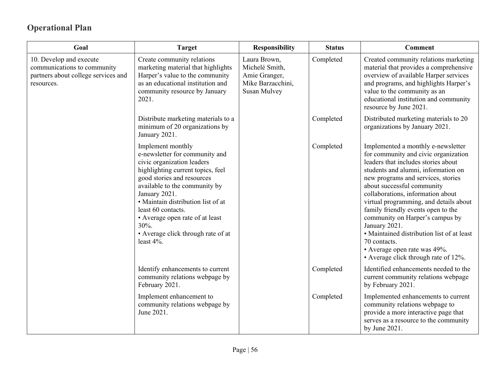| Goal                                                                                                        | <b>Target</b>                                                                                                                                                                                                                                                                                                                                                        | <b>Responsibility</b>                                                                       | <b>Status</b> | <b>Comment</b>                                                                                                                                                                                                                                                                                                                                                                                                                                                                                                                              |
|-------------------------------------------------------------------------------------------------------------|----------------------------------------------------------------------------------------------------------------------------------------------------------------------------------------------------------------------------------------------------------------------------------------------------------------------------------------------------------------------|---------------------------------------------------------------------------------------------|---------------|---------------------------------------------------------------------------------------------------------------------------------------------------------------------------------------------------------------------------------------------------------------------------------------------------------------------------------------------------------------------------------------------------------------------------------------------------------------------------------------------------------------------------------------------|
| 10. Develop and execute<br>communications to community<br>partners about college services and<br>resources. | Create community relations<br>marketing material that highlights<br>Harper's value to the community<br>as an educational institution and<br>community resource by January<br>2021.                                                                                                                                                                                   | Laura Brown,<br>Michelé Smith,<br>Amie Granger,<br>Mike Barzacchini,<br><b>Susan Mulvey</b> | Completed     | Created community relations marketing<br>material that provides a comprehensive<br>overview of available Harper services<br>and programs, and highlights Harper's<br>value to the community as an<br>educational institution and community<br>resource by June 2021.                                                                                                                                                                                                                                                                        |
|                                                                                                             | Distribute marketing materials to a<br>minimum of 20 organizations by<br>January 2021.                                                                                                                                                                                                                                                                               |                                                                                             | Completed     | Distributed marketing materials to 20<br>organizations by January 2021.                                                                                                                                                                                                                                                                                                                                                                                                                                                                     |
|                                                                                                             | Implement monthly<br>e-newsletter for community and<br>civic organization leaders<br>highlighting current topics, feel<br>good stories and resources<br>available to the community by<br>January 2021.<br>· Maintain distribution list of at<br>least 60 contacts.<br>• Average open rate of at least<br>30%.<br>• Average click through rate of at<br>least $4\%$ . |                                                                                             | Completed     | Implemented a monthly e-newsletter<br>for community and civic organization<br>leaders that includes stories about<br>students and alumni, information on<br>new programs and services, stories<br>about successful community<br>collaborations, information about<br>virtual programming, and details about<br>family friendly events open to the<br>community on Harper's campus by<br>January 2021.<br>• Maintained distribution list of at least<br>70 contacts.<br>• Average open rate was 49%.<br>• Average click through rate of 12%. |
|                                                                                                             | Identify enhancements to current<br>community relations webpage by<br>February 2021.                                                                                                                                                                                                                                                                                 |                                                                                             | Completed     | Identified enhancements needed to the<br>current community relations webpage<br>by February 2021.                                                                                                                                                                                                                                                                                                                                                                                                                                           |
|                                                                                                             | Implement enhancement to<br>community relations webpage by<br>June 2021.                                                                                                                                                                                                                                                                                             |                                                                                             | Completed     | Implemented enhancements to current<br>community relations webpage to<br>provide a more interactive page that<br>serves as a resource to the community<br>by June 2021.                                                                                                                                                                                                                                                                                                                                                                     |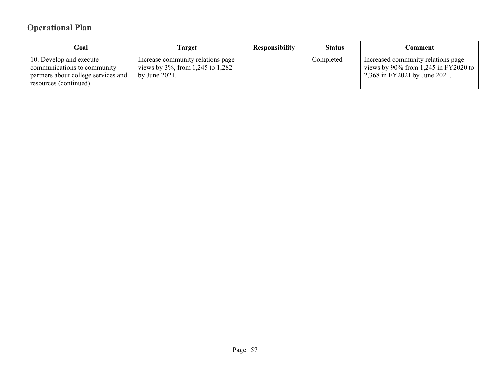| Goal                                                                                                                    | Target                                                                                        | <b>Responsibility</b> | <b>Status</b> | Comment                                                                                                        |
|-------------------------------------------------------------------------------------------------------------------------|-----------------------------------------------------------------------------------------------|-----------------------|---------------|----------------------------------------------------------------------------------------------------------------|
| 10. Develop and execute<br>communications to community<br>partners about college services and<br>resources (continued). | Increase community relations page<br>views by $3\%$ , from 1,245 to 1,282<br>by June $2021$ . |                       | Completed     | Increased community relations page<br>views by $90\%$ from 1,245 in FY2020 to<br>2,368 in FY2021 by June 2021. |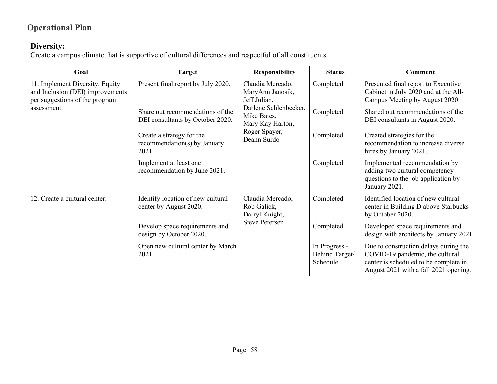### **Diversity:**

Create a campus climate that is supportive of cultural differences and respectful of all constituents.

| Goal                                                                                                  | <b>Target</b>                                                        | <b>Responsibility</b>                                                                                            | <b>Status</b>                               | <b>Comment</b>                                                                                                                                             |                                                                             |
|-------------------------------------------------------------------------------------------------------|----------------------------------------------------------------------|------------------------------------------------------------------------------------------------------------------|---------------------------------------------|------------------------------------------------------------------------------------------------------------------------------------------------------------|-----------------------------------------------------------------------------|
| 11. Implement Diversity, Equity<br>and Inclusion (DEI) improvements<br>per suggestions of the program | Present final report by July 2020.                                   | Claudia Mercado,<br>MaryAnn Janosik,<br>Jeff Julian,<br>Darlene Schlenbecker,<br>Mike Bates,<br>Mary Kay Harton, | Completed                                   | Presented final report to Executive<br>Cabinet in July 2020 and at the All-<br>Campus Meeting by August 2020.                                              |                                                                             |
| assessment.                                                                                           | Share out recommendations of the<br>DEI consultants by October 2020. |                                                                                                                  |                                             | Completed                                                                                                                                                  | Shared out recommendations of the<br>DEI consultants in August 2020.        |
|                                                                                                       | Create a strategy for the<br>recommendation(s) by January<br>2021.   | Roger Spayer,<br>Deann Surdo                                                                                     | Completed                                   | Created strategies for the<br>recommendation to increase diverse<br>hires by January 2021.                                                                 |                                                                             |
|                                                                                                       | Implement at least one<br>recommendation by June 2021.               |                                                                                                                  | Completed                                   | Implemented recommendation by<br>adding two cultural competency<br>questions to the job application by<br>January 2021.                                    |                                                                             |
| 12. Create a cultural center.                                                                         | Identify location of new cultural<br>center by August 2020.          | Claudia Mercado,<br>Rob Galick,<br>Darryl Knight,                                                                | Completed                                   | Identified location of new cultural<br>center in Building D above Starbucks<br>by October 2020.                                                            |                                                                             |
|                                                                                                       | Develop space requirements and<br>design by October 2020.            | <b>Steve Petersen</b>                                                                                            |                                             | Completed                                                                                                                                                  | Developed space requirements and<br>design with architects by January 2021. |
|                                                                                                       | Open new cultural center by March<br>2021.                           |                                                                                                                  | In Progress -<br>Behind Target/<br>Schedule | Due to construction delays during the<br>COVID-19 pandemic, the cultural<br>center is scheduled to be complete in<br>August 2021 with a fall 2021 opening. |                                                                             |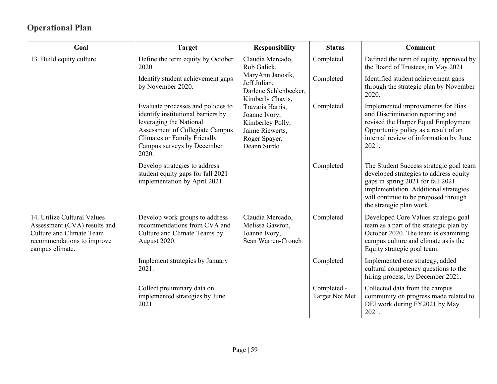| Goal                                                                                                                                     | <b>Target</b>                                                                                                                                                                                                       | <b>Responsibility</b>                                                                                    | <b>Status</b>                        | <b>Comment</b>                                                                                                                                                                                                                      |
|------------------------------------------------------------------------------------------------------------------------------------------|---------------------------------------------------------------------------------------------------------------------------------------------------------------------------------------------------------------------|----------------------------------------------------------------------------------------------------------|--------------------------------------|-------------------------------------------------------------------------------------------------------------------------------------------------------------------------------------------------------------------------------------|
| 13. Build equity culture.                                                                                                                | Define the term equity by October<br>2020.                                                                                                                                                                          | Claudia Mercado,<br>Rob Galick,                                                                          | Completed                            | Defined the term of equity, approved by<br>the Board of Trustees, in May 2021.                                                                                                                                                      |
|                                                                                                                                          | Identify student achievement gaps<br>by November 2020.                                                                                                                                                              | MaryAnn Janosik,<br>Jeff Julian,<br>Darlene Schlenbecker,<br>Kimberly Chavis,                            | Completed                            | Identified student achievement gaps<br>through the strategic plan by November<br>2020.                                                                                                                                              |
|                                                                                                                                          | Evaluate processes and policies to<br>identify institutional barriers by<br>leveraging the National<br>Assessment of Collegiate Campus<br><b>Climates or Family Friendly</b><br>Campus surveys by December<br>2020. | Travaris Harris,<br>Joanne Ivory,<br>Kimberley Polly,<br>Jaime Riewerts,<br>Roger Spayer,<br>Deann Surdo | Completed                            | Implemented improvements for Bias<br>and Discrimination reporting and<br>revised the Harper Equal Employment<br>Opportunity policy as a result of an<br>internal review of information by June<br>2021.                             |
|                                                                                                                                          | Develop strategies to address<br>student equity gaps for fall 2021<br>implementation by April 2021.                                                                                                                 |                                                                                                          | Completed                            | The Student Success strategic goal team<br>developed strategies to address equity<br>gaps in spring 2021 for fall 2021<br>implementation. Additional strategies<br>will continue to be proposed through<br>the strategic plan work. |
| 14. Utilize Cultural Values<br>Assessment (CVA) results and<br>Culture and Climate Team<br>recommendations to improve<br>campus climate. | Develop work groups to address<br>recommendations from CVA and<br>Culture and Climate Teams by<br>August 2020.                                                                                                      | Claudia Mercado,<br>Melissa Gawron,<br>Joanne Ivory,<br>Sean Warren-Crouch                               | Completed                            | Developed Core Values strategic goal<br>team as a part of the strategic plan by<br>October 2020. The team is examining<br>campus culture and climate as is the<br>Equity strategic goal team.                                       |
|                                                                                                                                          | Implement strategies by January<br>2021.                                                                                                                                                                            |                                                                                                          | Completed                            | Implemented one strategy, added<br>cultural competency questions to the<br>hiring process, by December 2021.                                                                                                                        |
|                                                                                                                                          | Collect preliminary data on<br>implemented strategies by June<br>2021.                                                                                                                                              |                                                                                                          | Completed -<br><b>Target Not Met</b> | Collected data from the campus<br>community on progress made related to<br>DEI work during FY2021 by May<br>2021.                                                                                                                   |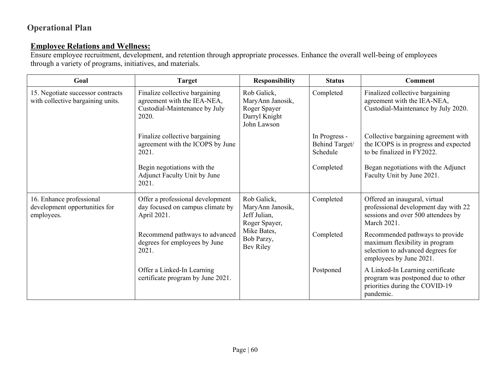### **Employee Relations and Wellness:**

Ensure employee recruitment, development, and retention through appropriate processes. Enhance the overall well-being of employees through a variety of programs, initiatives, and materials.

| Goal                                                                    | <b>Target</b>                                                                                           | <b>Responsibility</b>                                                           | <b>Status</b>                               | <b>Comment</b>                                                                                                                    |
|-------------------------------------------------------------------------|---------------------------------------------------------------------------------------------------------|---------------------------------------------------------------------------------|---------------------------------------------|-----------------------------------------------------------------------------------------------------------------------------------|
| 15. Negotiate successor contracts<br>with collective bargaining units.  | Finalize collective bargaining<br>agreement with the IEA-NEA,<br>Custodial-Maintenance by July<br>2020. | Rob Galick,<br>MaryAnn Janosik,<br>Roger Spayer<br>Darryl Knight<br>John Lawson | Completed                                   | Finalized collective bargaining<br>agreement with the IEA-NEA,<br>Custodial-Maintenance by July 2020.                             |
|                                                                         | Finalize collective bargaining<br>agreement with the ICOPS by June<br>2021.                             |                                                                                 | In Progress -<br>Behind Target/<br>Schedule | Collective bargaining agreement with<br>the ICOPS is in progress and expected<br>to be finalized in FY2022.                       |
|                                                                         | Begin negotiations with the<br>Adjunct Faculty Unit by June<br>2021.                                    |                                                                                 | Completed                                   | Began negotiations with the Adjunct<br>Faculty Unit by June 2021.                                                                 |
| 16. Enhance professional<br>development opportunities for<br>employees. | Offer a professional development<br>day focused on campus climate by<br>April 2021.                     | Rob Galick,<br>MaryAnn Janosik,<br>Jeff Julian,<br>Roger Spayer,                | Completed                                   | Offered an inaugural, virtual<br>professional development day with 22<br>sessions and over 500 attendees by<br>March 2021.        |
|                                                                         | Recommend pathways to advanced<br>degrees for employees by June<br>2021.                                | Mike Bates,<br>Bob Parzy,<br>Bev Riley                                          | Completed                                   | Recommended pathways to provide<br>maximum flexibility in program<br>selection to advanced degrees for<br>employees by June 2021. |
|                                                                         | Offer a Linked-In Learning<br>certificate program by June 2021.                                         |                                                                                 | Postponed                                   | A Linked-In Learning certificate<br>program was postponed due to other<br>priorities during the COVID-19<br>pandemic.             |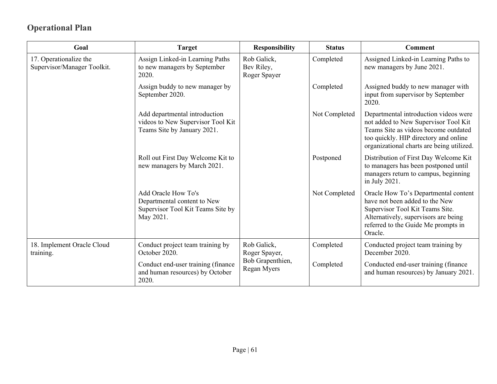| Goal                                                                                         | <b>Target</b>                                                                                        | <b>Responsibility</b>                     | <b>Status</b>                                        | <b>Comment</b>                                                                                                                                                                                              |
|----------------------------------------------------------------------------------------------|------------------------------------------------------------------------------------------------------|-------------------------------------------|------------------------------------------------------|-------------------------------------------------------------------------------------------------------------------------------------------------------------------------------------------------------------|
| 17. Operationalize the<br>Supervisor/Manager Toolkit.                                        | Assign Linked-in Learning Paths<br>to new managers by September<br>2020.                             | Rob Galick,<br>Bev Riley,<br>Roger Spayer | Completed                                            | Assigned Linked-in Learning Paths to<br>new managers by June 2021.                                                                                                                                          |
|                                                                                              | Assign buddy to new manager by<br>September 2020.                                                    |                                           | Completed                                            | Assigned buddy to new manager with<br>input from supervisor by September<br>2020.                                                                                                                           |
|                                                                                              | Add departmental introduction<br>videos to New Supervisor Tool Kit<br>Teams Site by January 2021.    |                                           | Not Completed                                        | Departmental introduction videos were<br>not added to New Supervisor Tool Kit<br>Teams Site as videos become outdated<br>too quickly. HIP directory and online<br>organizational charts are being utilized. |
|                                                                                              | Roll out First Day Welcome Kit to<br>new managers by March 2021.                                     |                                           | Postponed                                            | Distribution of First Day Welcome Kit<br>to managers has been postponed until<br>managers return to campus, beginning<br>in July 2021.                                                                      |
|                                                                                              | Add Oracle How To's<br>Departmental content to New<br>Supervisor Tool Kit Teams Site by<br>May 2021. |                                           | Not Completed                                        | Oracle How To's Departmental content<br>have not been added to the New<br>Supervisor Tool Kit Teams Site.<br>Alternatively, supervisors are being<br>referred to the Guide Me prompts in<br>Oracle.         |
| 18. Implement Oracle Cloud<br>Conduct project team training by<br>October 2020.<br>training. | Rob Galick,<br>Roger Spayer,                                                                         | Completed                                 | Conducted project team training by<br>December 2020. |                                                                                                                                                                                                             |
|                                                                                              | Conduct end-user training (finance<br>and human resources) by October<br>2020.                       | Bob Grapenthien,<br>Regan Myers           | Completed                                            | Conducted end-user training (finance)<br>and human resources) by January 2021.                                                                                                                              |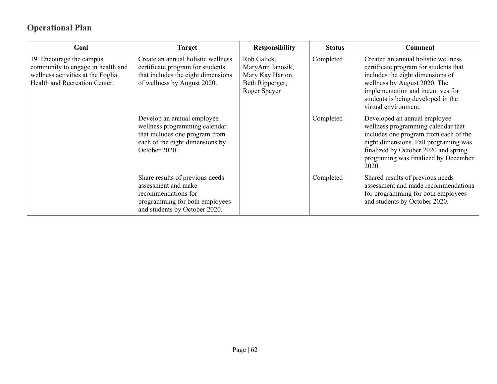| Goal                                                                                                                                | <b>Target</b>                                                                                                                                     | <b>Responsibility</b>                                                                  | <b>Status</b> | <b>Comment</b>                                                                                                                                                                                                                                      |
|-------------------------------------------------------------------------------------------------------------------------------------|---------------------------------------------------------------------------------------------------------------------------------------------------|----------------------------------------------------------------------------------------|---------------|-----------------------------------------------------------------------------------------------------------------------------------------------------------------------------------------------------------------------------------------------------|
| 19. Encourage the campus<br>community to engage in health and<br>wellness activities at the Foglia<br>Health and Recreation Center. | Create an annual holistic wellness<br>certificate program for students<br>that includes the eight dimensions<br>of wellness by August 2020.       | Rob Galick,<br>MaryAnn Janosik,<br>Mary Kay Harton,<br>Beth Ripperger,<br>Roger Spayer | Completed     | Created an annual holistic wellness<br>certificate program for students that<br>includes the eight dimensions of<br>wellness by August 2020. The<br>implementation and incentives for<br>students is being developed in the<br>virtual environment. |
|                                                                                                                                     | Develop an annual employee<br>wellness programming calendar<br>that includes one program from<br>each of the eight dimensions by<br>October 2020. |                                                                                        | Completed     | Developed an annual employee<br>wellness programming calendar that<br>includes one program from each of the<br>eight dimensions. Fall programing was<br>finalized by October 2020 and spring<br>programing was finalized by December<br>2020.       |
|                                                                                                                                     | Share results of previous needs<br>assessment and make<br>recommendations for<br>programming for both employees<br>and students by October 2020.  |                                                                                        | Completed     | Shared results of previous needs<br>assessment and made recommendations<br>for programming for both employees<br>and students by October 2020.                                                                                                      |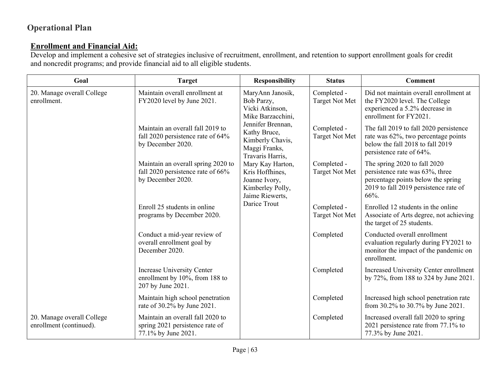### **Enrollment and Financial Aid:**

Develop and implement a cohesive set of strategies inclusive of recruitment, enrollment, and retention to support enrollment goals for credit and noncredit programs; and provide financial aid to all eligible students.

| Goal                                                  | <b>Target</b>                                                                                | <b>Responsibility</b>                                                                       | <b>Status</b>                        | <b>Comment</b>                                                                                                                                         |
|-------------------------------------------------------|----------------------------------------------------------------------------------------------|---------------------------------------------------------------------------------------------|--------------------------------------|--------------------------------------------------------------------------------------------------------------------------------------------------------|
| 20. Manage overall College<br>enrollment.             | Maintain overall enrollment at<br>FY2020 level by June 2021.                                 | MaryAnn Janosik,<br>Bob Parzy,<br>Vicki Atkinson,<br>Mike Barzacchini,                      | Completed -<br><b>Target Not Met</b> | Did not maintain overall enrollment at<br>the FY2020 level. The College<br>experienced a 5.2% decrease in<br>enrollment for FY2021.                    |
|                                                       | Maintain an overall fall 2019 to<br>fall 2020 persistence rate of 64%<br>by December 2020.   | Jennifer Brennan,<br>Kathy Bruce,<br>Kimberly Chavis,<br>Maggi Franks,<br>Travaris Harris,  | Completed -<br><b>Target Not Met</b> | The fall 2019 to fall 2020 persistence<br>rate was 62%, two percentage points<br>below the fall 2018 to fall 2019<br>persistence rate of 64%.          |
|                                                       | Maintain an overall spring 2020 to<br>fall 2020 persistence rate of 66%<br>by December 2020. | Mary Kay Harton,<br>Kris Hoffhines,<br>Joanne Ivory,<br>Kimberley Polly,<br>Jaime Riewerts, | Completed -<br><b>Target Not Met</b> | The spring 2020 to fall 2020<br>persistence rate was 63%, three<br>percentage points below the spring<br>2019 to fall 2019 persistence rate of<br>66%. |
|                                                       | Enroll 25 students in online<br>programs by December 2020.                                   | Darice Trout                                                                                | Completed -<br>Target Not Met        | Enrolled 12 students in the online<br>Associate of Arts degree, not achieving<br>the target of 25 students.                                            |
|                                                       | Conduct a mid-year review of<br>overall enrollment goal by<br>December 2020.                 |                                                                                             | Completed                            | Conducted overall enrollment<br>evaluation regularly during FY2021 to<br>monitor the impact of the pandemic on<br>enrollment.                          |
|                                                       | <b>Increase University Center</b><br>enrollment by 10%, from 188 to<br>207 by June 2021.     |                                                                                             | Completed                            | Increased University Center enrollment<br>by 72%, from 188 to 324 by June 2021.                                                                        |
|                                                       | Maintain high school penetration<br>rate of 30.2% by June 2021.                              |                                                                                             | Completed                            | Increased high school penetration rate<br>from 30.2% to 30.7% by June 2021.                                                                            |
| 20. Manage overall College<br>enrollment (continued). | Maintain an overall fall 2020 to<br>spring 2021 persistence rate of<br>77.1% by June 2021.   |                                                                                             | Completed                            | Increased overall fall 2020 to spring<br>2021 persistence rate from 77.1% to<br>77.3% by June 2021.                                                    |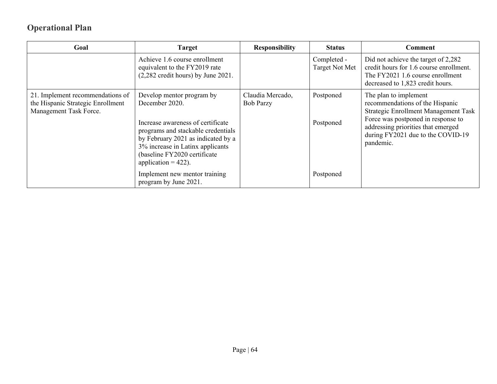| Goal                                                                                            | <b>Target</b>                                                                                                                                                                                                                                              | <b>Responsibility</b>                | <b>Status</b>                 | Comment                                                                                                                                                                                                                        |
|-------------------------------------------------------------------------------------------------|------------------------------------------------------------------------------------------------------------------------------------------------------------------------------------------------------------------------------------------------------------|--------------------------------------|-------------------------------|--------------------------------------------------------------------------------------------------------------------------------------------------------------------------------------------------------------------------------|
|                                                                                                 | Achieve 1.6 course enrollment<br>equivalent to the FY2019 rate<br>$(2,282 \text{ credit hours})$ by June 2021.                                                                                                                                             |                                      | Completed -<br>Target Not Met | Did not achieve the target of 2,282<br>credit hours for 1.6 course enrollment.<br>The FY2021 1.6 course enrollment<br>decreased to 1,823 credit hours.                                                                         |
| 21. Implement recommendations of<br>the Hispanic Strategic Enrollment<br>Management Task Force. | Develop mentor program by<br>December 2020.<br>Increase awareness of certificate<br>programs and stackable credentials<br>by February 2021 as indicated by a<br>3% increase in Latinx applicants<br>(baseline FY2020 certificate<br>application = $422$ ). | Claudia Mercado,<br><b>Bob Parzy</b> | Postponed<br>Postponed        | The plan to implement<br>recommendations of the Hispanic<br>Strategic Enrollment Management Task<br>Force was postponed in response to<br>addressing priorities that emerged<br>during FY2021 due to the COVID-19<br>pandemic. |
|                                                                                                 | Implement new mentor training<br>program by June 2021.                                                                                                                                                                                                     |                                      | Postponed                     |                                                                                                                                                                                                                                |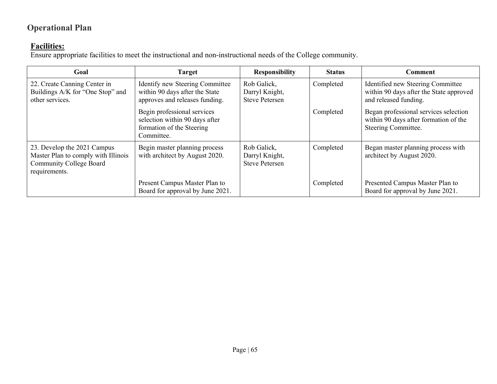#### **Facilities:**

Ensure appropriate facilities to meet the instructional and non-instructional needs of the College community.

| Goal                                                                                                                  | <b>Target</b>                                                                                            | <b>Responsibility</b>                                  | <b>Status</b> | <b>Comment</b>                                                                                        |
|-----------------------------------------------------------------------------------------------------------------------|----------------------------------------------------------------------------------------------------------|--------------------------------------------------------|---------------|-------------------------------------------------------------------------------------------------------|
| 22. Create Canning Center in<br>Buildings A/K for "One Stop" and<br>other services.                                   | Identify new Steering Committee<br>within 90 days after the State<br>approves and releases funding.      | Rob Galick,<br>Darryl Knight,<br><b>Steve Petersen</b> | Completed     | Identified new Steering Committee<br>within 90 days after the State approved<br>and released funding. |
|                                                                                                                       | Begin professional services<br>selection within 90 days after<br>formation of the Steering<br>Committee. |                                                        | Completed     | Began professional services selection<br>within 90 days after formation of the<br>Steering Committee. |
| 23. Develop the 2021 Campus<br>Master Plan to comply with Illinois<br><b>Community College Board</b><br>requirements. | Begin master planning process<br>with architect by August 2020.                                          | Rob Galick,<br>Darryl Knight,<br><b>Steve Petersen</b> | Completed     | Began master planning process with<br>architect by August 2020.                                       |
|                                                                                                                       | Present Campus Master Plan to<br>Board for approval by June 2021.                                        |                                                        | Completed     | Presented Campus Master Plan to<br>Board for approval by June 2021.                                   |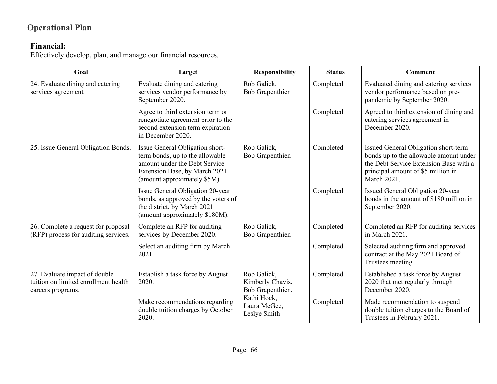#### **Financial:**

Effectively develop, plan, and manage our financial resources.

| Goal                                                                                       | <b>Target</b>                                                                                                                                                        | <b>Responsibility</b>                               | <b>Status</b> | <b>Comment</b>                                                                                                                                                                |
|--------------------------------------------------------------------------------------------|----------------------------------------------------------------------------------------------------------------------------------------------------------------------|-----------------------------------------------------|---------------|-------------------------------------------------------------------------------------------------------------------------------------------------------------------------------|
| 24. Evaluate dining and catering<br>services agreement.                                    | Evaluate dining and catering<br>services vendor performance by<br>September 2020.                                                                                    | Rob Galick,<br><b>Bob Grapenthien</b>               | Completed     | Evaluated dining and catering services<br>vendor performance based on pre-<br>pandemic by September 2020.                                                                     |
|                                                                                            | Agree to third extension term or<br>renegotiate agreement prior to the<br>second extension term expiration<br>in December 2020.                                      |                                                     | Completed     | Agreed to third extension of dining and<br>catering services agreement in<br>December 2020.                                                                                   |
| 25. Issue General Obligation Bonds.                                                        | Issue General Obligation short-<br>term bonds, up to the allowable<br>amount under the Debt Service<br>Extension Base, by March 2021<br>(amount approximately \$5M). | Rob Galick,<br>Bob Grapenthien                      | Completed     | Issued General Obligation short-term<br>bonds up to the allowable amount under<br>the Debt Service Extension Base with a<br>principal amount of \$5 million in<br>March 2021. |
|                                                                                            | <b>Issue General Obligation 20-year</b><br>bonds, as approved by the voters of<br>the district, by March 2021<br>(amount approximately \$180M).                      |                                                     | Completed     | Issued General Obligation 20-year<br>bonds in the amount of \$180 million in<br>September 2020.                                                                               |
| 26. Complete a request for proposal<br>(RFP) process for auditing services.                | Complete an RFP for auditing<br>services by December 2020.                                                                                                           | Rob Galick,<br><b>Bob Grapenthien</b>               | Completed     | Completed an RFP for auditing services<br>in March 2021.                                                                                                                      |
|                                                                                            | Select an auditing firm by March<br>2021.                                                                                                                            |                                                     | Completed     | Selected auditing firm and approved<br>contract at the May 2021 Board of<br>Trustees meeting.                                                                                 |
| 27. Evaluate impact of double<br>tuition on limited enrollment health<br>careers programs. | Establish a task force by August<br>2020.                                                                                                                            | Rob Galick,<br>Kimberly Chavis,<br>Bob Grapenthien, | Completed     | Established a task force by August<br>2020 that met regularly through<br>December 2020.                                                                                       |
|                                                                                            | Make recommendations regarding<br>double tuition charges by October<br>2020.                                                                                         | Kathi Hock,<br>Laura McGee,<br>Leslye Smith         | Completed     | Made recommendation to suspend<br>double tuition charges to the Board of<br>Trustees in February 2021.                                                                        |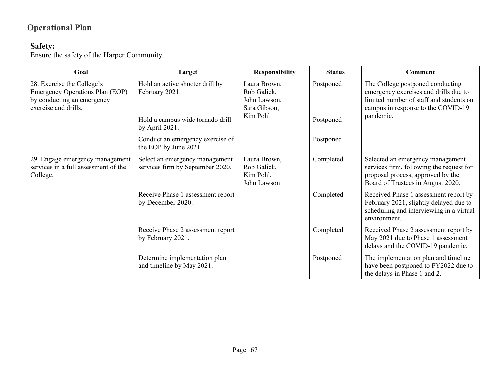#### **Safety:**

Ensure the safety of the Harper Community.

| Goal                                                                                                                | <b>Target</b>                                                      | <b>Responsibility</b>                                       | <b>Status</b> | <b>Comment</b>                                                                                                                                             |
|---------------------------------------------------------------------------------------------------------------------|--------------------------------------------------------------------|-------------------------------------------------------------|---------------|------------------------------------------------------------------------------------------------------------------------------------------------------------|
| 28. Exercise the College's<br>Emergency Operations Plan (EOP)<br>by conducting an emergency<br>exercise and drills. | Hold an active shooter drill by<br>February 2021.                  | Laura Brown,<br>Rob Galick,<br>John Lawson,<br>Sara Gibson, | Postponed     | The College postponed conducting<br>emergency exercises and drills due to<br>limited number of staff and students on<br>campus in response to the COVID-19 |
|                                                                                                                     | Hold a campus wide tornado drill<br>by April 2021.                 | Kim Pohl                                                    | Postponed     | pandemic.                                                                                                                                                  |
|                                                                                                                     | Conduct an emergency exercise of<br>the EOP by June 2021.          |                                                             | Postponed     |                                                                                                                                                            |
| 29. Engage emergency management<br>services in a full assessment of the<br>College.                                 | Select an emergency management<br>services firm by September 2020. | Laura Brown,<br>Rob Galick,<br>Kim Pohl,<br>John Lawson     | Completed     | Selected an emergency management<br>services firm, following the request for<br>proposal process, approved by the<br>Board of Trustees in August 2020.     |
|                                                                                                                     | Receive Phase 1 assessment report<br>by December 2020.             |                                                             | Completed     | Received Phase 1 assessment report by<br>February 2021, slightly delayed due to<br>scheduling and interviewing in a virtual<br>environment.                |
|                                                                                                                     | Receive Phase 2 assessment report<br>by February 2021.             |                                                             | Completed     | Received Phase 2 assessment report by<br>May 2021 due to Phase 1 assessment<br>delays and the COVID-19 pandemic.                                           |
|                                                                                                                     | Determine implementation plan<br>and timeline by May 2021.         |                                                             | Postponed     | The implementation plan and timeline<br>have been postponed to FY2022 due to<br>the delays in Phase 1 and 2.                                               |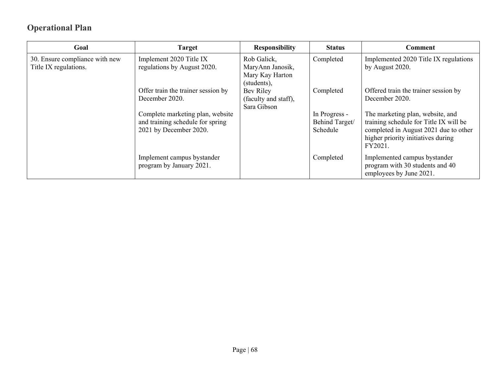| Goal                                                    | <b>Target</b>                                                                                  | <b>Responsibility</b>                                             | <b>Status</b>                               | Comment                                                                                                                                                              |
|---------------------------------------------------------|------------------------------------------------------------------------------------------------|-------------------------------------------------------------------|---------------------------------------------|----------------------------------------------------------------------------------------------------------------------------------------------------------------------|
| 30. Ensure compliance with new<br>Title IX regulations. | Implement 2020 Title IX<br>regulations by August 2020.                                         | Rob Galick,<br>MaryAnn Janosik,<br>Mary Kay Harton<br>(students), | Completed                                   | Implemented 2020 Title IX regulations<br>by August 2020.                                                                                                             |
|                                                         | Offer train the trainer session by<br>December 2020.                                           | Bev Riley<br>(faculty and staff),<br>Sara Gibson                  | Completed                                   | Offered train the trainer session by<br>December 2020.                                                                                                               |
|                                                         | Complete marketing plan, website<br>and training schedule for spring<br>2021 by December 2020. |                                                                   | In Progress -<br>Behind Target/<br>Schedule | The marketing plan, website, and<br>training schedule for Title IX will be<br>completed in August 2021 due to other<br>higher priority initiatives during<br>FY2021. |
|                                                         | Implement campus bystander<br>program by January 2021.                                         |                                                                   | Completed                                   | Implemented campus bystander<br>program with 30 students and 40<br>employees by June 2021.                                                                           |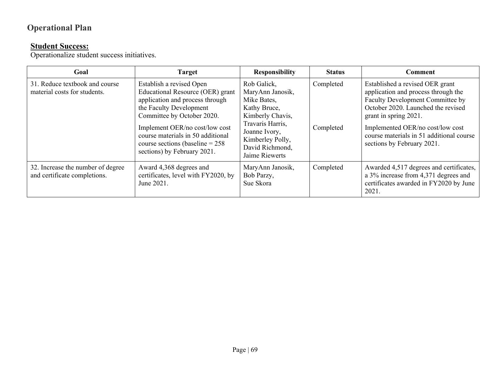#### **Student Success:**

Operationalize student success initiatives.

| Goal                                                              | <b>Target</b>                                                                                                                                                                                                                                                                                       | <b>Responsibility</b>                                                                                                                                                            | <b>Status</b>          | Comment                                                                                                                                                                                                                                                                                 |
|-------------------------------------------------------------------|-----------------------------------------------------------------------------------------------------------------------------------------------------------------------------------------------------------------------------------------------------------------------------------------------------|----------------------------------------------------------------------------------------------------------------------------------------------------------------------------------|------------------------|-----------------------------------------------------------------------------------------------------------------------------------------------------------------------------------------------------------------------------------------------------------------------------------------|
| 31. Reduce textbook and course<br>material costs for students.    | Establish a revised Open<br>Educational Resource (OER) grant<br>application and process through<br>the Faculty Development<br>Committee by October 2020.<br>Implement OER/no cost/low cost<br>course materials in 50 additional<br>course sections (baseline = $258$<br>sections) by February 2021. | Rob Galick,<br>MaryAnn Janosik,<br>Mike Bates,<br>Kathy Bruce,<br>Kimberly Chavis,<br>Travaris Harris,<br>Joanne Ivory,<br>Kimberley Polly,<br>David Richmond,<br>Jaime Riewerts | Completed<br>Completed | Established a revised OER grant<br>application and process through the<br>Faculty Development Committee by<br>October 2020. Launched the revised<br>grant in spring 2021.<br>Implemented OER/no cost/low cost<br>course materials in 51 additional course<br>sections by February 2021. |
| 32. Increase the number of degree<br>and certificate completions. | Award 4,368 degrees and<br>certificates, level with FY2020, by<br>June 2021.                                                                                                                                                                                                                        | MaryAnn Janosik,<br>Bob Parzy,<br>Sue Skora                                                                                                                                      | Completed              | Awarded 4,517 degrees and certificates,<br>a 3% increase from 4,371 degrees and<br>certificates awarded in FY2020 by June<br>2021.                                                                                                                                                      |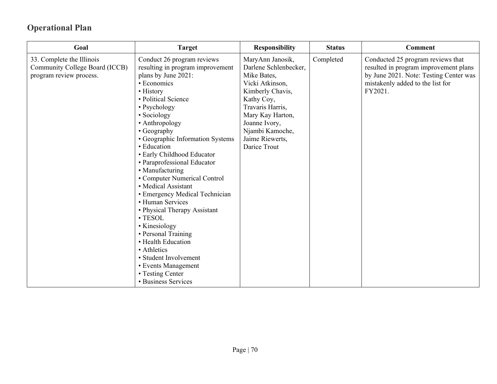| Goal                                                                                   | <b>Target</b>                                                                                                                                                                                                                                                                                                                                                                                                                                                                                                                                                                                                                                                               | <b>Responsibility</b>                                                                                                                                                                                                        | <b>Status</b> | <b>Comment</b>                                                                                                                                                      |
|----------------------------------------------------------------------------------------|-----------------------------------------------------------------------------------------------------------------------------------------------------------------------------------------------------------------------------------------------------------------------------------------------------------------------------------------------------------------------------------------------------------------------------------------------------------------------------------------------------------------------------------------------------------------------------------------------------------------------------------------------------------------------------|------------------------------------------------------------------------------------------------------------------------------------------------------------------------------------------------------------------------------|---------------|---------------------------------------------------------------------------------------------------------------------------------------------------------------------|
| 33. Complete the Illinois<br>Community College Board (ICCB)<br>program review process. | Conduct 26 program reviews<br>resulting in program improvement<br>plans by June 2021:<br>• Economics<br>• History<br>• Political Science<br>• Psychology<br>• Sociology<br>• Anthropology<br>• Geography<br>• Geographic Information Systems<br>• Education<br>· Early Childhood Educator<br>• Paraprofessional Educator<br>• Manufacturing<br>• Computer Numerical Control<br>• Medical Assistant<br>• Emergency Medical Technician<br>• Human Services<br>• Physical Therapy Assistant<br>· TESOL<br>• Kinesiology<br>• Personal Training<br>• Health Education<br>• Athletics<br>• Student Involvement<br>• Events Management<br>• Testing Center<br>• Business Services | MaryAnn Janosik,<br>Darlene Schlenbecker,<br>Mike Bates,<br>Vicki Atkinson,<br>Kimberly Chavis,<br>Kathy Coy,<br>Travaris Harris,<br>Mary Kay Harton,<br>Joanne Ivory,<br>Njambi Kamoche,<br>Jaime Riewerts,<br>Darice Trout | Completed     | Conducted 25 program reviews that<br>resulted in program improvement plans<br>by June 2021. Note: Testing Center was<br>mistakenly added to the list for<br>FY2021. |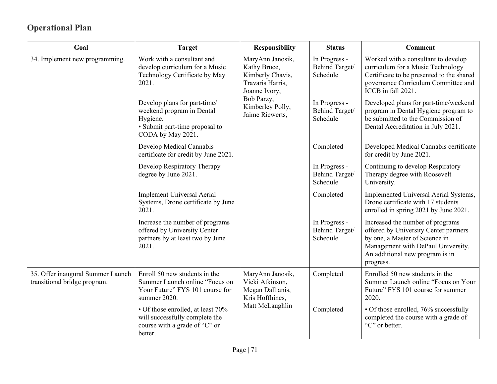| Goal                                                              | <b>Target</b>                                                                                                                | <b>Responsibility</b>                                                      | <b>Status</b>                                                                                                                                                                                     | <b>Comment</b>                                                                                                                                                                     |
|-------------------------------------------------------------------|------------------------------------------------------------------------------------------------------------------------------|----------------------------------------------------------------------------|---------------------------------------------------------------------------------------------------------------------------------------------------------------------------------------------------|------------------------------------------------------------------------------------------------------------------------------------------------------------------------------------|
| 34. Implement new programming.                                    | Work with a consultant and<br>develop curriculum for a Music<br>Kathy Bruce,<br>Technology Certificate by May<br>2021.       | MaryAnn Janosik,<br>Kimberly Chavis,<br>Travaris Harris,<br>Joanne Ivory,  | In Progress -<br>Behind Target/<br>Schedule                                                                                                                                                       | Worked with a consultant to develop<br>curriculum for a Music Technology<br>Certificate to be presented to the shared<br>governance Curriculum Committee and<br>ICCB in fall 2021. |
|                                                                   | Develop plans for part-time/<br>weekend program in Dental<br>Hygiene.<br>· Submit part-time proposal to<br>CODA by May 2021. | Bob Parzy,<br>Kimberley Polly,<br>Jaime Riewerts,                          | In Progress -<br>Behind Target/<br>Schedule                                                                                                                                                       | Developed plans for part-time/weekend<br>program in Dental Hygiene program to<br>be submitted to the Commission of<br>Dental Accreditation in July 2021.                           |
|                                                                   | Develop Medical Cannabis<br>certificate for credit by June 2021.                                                             |                                                                            | Completed                                                                                                                                                                                         | Developed Medical Cannabis certificate<br>for credit by June 2021.                                                                                                                 |
|                                                                   | Develop Respiratory Therapy<br>degree by June 2021.                                                                          |                                                                            | In Progress -<br>Behind Target/<br>Schedule                                                                                                                                                       | Continuing to develop Respiratory<br>Therapy degree with Roosevelt<br>University.                                                                                                  |
|                                                                   | <b>Implement Universal Aerial</b><br>Systems, Drone certificate by June<br>2021.                                             |                                                                            | Completed                                                                                                                                                                                         | Implemented Universal Aerial Systems,<br>Drone certificate with 17 students<br>enrolled in spring 2021 by June 2021.                                                               |
|                                                                   | Increase the number of programs<br>offered by University Center<br>partners by at least two by June<br>2021.                 | In Progress -<br>Behind Target/<br>Schedule                                | Increased the number of programs<br>offered by University Center partners<br>by one, a Master of Science in<br>Management with DePaul University.<br>An additional new program is in<br>progress. |                                                                                                                                                                                    |
| 35. Offer inaugural Summer Launch<br>transitional bridge program. | Enroll 50 new students in the<br>Summer Launch online "Focus on<br>Your Future" FYS 101 course for<br>summer 2020.           | MaryAnn Janosik,<br>Vicki Atkinson,<br>Megan Dallianis,<br>Kris Hoffhines, | Completed                                                                                                                                                                                         | Enrolled 50 new students in the<br>Summer Launch online "Focus on Your<br>Future" FYS 101 course for summer<br>2020.                                                               |
|                                                                   | • Of those enrolled, at least 70%<br>will successfully complete the<br>course with a grade of "C" or<br>better.              | Matt McLaughlin                                                            | Completed                                                                                                                                                                                         | • Of those enrolled, 76% successfully<br>completed the course with a grade of<br>"C" or better.                                                                                    |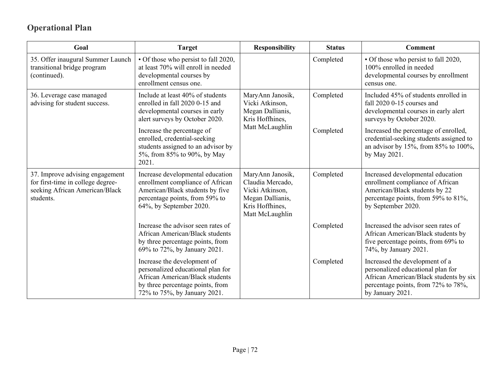| Goal                                                                                                                | <b>Target</b>                                                                                                                                                           | <b>Responsibility</b>                                                                                             | <b>Status</b> | Comment                                                                                                                                                                  |
|---------------------------------------------------------------------------------------------------------------------|-------------------------------------------------------------------------------------------------------------------------------------------------------------------------|-------------------------------------------------------------------------------------------------------------------|---------------|--------------------------------------------------------------------------------------------------------------------------------------------------------------------------|
| 35. Offer inaugural Summer Launch<br>transitional bridge program<br>(continued).                                    | • Of those who persist to fall 2020,<br>at least 70% will enroll in needed<br>developmental courses by<br>enrollment census one.                                        |                                                                                                                   | Completed     | · Of those who persist to fall 2020,<br>100% enrolled in needed<br>developmental courses by enrollment<br>census one.                                                    |
| 36. Leverage case managed<br>advising for student success.                                                          | Include at least 40% of students<br>enrolled in fall 2020 0-15 and<br>developmental courses in early<br>alert surveys by October 2020.                                  | MaryAnn Janosik,<br>Vicki Atkinson,<br>Megan Dallianis,<br>Kris Hoffhines,                                        | Completed     | Included 45% of students enrolled in<br>fall 2020 0-15 courses and<br>developmental courses in early alert<br>surveys by October 2020.                                   |
|                                                                                                                     | Increase the percentage of<br>enrolled, credential-seeking<br>students assigned to an advisor by<br>5%, from 85% to 90%, by May<br>2021.                                | Matt McLaughlin                                                                                                   | Completed     | Increased the percentage of enrolled,<br>credential-seeking students assigned to<br>an advisor by 15%, from 85% to 100%,<br>by May 2021.                                 |
| 37. Improve advising engagement<br>for first-time in college degree-<br>seeking African American/Black<br>students. | Increase developmental education<br>enrollment compliance of African<br>American/Black students by five<br>percentage points, from 59% to<br>64%, by September 2020.    | MaryAnn Janosik,<br>Claudia Mercado,<br>Vicki Atkinson,<br>Megan Dallianis,<br>Kris Hoffhines,<br>Matt McLaughlin | Completed     | Increased developmental education<br>enrollment compliance of African<br>American/Black students by 22<br>percentage points, from 59% to 81%,<br>by September 2020.      |
|                                                                                                                     | Increase the advisor seen rates of<br>African American/Black students<br>by three percentage points, from<br>69% to 72%, by January 2021.                               |                                                                                                                   | Completed     | Increased the advisor seen rates of<br>African American/Black students by<br>five percentage points, from 69% to<br>74%, by January 2021.                                |
|                                                                                                                     | Increase the development of<br>personalized educational plan for<br>African American/Black students<br>by three percentage points, from<br>72% to 75%, by January 2021. |                                                                                                                   | Completed     | Increased the development of a<br>personalized educational plan for<br>African American/Black students by six<br>percentage points, from 72% to 78%,<br>by January 2021. |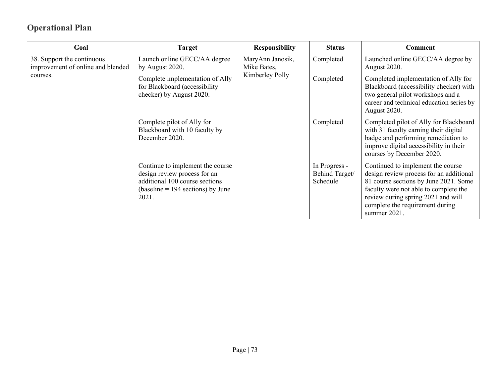| Goal                                                            | <b>Target</b>                                                                                                                                      | <b>Responsibility</b>           | <b>Status</b>                               | <b>Comment</b>                                                                                                                                                                                                                                          |
|-----------------------------------------------------------------|----------------------------------------------------------------------------------------------------------------------------------------------------|---------------------------------|---------------------------------------------|---------------------------------------------------------------------------------------------------------------------------------------------------------------------------------------------------------------------------------------------------------|
| 38. Support the continuous<br>improvement of online and blended | Launch online GECC/AA degree<br>by August 2020.                                                                                                    | MaryAnn Janosik,<br>Mike Bates, | Completed                                   | Launched online GECC/AA degree by<br>August 2020.                                                                                                                                                                                                       |
| courses.                                                        | Complete implementation of Ally<br>for Blackboard (accessibility<br>checker) by August 2020.                                                       | Kimberley Polly                 | Completed                                   | Completed implementation of Ally for<br>Blackboard (accessibility checker) with<br>two general pilot workshops and a<br>career and technical education series by<br>August 2020.                                                                        |
|                                                                 | Complete pilot of Ally for<br>Blackboard with 10 faculty by<br>December 2020.                                                                      |                                 | Completed                                   | Completed pilot of Ally for Blackboard<br>with 31 faculty earning their digital<br>badge and performing remediation to<br>improve digital accessibility in their<br>courses by December 2020.                                                           |
|                                                                 | Continue to implement the course<br>design review process for an<br>additional 100 course sections<br>$(baseline = 194 sections)$ by June<br>2021. |                                 | In Progress -<br>Behind Target/<br>Schedule | Continued to implement the course<br>design review process for an additional<br>81 course sections by June 2021. Some<br>faculty were not able to complete the<br>review during spring 2021 and will<br>complete the requirement during<br>summer 2021. |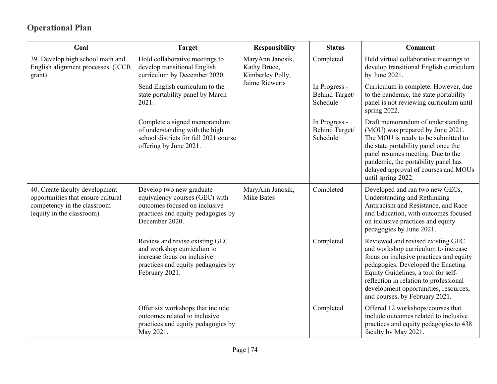| Goal                                                                                                                              | <b>Target</b>                                                                                                                                       | <b>Responsibility</b>                                | <b>Status</b>                               | <b>Comment</b>                                                                                                                                                                                                                                                                                                        |
|-----------------------------------------------------------------------------------------------------------------------------------|-----------------------------------------------------------------------------------------------------------------------------------------------------|------------------------------------------------------|---------------------------------------------|-----------------------------------------------------------------------------------------------------------------------------------------------------------------------------------------------------------------------------------------------------------------------------------------------------------------------|
| 39. Develop high school math and<br>English alignment processes. (ICCB<br>grant)                                                  | Hold collaborative meetings to<br>develop transitional English<br>curriculum by December 2020.                                                      | MaryAnn Janosik,<br>Kathy Bruce,<br>Kimberley Polly, | Completed                                   | Held virtual collaborative meetings to<br>develop transitional English curriculum<br>by June 2021.                                                                                                                                                                                                                    |
|                                                                                                                                   | Send English curriculum to the<br>state portability panel by March<br>2021.                                                                         | Jaime Riewerts                                       | In Progress -<br>Behind Target/<br>Schedule | Curriculum is complete. However, due<br>to the pandemic, the state portability<br>panel is not reviewing curriculum until<br>spring 2022.                                                                                                                                                                             |
|                                                                                                                                   | Complete a signed memorandum<br>of understanding with the high<br>school districts for fall 2021 course<br>offering by June 2021.                   |                                                      | In Progress -<br>Behind Target/<br>Schedule | Draft memorandum of understanding<br>(MOU) was prepared by June 2021.<br>The MOU is ready to be submitted to<br>the state portability panel once the<br>panel resumes meeting. Due to the<br>pandemic, the portability panel has<br>delayed approval of courses and MOUs<br>until spring 2022.                        |
| 40. Create faculty development<br>opportunities that ensure cultural<br>competency in the classroom<br>(equity in the classroom). | Develop two new graduate<br>equivalency courses (GEC) with<br>outcomes focused on inclusive<br>practices and equity pedagogies by<br>December 2020. | MaryAnn Janosik,<br><b>Mike Bates</b>                | Completed                                   | Developed and ran two new GECs,<br>Understanding and Rethinking<br>Antiracism and Resistance, and Race<br>and Education, with outcomes focused<br>on inclusive practices and equity<br>pedagogies by June 2021.                                                                                                       |
|                                                                                                                                   | Review and revise existing GEC<br>and workshop curriculum to<br>increase focus on inclusive<br>practices and equity pedagogies by<br>February 2021. |                                                      | Completed                                   | Reviewed and revised existing GEC<br>and workshop curriculum to increase<br>focus on inclusive practices and equity<br>pedagogies. Developed the Enacting<br>Equity Guidelines, a tool for self-<br>reflection in relation to professional<br>development opportunities, resources,<br>and courses, by February 2021. |
|                                                                                                                                   | Offer six workshops that include<br>outcomes related to inclusive<br>practices and equity pedagogies by<br>May 2021.                                |                                                      | Completed                                   | Offered 12 workshops/courses that<br>include outcomes related to inclusive<br>practices and equity pedagogies to 438<br>faculty by May 2021.                                                                                                                                                                          |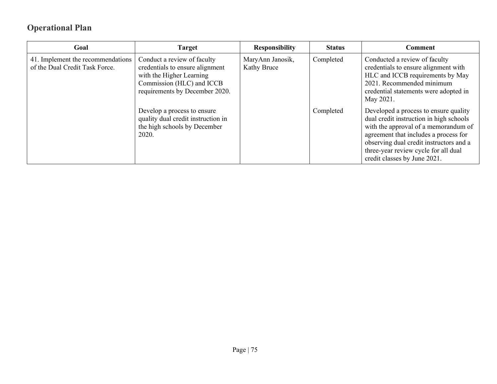| Goal                                                                | <b>Target</b>                                                                                                                                             | <b>Responsibility</b>           | <b>Status</b> | Comment                                                                                                                                                                                                                                                                              |
|---------------------------------------------------------------------|-----------------------------------------------------------------------------------------------------------------------------------------------------------|---------------------------------|---------------|--------------------------------------------------------------------------------------------------------------------------------------------------------------------------------------------------------------------------------------------------------------------------------------|
| 41. Implement the recommendations<br>of the Dual Credit Task Force. | Conduct a review of faculty<br>credentials to ensure alignment<br>with the Higher Learning<br>Commission (HLC) and ICCB<br>requirements by December 2020. | MaryAnn Janosik,<br>Kathy Bruce | Completed     | Conducted a review of faculty<br>credentials to ensure alignment with<br>HLC and ICCB requirements by May<br>2021. Recommended minimum<br>credential statements were adopted in<br>May 2021.                                                                                         |
|                                                                     | Develop a process to ensure<br>quality dual credit instruction in<br>the high schools by December<br>2020.                                                |                                 | Completed     | Developed a process to ensure quality<br>dual credit instruction in high schools<br>with the approval of a memorandum of<br>agreement that includes a process for<br>observing dual credit instructors and a<br>three-year review cycle for all dual<br>credit classes by June 2021. |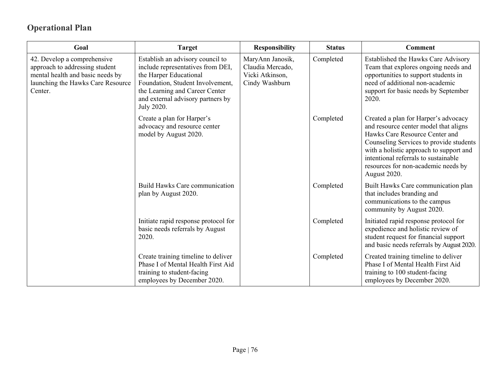| Goal                                                                                                                                              | <b>Target</b>                                                                                                                                                                                                            | <b>Responsibility</b>                                                     | <b>Status</b> | <b>Comment</b>                                                                                                                                                                                                                                                                                       |
|---------------------------------------------------------------------------------------------------------------------------------------------------|--------------------------------------------------------------------------------------------------------------------------------------------------------------------------------------------------------------------------|---------------------------------------------------------------------------|---------------|------------------------------------------------------------------------------------------------------------------------------------------------------------------------------------------------------------------------------------------------------------------------------------------------------|
| 42. Develop a comprehensive<br>approach to addressing student<br>mental health and basic needs by<br>launching the Hawks Care Resource<br>Center. | Establish an advisory council to<br>include representatives from DEI,<br>the Harper Educational<br>Foundation, Student Involvement,<br>the Learning and Career Center<br>and external advisory partners by<br>July 2020. | MaryAnn Janosik,<br>Claudia Mercado,<br>Vicki Atkinson,<br>Cindy Washburn | Completed     | Established the Hawks Care Advisory<br>Team that explores ongoing needs and<br>opportunities to support students in<br>need of additional non-academic<br>support for basic needs by September<br>2020.                                                                                              |
|                                                                                                                                                   | Create a plan for Harper's<br>advocacy and resource center<br>model by August 2020.                                                                                                                                      |                                                                           | Completed     | Created a plan for Harper's advocacy<br>and resource center model that aligns<br>Hawks Care Resource Center and<br>Counseling Services to provide students<br>with a holistic approach to support and<br>intentional referrals to sustainable<br>resources for non-academic needs by<br>August 2020. |
|                                                                                                                                                   | Build Hawks Care communication<br>plan by August 2020.                                                                                                                                                                   |                                                                           | Completed     | Built Hawks Care communication plan<br>that includes branding and<br>communications to the campus<br>community by August 2020.                                                                                                                                                                       |
|                                                                                                                                                   | Initiate rapid response protocol for<br>basic needs referrals by August<br>2020.                                                                                                                                         |                                                                           | Completed     | Initiated rapid response protocol for<br>expedience and holistic review of<br>student request for financial support<br>and basic needs referrals by August 2020.                                                                                                                                     |
|                                                                                                                                                   | Create training timeline to deliver<br>Phase I of Mental Health First Aid<br>training to student-facing<br>employees by December 2020.                                                                                   |                                                                           | Completed     | Created training timeline to deliver<br>Phase I of Mental Health First Aid<br>training to 100 student-facing<br>employees by December 2020.                                                                                                                                                          |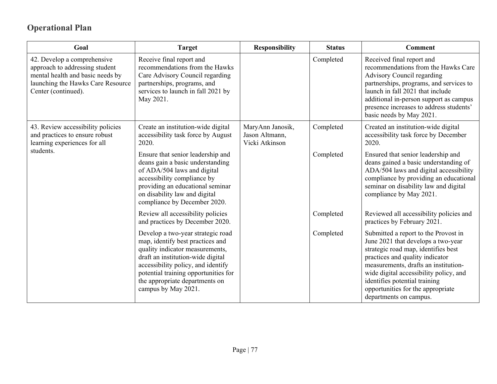| Goal                                                                                                                                                          | <b>Target</b>                                                                                                                                                                                                                                                                        | <b>Responsibility</b>                                | <b>Status</b> | <b>Comment</b>                                                                                                                                                                                                                                                                                                                         |
|---------------------------------------------------------------------------------------------------------------------------------------------------------------|--------------------------------------------------------------------------------------------------------------------------------------------------------------------------------------------------------------------------------------------------------------------------------------|------------------------------------------------------|---------------|----------------------------------------------------------------------------------------------------------------------------------------------------------------------------------------------------------------------------------------------------------------------------------------------------------------------------------------|
| 42. Develop a comprehensive<br>approach to addressing student<br>mental health and basic needs by<br>launching the Hawks Care Resource<br>Center (continued). | Receive final report and<br>recommendations from the Hawks<br>Care Advisory Council regarding<br>partnerships, programs, and<br>services to launch in fall 2021 by<br>May 2021.                                                                                                      |                                                      | Completed     | Received final report and<br>recommendations from the Hawks Care<br>Advisory Council regarding<br>partnerships, programs, and services to<br>launch in fall 2021 that include<br>additional in-person support as campus<br>presence increases to address students'<br>basic needs by May 2021.                                         |
| 43. Review accessibility policies<br>and practices to ensure robust<br>learning experiences for all                                                           | Create an institution-wide digital<br>accessibility task force by August<br>2020.                                                                                                                                                                                                    | MaryAnn Janosik,<br>Jason Altmann,<br>Vicki Atkinson | Completed     | Created an institution-wide digital<br>accessibility task force by December<br>2020.                                                                                                                                                                                                                                                   |
| students.                                                                                                                                                     | Ensure that senior leadership and<br>deans gain a basic understanding<br>of ADA/504 laws and digital<br>accessibility compliance by<br>providing an educational seminar<br>on disability law and digital<br>compliance by December 2020.                                             |                                                      | Completed     | Ensured that senior leadership and<br>deans gained a basic understanding of<br>ADA/504 laws and digital accessibility<br>compliance by providing an educational<br>seminar on disability law and digital<br>compliance by May 2021.                                                                                                    |
|                                                                                                                                                               | Review all accessibility policies<br>and practices by December 2020.                                                                                                                                                                                                                 |                                                      | Completed     | Reviewed all accessibility policies and<br>practices by February 2021.                                                                                                                                                                                                                                                                 |
|                                                                                                                                                               | Develop a two-year strategic road<br>map, identify best practices and<br>quality indicator measurements,<br>draft an institution-wide digital<br>accessibility policy, and identify<br>potential training opportunities for<br>the appropriate departments on<br>campus by May 2021. |                                                      | Completed     | Submitted a report to the Provost in<br>June 2021 that develops a two-year<br>strategic road map, identifies best<br>practices and quality indicator<br>measurements, drafts an institution-<br>wide digital accessibility policy, and<br>identifies potential training<br>opportunities for the appropriate<br>departments on campus. |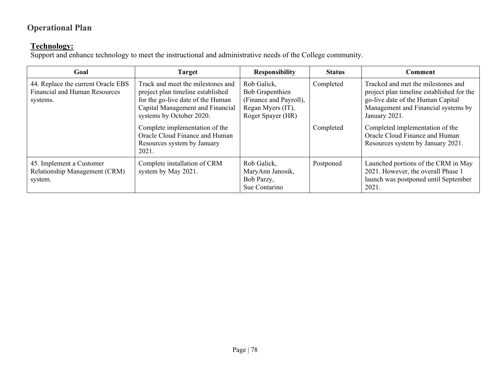#### **Technology:**

Support and enhance technology to meet the instructional and administrative needs of the College community.

| Goal                                                                            | <b>Target</b>                                                                                                                                                                                                                                                                           | <b>Responsibility</b>                                                                              | <b>Status</b>          | <b>Comment</b>                                                                                                                                                                                                                                                                         |
|---------------------------------------------------------------------------------|-----------------------------------------------------------------------------------------------------------------------------------------------------------------------------------------------------------------------------------------------------------------------------------------|----------------------------------------------------------------------------------------------------|------------------------|----------------------------------------------------------------------------------------------------------------------------------------------------------------------------------------------------------------------------------------------------------------------------------------|
| 44. Replace the current Oracle EBS<br>Financial and Human Resources<br>systems. | Track and meet the milestones and<br>project plan timeline established<br>for the go-live date of the Human<br>Capital Management and Financial<br>systems by October 2020.<br>Complete implementation of the<br>Oracle Cloud Finance and Human<br>Resources system by January<br>2021. | Rob Galick,<br>Bob Grapenthien<br>(Finance and Payroll),<br>Regan Myers (IT),<br>Roger Spayer (HR) | Completed<br>Completed | Tracked and met the milestones and<br>project plan timeline established for the<br>go-live date of the Human Capital<br>Management and Financial systems by<br>January 2021.<br>Completed implementation of the<br>Oracle Cloud Finance and Human<br>Resources system by January 2021. |
| 45. Implement a Customer<br>Relationship Management (CRM)<br>system.            | Complete installation of CRM<br>system by May 2021.                                                                                                                                                                                                                                     | Rob Galick,<br>MaryAnn Janosik,<br>Bob Parzy,<br>Sue Contarino                                     | Postponed              | Launched portions of the CRM in May<br>2021. However, the overall Phase 1<br>launch was postponed until September<br>2021.                                                                                                                                                             |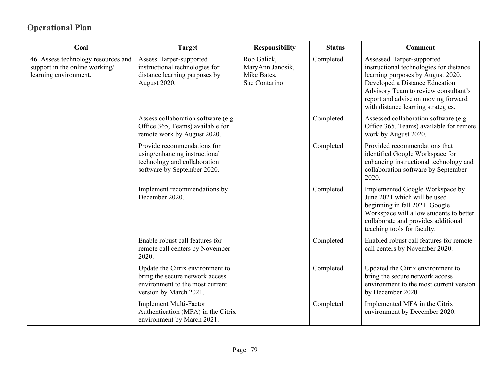| Goal                                                                                           | <b>Target</b>                                                                                                                    | <b>Responsibility</b>                                           | <b>Status</b> | <b>Comment</b>                                                                                                                                                                                                                                                   |
|------------------------------------------------------------------------------------------------|----------------------------------------------------------------------------------------------------------------------------------|-----------------------------------------------------------------|---------------|------------------------------------------------------------------------------------------------------------------------------------------------------------------------------------------------------------------------------------------------------------------|
| 46. Assess technology resources and<br>support in the online working/<br>learning environment. | Assess Harper-supported<br>instructional technologies for<br>distance learning purposes by<br>August 2020.                       | Rob Galick,<br>MaryAnn Janosik,<br>Mike Bates,<br>Sue Contarino | Completed     | Assessed Harper-supported<br>instructional technologies for distance<br>learning purposes by August 2020.<br>Developed a Distance Education<br>Advisory Team to review consultant's<br>report and advise on moving forward<br>with distance learning strategies. |
|                                                                                                | Assess collaboration software (e.g.<br>Office 365, Teams) available for<br>remote work by August 2020.                           |                                                                 | Completed     | Assessed collaboration software (e.g.<br>Office 365, Teams) available for remote<br>work by August 2020.                                                                                                                                                         |
|                                                                                                | Provide recommendations for<br>using/enhancing instructional<br>technology and collaboration<br>software by September 2020.      |                                                                 | Completed     | Provided recommendations that<br>identified Google Workspace for<br>enhancing instructional technology and<br>collaboration software by September<br>2020.                                                                                                       |
|                                                                                                | Implement recommendations by<br>December 2020.                                                                                   |                                                                 | Completed     | Implemented Google Workspace by<br>June 2021 which will be used<br>beginning in fall 2021. Google<br>Workspace will allow students to better<br>collaborate and provides additional<br>teaching tools for faculty.                                               |
|                                                                                                | Enable robust call features for<br>remote call centers by November<br>2020.                                                      |                                                                 | Completed     | Enabled robust call features for remote<br>call centers by November 2020.                                                                                                                                                                                        |
|                                                                                                | Update the Citrix environment to<br>bring the secure network access<br>environment to the most current<br>version by March 2021. |                                                                 | Completed     | Updated the Citrix environment to<br>bring the secure network access<br>environment to the most current version<br>by December 2020.                                                                                                                             |
|                                                                                                | Implement Multi-Factor<br>Authentication (MFA) in the Citrix<br>environment by March 2021.                                       |                                                                 | Completed     | Implemented MFA in the Citrix<br>environment by December 2020.                                                                                                                                                                                                   |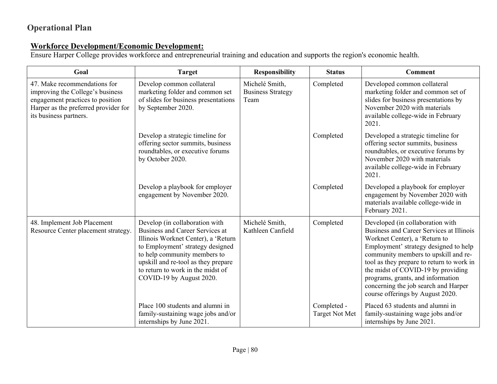#### **Workforce Development/Economic Development:**

Ensure Harper College provides workforce and entrepreneurial training and education and supports the region's economic health.

| Goal                                                                                                                                                                   | <b>Target</b>                                                                                                                                                                                                                                                                               | <b>Responsibility</b>                              | <b>Status</b>                        | <b>Comment</b>                                                                                                                                                                                                                                                                                                                                                                                     |
|------------------------------------------------------------------------------------------------------------------------------------------------------------------------|---------------------------------------------------------------------------------------------------------------------------------------------------------------------------------------------------------------------------------------------------------------------------------------------|----------------------------------------------------|--------------------------------------|----------------------------------------------------------------------------------------------------------------------------------------------------------------------------------------------------------------------------------------------------------------------------------------------------------------------------------------------------------------------------------------------------|
| 47. Make recommendations for<br>improving the College's business<br>engagement practices to position<br>Harper as the preferred provider for<br>its business partners. | Develop common collateral<br>marketing folder and common set<br>of slides for business presentations<br>by September 2020.                                                                                                                                                                  | Michelé Smith,<br><b>Business Strategy</b><br>Team | Completed                            | Developed common collateral<br>marketing folder and common set of<br>slides for business presentations by<br>November 2020 with materials<br>available college-wide in February<br>2021.                                                                                                                                                                                                           |
|                                                                                                                                                                        | Develop a strategic timeline for<br>offering sector summits, business<br>roundtables, or executive forums<br>by October 2020.                                                                                                                                                               |                                                    | Completed                            | Developed a strategic timeline for<br>offering sector summits, business<br>roundtables, or executive forums by<br>November 2020 with materials<br>available college-wide in February<br>2021.                                                                                                                                                                                                      |
|                                                                                                                                                                        | Develop a playbook for employer<br>engagement by November 2020.                                                                                                                                                                                                                             |                                                    | Completed                            | Developed a playbook for employer<br>engagement by November 2020 with<br>materials available college-wide in<br>February 2021.                                                                                                                                                                                                                                                                     |
| 48. Implement Job Placement<br>Resource Center placement strategy.                                                                                                     | Develop (in collaboration with<br><b>Business and Career Services at</b><br>Illinois Worknet Center), a 'Return<br>to Employment' strategy designed<br>to help community members to<br>upskill and re-tool as they prepare<br>to return to work in the midst of<br>COVID-19 by August 2020. | Michelé Smith,<br>Kathleen Canfield                | Completed                            | Developed (in collaboration with<br>Business and Career Services at Illinois<br>Worknet Center), a 'Return to<br>Employment' strategy designed to help<br>community members to upskill and re-<br>tool as they prepare to return to work in<br>the midst of COVID-19 by providing<br>programs, grants, and information<br>concerning the job search and Harper<br>course offerings by August 2020. |
|                                                                                                                                                                        | Place 100 students and alumni in<br>family-sustaining wage jobs and/or<br>internships by June 2021.                                                                                                                                                                                         |                                                    | Completed -<br><b>Target Not Met</b> | Placed 63 students and alumni in<br>family-sustaining wage jobs and/or<br>internships by June 2021.                                                                                                                                                                                                                                                                                                |